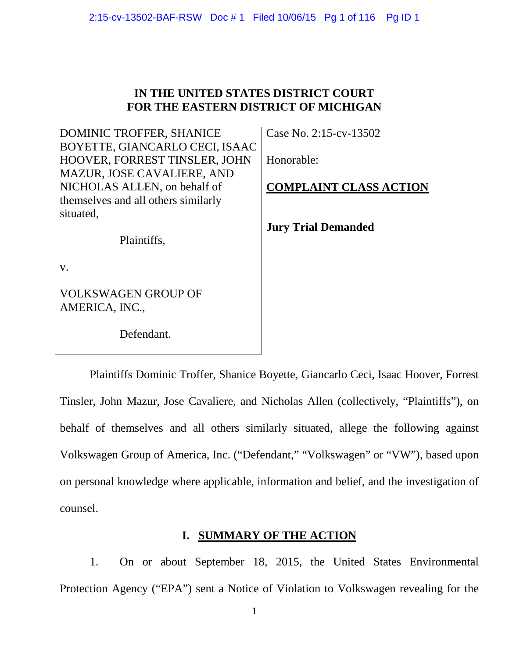# **IN THE UNITED STATES DISTRICT COURT FOR THE EASTERN DISTRICT OF MICHIGAN**

DOMINIC TROFFER, SHANICE BOYETTE, GIANCARLO CECI, ISAAC HOOVER, FORREST TINSLER, JOHN MAZUR, JOSE CAVALIERE, AND NICHOLAS ALLEN, on behalf of themselves and all others similarly situated,

Plaintiffs,

Case No. 2:15-cv-13502

Honorable:

**COMPLAINT CLASS ACTION**

**Jury Trial Demanded**

v.

VOLKSWAGEN GROUP OF AMERICA, INC.,

Defendant.

Plaintiffs Dominic Troffer, Shanice Boyette, Giancarlo Ceci, Isaac Hoover, Forrest Tinsler, John Mazur, Jose Cavaliere, and Nicholas Allen (collectively, "Plaintiffs"), on behalf of themselves and all others similarly situated, allege the following against Volkswagen Group of America, Inc. ("Defendant," "Volkswagen" or "VW"), based upon on personal knowledge where applicable, information and belief, and the investigation of counsel.

# **I. SUMMARY OF THE ACTION**

1. On or about September 18, 2015, the United States Environmental Protection Agency ("EPA") sent a Notice of Violation to Volkswagen revealing for the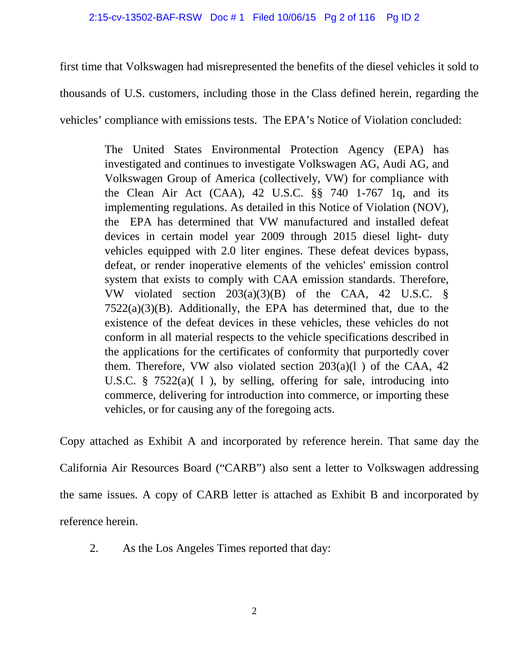### 2:15-cv-13502-BAF-RSW Doc # 1 Filed 10/06/15 Pg 2 of 116 Pg ID 2

first time that Volkswagen had misrepresented the benefits of the diesel vehicles it sold to thousands of U.S. customers, including those in the Class defined herein, regarding the vehicles' compliance with emissions tests. The EPA's Notice of Violation concluded:

> The United States Environmental Protection Agency (EPA) has investigated and continues to investigate Volkswagen AG, Audi AG, and Volkswagen Group of America (collectively, VW) for compliance with the Clean Air Act (CAA), 42 U.S.C. §§ 740 1-767 1q, and its implementing regulations. As detailed in this Notice of Violation (NOV), the EPA has determined that VW manufactured and installed defeat devices in certain model year 2009 through 2015 diesel light- duty vehicles equipped with 2.0 liter engines. These defeat devices bypass, defeat, or render inoperative elements of the vehicles' emission control system that exists to comply with CAA emission standards. Therefore, VW violated section 203(a)(3)(B) of the CAA, 42 U.S.C. §  $7522(a)(3)(B)$ . Additionally, the EPA has determined that, due to the existence of the defeat devices in these vehicles, these vehicles do not conform in all material respects to the vehicle specifications described in the applications for the certificates of conformity that purportedly cover them. Therefore, VW also violated section  $203(a)(1)$  of the CAA, 42 U.S.C.  $\frac{8}{3}$  7522(a)(1), by selling, offering for sale, introducing into commerce, delivering for introduction into commerce, or importing these vehicles, or for causing any of the foregoing acts.

Copy attached as Exhibit A and incorporated by reference herein. That same day the California Air Resources Board ("CARB") also sent a letter to Volkswagen addressing the same issues. A copy of CARB letter is attached as Exhibit B and incorporated by reference herein.

2. As the Los Angeles Times reported that day: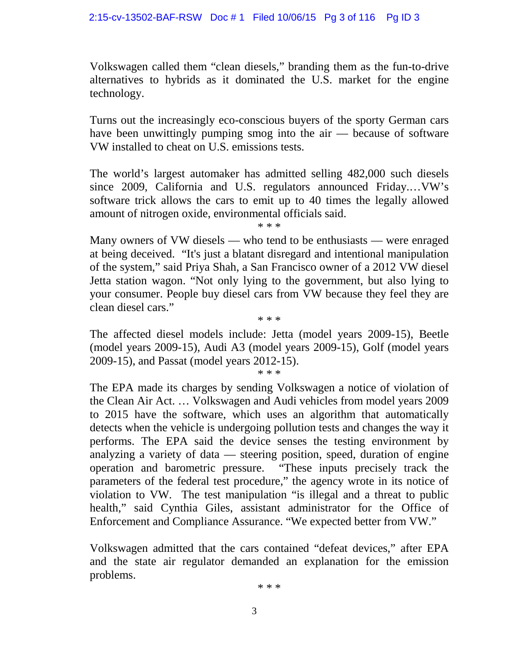Volkswagen called them "clean diesels," branding them as the fun-to-drive alternatives to hybrids as it dominated the U.S. market for the engine technology.

Turns out the increasingly eco-conscious buyers of the sporty German cars have been unwittingly pumping smog into the air — because of software VW installed to cheat on U.S. emissions tests.

The world's largest automaker has admitted selling 482,000 such diesels since 2009, California and U.S. regulators announced Friday.…VW's software trick allows the cars to emit up to 40 times the legally allowed amount of nitrogen oxide, environmental officials said. \* \* \*

Many owners of VW diesels — who tend to be enthusiasts — were enraged at being deceived. "It's just a blatant disregard and intentional manipulation of the system," said Priya Shah, a San Francisco owner of a 2012 VW diesel Jetta station wagon. "Not only lying to the government, but also lying to your consumer. People buy diesel cars from VW because they feel they are clean diesel cars."

The affected diesel models include: Jetta (model years 2009-15), Beetle (model years 2009-15), Audi A3 (model years 2009-15), Golf (model years 2009-15), and Passat (model years 2012-15).

\* \* \*

\* \* \*

The EPA made its charges by sending Volkswagen a notice of violation of the Clean Air Act. … Volkswagen and Audi vehicles from model years 2009 to 2015 have the software, which uses an algorithm that automatically detects when the vehicle is undergoing pollution tests and changes the way it performs. The EPA said the device senses the testing environment by analyzing a variety of data — steering position, speed, duration of engine operation and barometric pressure. "These inputs precisely track the parameters of the federal test procedure," the agency wrote in its notice of violation to VW. The test manipulation "is illegal and a threat to public health," said Cynthia Giles, assistant administrator for the Office of Enforcement and Compliance Assurance. "We expected better from VW."

Volkswagen admitted that the cars contained "defeat devices," after EPA and the state air regulator demanded an explanation for the emission problems.

\* \* \*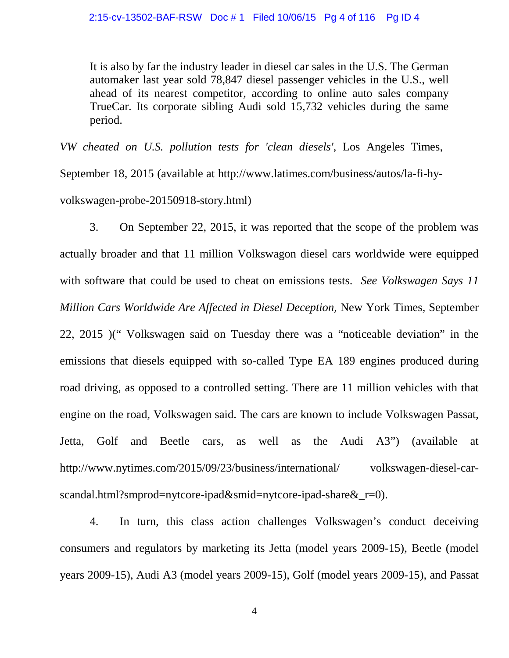It is also by far the industry leader in diesel car sales in the U.S. The German automaker last year sold 78,847 diesel passenger vehicles in the U.S., well ahead of its nearest competitor, according to online auto sales company TrueCar. Its corporate sibling Audi sold 15,732 vehicles during the same period.

*VW cheated on U.S. pollution tests for 'clean diesels'*, Los Angeles Times, September 18, 2015 (available at http://www.latimes.com/business/autos/la-fi-hyvolkswagen-probe-20150918-story.html)

3. On September 22, 2015, it was reported that the scope of the problem was actually broader and that 11 million Volkswagon diesel cars worldwide were equipped with software that could be used to cheat on emissions tests. *See Volkswagen Says 11 Million Cars Worldwide Are Affected in Diesel Deception,* New York Times, September 22, 2015 )(" Volkswagen said on Tuesday there was a "noticeable deviation" in the emissions that diesels equipped with so-called Type EA 189 engines produced during road driving, as opposed to a controlled setting. There are 11 million vehicles with that engine on the road, Volkswagen said. The cars are known to include Volkswagen Passat, Jetta, Golf and Beetle cars, as well as the Audi A3") (available at http://www.nytimes.com/2015/09/23/business/international/ volkswagen-diesel-carscandal.html?smprod=nytcore-ipad&smid=nytcore-ipad-share& r=0).

4. In turn, this class action challenges Volkswagen's conduct deceiving consumers and regulators by marketing its Jetta (model years 2009-15), Beetle (model years 2009-15), Audi A3 (model years 2009-15), Golf (model years 2009-15), and Passat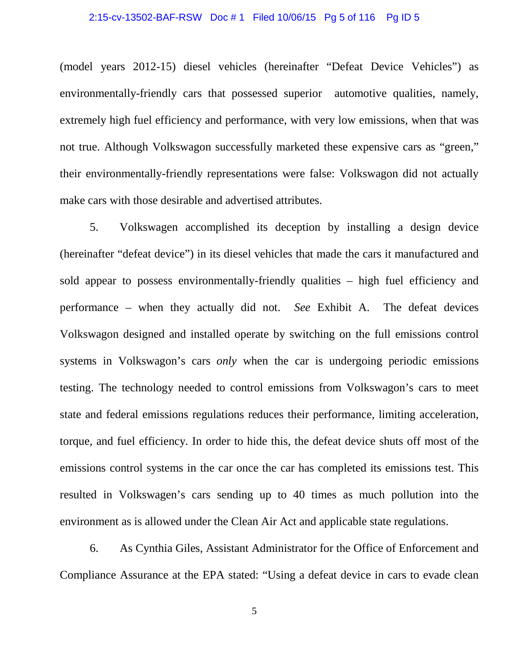## 2:15-cv-13502-BAF-RSW Doc # 1 Filed 10/06/15 Pg 5 of 116 Pg ID 5

(model years 2012-15) diesel vehicles (hereinafter "Defeat Device Vehicles") as environmentally-friendly cars that possessed superior automotive qualities, namely, extremely high fuel efficiency and performance, with very low emissions, when that was not true. Although Volkswagon successfully marketed these expensive cars as "green," their environmentally-friendly representations were false: Volkswagon did not actually make cars with those desirable and advertised attributes.

5. Volkswagen accomplished its deception by installing a design device (hereinafter "defeat device") in its diesel vehicles that made the cars it manufactured and sold appear to possess environmentally-friendly qualities – high fuel efficiency and performance – when they actually did not. *See* Exhibit A. The defeat devices Volkswagon designed and installed operate by switching on the full emissions control systems in Volkswagon's cars *only* when the car is undergoing periodic emissions testing. The technology needed to control emissions from Volkswagon's cars to meet state and federal emissions regulations reduces their performance, limiting acceleration, torque, and fuel efficiency. In order to hide this, the defeat device shuts off most of the emissions control systems in the car once the car has completed its emissions test. This resulted in Volkswagen's cars sending up to 40 times as much pollution into the environment as is allowed under the Clean Air Act and applicable state regulations.

6. As Cynthia Giles, Assistant Administrator for the Office of Enforcement and Compliance Assurance at the EPA stated: "Using a defeat device in cars to evade clean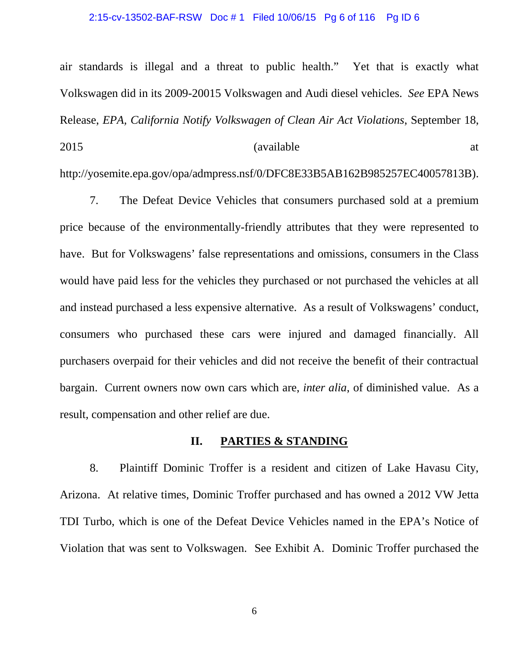### 2:15-cv-13502-BAF-RSW Doc # 1 Filed 10/06/15 Pg 6 of 116 Pg ID 6

air standards is illegal and a threat to public health." Yet that is exactly what Volkswagen did in its 2009-20015 Volkswagen and Audi diesel vehicles. *See* EPA News Release, *EPA, California Notify Volkswagen of Clean Air Act Violations*, September 18, 2015 (available at

http://yosemite.epa.gov/opa/admpress.nsf/0/DFC8E33B5AB162B985257EC40057813B).

7. The Defeat Device Vehicles that consumers purchased sold at a premium price because of the environmentally-friendly attributes that they were represented to have. But for Volkswagens' false representations and omissions, consumers in the Class would have paid less for the vehicles they purchased or not purchased the vehicles at all and instead purchased a less expensive alternative. As a result of Volkswagens' conduct, consumers who purchased these cars were injured and damaged financially. All purchasers overpaid for their vehicles and did not receive the benefit of their contractual bargain. Current owners now own cars which are, *inter alia*, of diminished value. As a result, compensation and other relief are due.

## **II. PARTIES & STANDING**

8. Plaintiff Dominic Troffer is a resident and citizen of Lake Havasu City, Arizona. At relative times, Dominic Troffer purchased and has owned a 2012 VW Jetta TDI Turbo, which is one of the Defeat Device Vehicles named in the EPA's Notice of Violation that was sent to Volkswagen. See Exhibit A. Dominic Troffer purchased the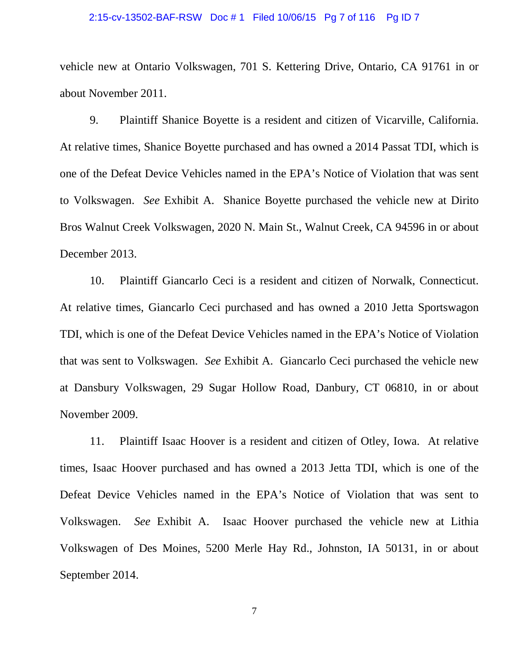### 2:15-cv-13502-BAF-RSW Doc # 1 Filed 10/06/15 Pg 7 of 116 Pg ID 7

vehicle new at Ontario Volkswagen, 701 S. Kettering Drive, Ontario, CA 91761 in or about November 2011.

9. Plaintiff Shanice Boyette is a resident and citizen of Vicarville, California. At relative times, Shanice Boyette purchased and has owned a 2014 Passat TDI, which is one of the Defeat Device Vehicles named in the EPA's Notice of Violation that was sent to Volkswagen. *See* Exhibit A. Shanice Boyette purchased the vehicle new at Dirito Bros Walnut Creek Volkswagen, 2020 N. Main St., Walnut Creek, CA 94596 in or about December 2013.

10. Plaintiff Giancarlo Ceci is a resident and citizen of Norwalk, Connecticut. At relative times, Giancarlo Ceci purchased and has owned a 2010 Jetta Sportswagon TDI, which is one of the Defeat Device Vehicles named in the EPA's Notice of Violation that was sent to Volkswagen. *See* Exhibit A. Giancarlo Ceci purchased the vehicle new at Dansbury Volkswagen, 29 Sugar Hollow Road, Danbury, CT 06810, in or about November 2009.

11. Plaintiff Isaac Hoover is a resident and citizen of Otley, Iowa. At relative times, Isaac Hoover purchased and has owned a 2013 Jetta TDI, which is one of the Defeat Device Vehicles named in the EPA's Notice of Violation that was sent to Volkswagen. *See* Exhibit A. Isaac Hoover purchased the vehicle new at Lithia Volkswagen of Des Moines, 5200 Merle Hay Rd., Johnston, IA 50131, in or about September 2014.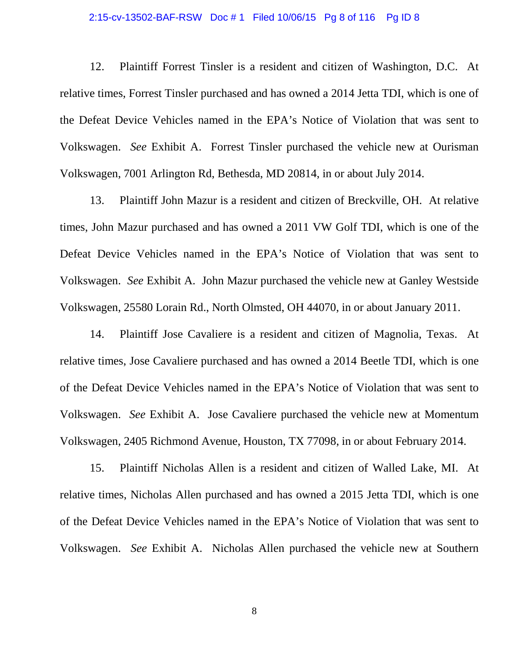## 2:15-cv-13502-BAF-RSW Doc # 1 Filed 10/06/15 Pg 8 of 116 Pg ID 8

12. Plaintiff Forrest Tinsler is a resident and citizen of Washington, D.C. At relative times, Forrest Tinsler purchased and has owned a 2014 Jetta TDI, which is one of the Defeat Device Vehicles named in the EPA's Notice of Violation that was sent to Volkswagen. *See* Exhibit A. Forrest Tinsler purchased the vehicle new at Ourisman Volkswagen, 7001 Arlington Rd, Bethesda, MD 20814, in or about July 2014.

13. Plaintiff John Mazur is a resident and citizen of Breckville, OH. At relative times, John Mazur purchased and has owned a 2011 VW Golf TDI, which is one of the Defeat Device Vehicles named in the EPA's Notice of Violation that was sent to Volkswagen. *See* Exhibit A. John Mazur purchased the vehicle new at Ganley Westside Volkswagen, 25580 Lorain Rd., North Olmsted, OH 44070, in or about January 2011.

14. Plaintiff Jose Cavaliere is a resident and citizen of Magnolia, Texas. At relative times, Jose Cavaliere purchased and has owned a 2014 Beetle TDI, which is one of the Defeat Device Vehicles named in the EPA's Notice of Violation that was sent to Volkswagen. *See* Exhibit A. Jose Cavaliere purchased the vehicle new at Momentum Volkswagen, 2405 Richmond Avenue, Houston, TX 77098, in or about February 2014.

15. Plaintiff Nicholas Allen is a resident and citizen of Walled Lake, MI. At relative times, Nicholas Allen purchased and has owned a 2015 Jetta TDI, which is one of the Defeat Device Vehicles named in the EPA's Notice of Violation that was sent to Volkswagen. *See* Exhibit A. Nicholas Allen purchased the vehicle new at Southern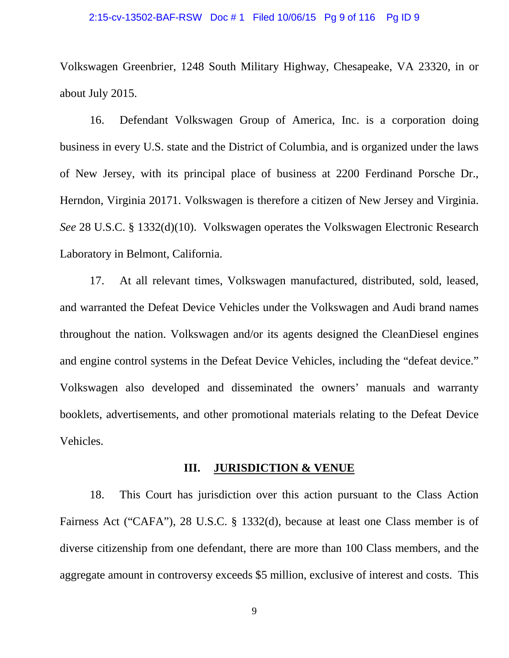### 2:15-cv-13502-BAF-RSW Doc # 1 Filed 10/06/15 Pg 9 of 116 Pg ID 9

Volkswagen Greenbrier, 1248 South Military Highway, Chesapeake, VA 23320, in or about July 2015.

16. Defendant Volkswagen Group of America, Inc. is a corporation doing business in every U.S. state and the District of Columbia, and is organized under the laws of New Jersey, with its principal place of business at 2200 Ferdinand Porsche Dr., Herndon, Virginia 20171. Volkswagen is therefore a citizen of New Jersey and Virginia. *See* 28 U.S.C. § 1332(d)(10). Volkswagen operates the Volkswagen Electronic Research Laboratory in Belmont, California.

17. At all relevant times, Volkswagen manufactured, distributed, sold, leased, and warranted the Defeat Device Vehicles under the Volkswagen and Audi brand names throughout the nation. Volkswagen and/or its agents designed the CleanDiesel engines and engine control systems in the Defeat Device Vehicles, including the "defeat device." Volkswagen also developed and disseminated the owners' manuals and warranty booklets, advertisements, and other promotional materials relating to the Defeat Device Vehicles.

## **III. JURISDICTION & VENUE**

18. This Court has jurisdiction over this action pursuant to the Class Action Fairness Act ("CAFA"), 28 U.S.C. § 1332(d), because at least one Class member is of diverse citizenship from one defendant, there are more than 100 Class members, and the aggregate amount in controversy exceeds \$5 million, exclusive of interest and costs. This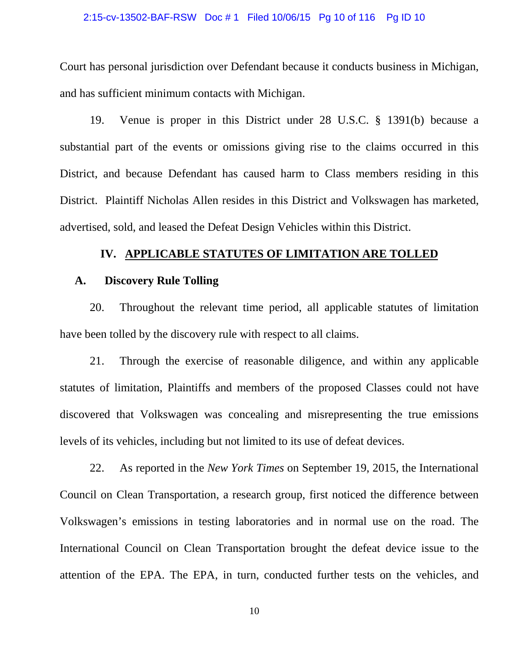### 2:15-cv-13502-BAF-RSW Doc # 1 Filed 10/06/15 Pg 10 of 116 Pg ID 10

Court has personal jurisdiction over Defendant because it conducts business in Michigan, and has sufficient minimum contacts with Michigan.

19. Venue is proper in this District under 28 U.S.C. § 1391(b) because a substantial part of the events or omissions giving rise to the claims occurred in this District, and because Defendant has caused harm to Class members residing in this District. Plaintiff Nicholas Allen resides in this District and Volkswagen has marketed, advertised, sold, and leased the Defeat Design Vehicles within this District.

### **IV. APPLICABLE STATUTES OF LIMITATION ARE TOLLED**

## **A. Discovery Rule Tolling**

20. Throughout the relevant time period, all applicable statutes of limitation have been tolled by the discovery rule with respect to all claims.

21. Through the exercise of reasonable diligence, and within any applicable statutes of limitation, Plaintiffs and members of the proposed Classes could not have discovered that Volkswagen was concealing and misrepresenting the true emissions levels of its vehicles, including but not limited to its use of defeat devices.

22. As reported in the *New York Times* on September 19, 2015, the International Council on Clean Transportation, a research group, first noticed the difference between Volkswagen's emissions in testing laboratories and in normal use on the road. The International Council on Clean Transportation brought the defeat device issue to the attention of the EPA. The EPA, in turn, conducted further tests on the vehicles, and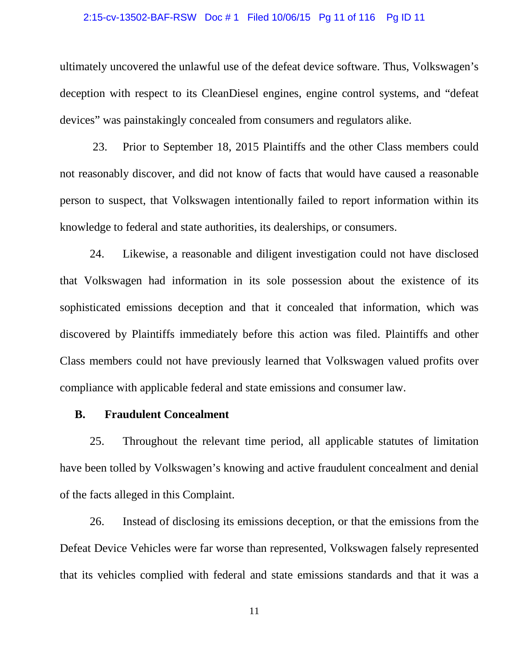### 2:15-cv-13502-BAF-RSW Doc # 1 Filed 10/06/15 Pg 11 of 116 Pg ID 11

ultimately uncovered the unlawful use of the defeat device software. Thus, Volkswagen's deception with respect to its CleanDiesel engines, engine control systems, and "defeat devices" was painstakingly concealed from consumers and regulators alike.

23. Prior to September 18, 2015 Plaintiffs and the other Class members could not reasonably discover, and did not know of facts that would have caused a reasonable person to suspect, that Volkswagen intentionally failed to report information within its knowledge to federal and state authorities, its dealerships, or consumers.

24. Likewise, a reasonable and diligent investigation could not have disclosed that Volkswagen had information in its sole possession about the existence of its sophisticated emissions deception and that it concealed that information, which was discovered by Plaintiffs immediately before this action was filed. Plaintiffs and other Class members could not have previously learned that Volkswagen valued profits over compliance with applicable federal and state emissions and consumer law.

## **B. Fraudulent Concealment**

25. Throughout the relevant time period, all applicable statutes of limitation have been tolled by Volkswagen's knowing and active fraudulent concealment and denial of the facts alleged in this Complaint.

26. Instead of disclosing its emissions deception, or that the emissions from the Defeat Device Vehicles were far worse than represented, Volkswagen falsely represented that its vehicles complied with federal and state emissions standards and that it was a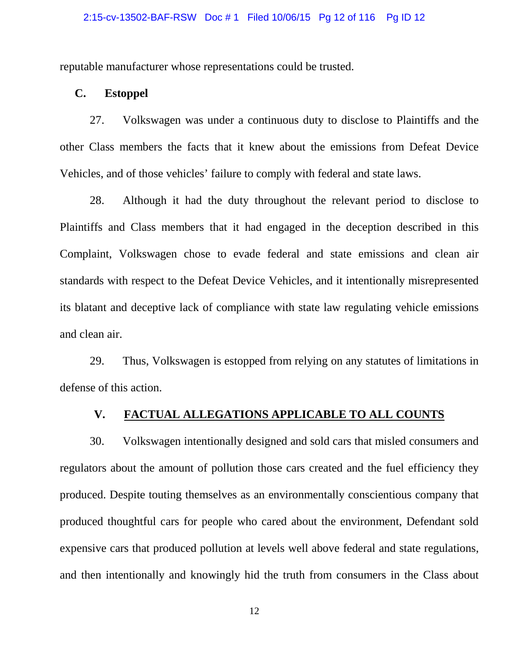### 2:15-cv-13502-BAF-RSW Doc # 1 Filed 10/06/15 Pg 12 of 116 Pg ID 12

reputable manufacturer whose representations could be trusted.

## **C. Estoppel**

27. Volkswagen was under a continuous duty to disclose to Plaintiffs and the other Class members the facts that it knew about the emissions from Defeat Device Vehicles, and of those vehicles' failure to comply with federal and state laws.

28. Although it had the duty throughout the relevant period to disclose to Plaintiffs and Class members that it had engaged in the deception described in this Complaint, Volkswagen chose to evade federal and state emissions and clean air standards with respect to the Defeat Device Vehicles, and it intentionally misrepresented its blatant and deceptive lack of compliance with state law regulating vehicle emissions and clean air.

29. Thus, Volkswagen is estopped from relying on any statutes of limitations in defense of this action.

## **V. FACTUAL ALLEGATIONS APPLICABLE TO ALL COUNTS**

30. Volkswagen intentionally designed and sold cars that misled consumers and regulators about the amount of pollution those cars created and the fuel efficiency they produced. Despite touting themselves as an environmentally conscientious company that produced thoughtful cars for people who cared about the environment, Defendant sold expensive cars that produced pollution at levels well above federal and state regulations, and then intentionally and knowingly hid the truth from consumers in the Class about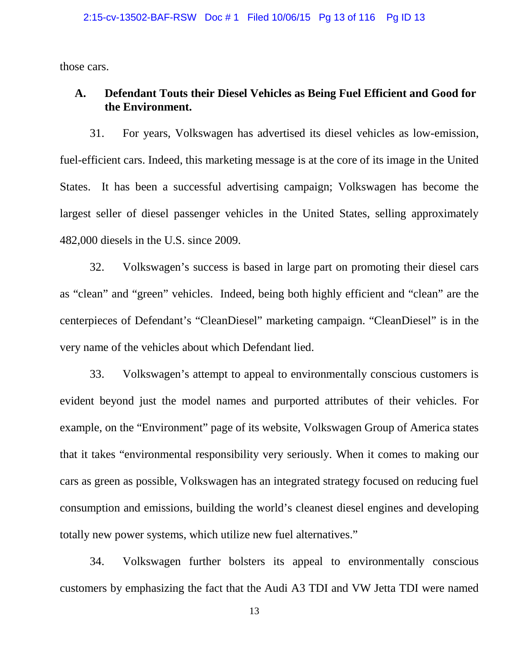those cars.

# **A. Defendant Touts their Diesel Vehicles as Being Fuel Efficient and Good for the Environment.**

31. For years, Volkswagen has advertised its diesel vehicles as low-emission, fuel-efficient cars. Indeed, this marketing message is at the core of its image in the United States. It has been a successful advertising campaign; Volkswagen has become the largest seller of diesel passenger vehicles in the United States, selling approximately 482,000 diesels in the U.S. since 2009.

32. Volkswagen's success is based in large part on promoting their diesel cars as "clean" and "green" vehicles. Indeed, being both highly efficient and "clean" are the centerpieces of Defendant's "CleanDiesel" marketing campaign. "CleanDiesel" is in the very name of the vehicles about which Defendant lied.

33. Volkswagen's attempt to appeal to environmentally conscious customers is evident beyond just the model names and purported attributes of their vehicles. For example, on the "Environment" page of its website, Volkswagen Group of America states that it takes "environmental responsibility very seriously. When it comes to making our cars as green as possible, Volkswagen has an integrated strategy focused on reducing fuel consumption and emissions, building the world's cleanest diesel engines and developing totally new power systems, which utilize new fuel alternatives."

34. Volkswagen further bolsters its appeal to environmentally conscious customers by emphasizing the fact that the Audi A3 TDI and VW Jetta TDI were named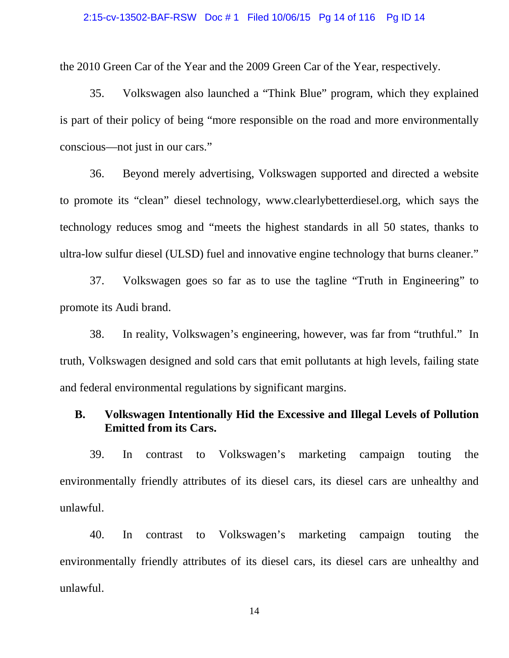### 2:15-cv-13502-BAF-RSW Doc # 1 Filed 10/06/15 Pg 14 of 116 Pg ID 14

the 2010 Green Car of the Year and the 2009 Green Car of the Year, respectively.

35. Volkswagen also launched a "Think Blue" program, which they explained is part of their policy of being "more responsible on the road and more environmentally conscious—not just in our cars."

36. Beyond merely advertising, Volkswagen supported and directed a website to promote its "clean" diesel technology, www.clearlybetterdiesel.org, which says the technology reduces smog and "meets the highest standards in all 50 states, thanks to ultra-low sulfur diesel (ULSD) fuel and innovative engine technology that burns cleaner."

37. Volkswagen goes so far as to use the tagline "Truth in Engineering" to promote its Audi brand.

38. In reality, Volkswagen's engineering, however, was far from "truthful." In truth, Volkswagen designed and sold cars that emit pollutants at high levels, failing state and federal environmental regulations by significant margins.

# **B. Volkswagen Intentionally Hid the Excessive and Illegal Levels of Pollution Emitted from its Cars.**

39. In contrast to Volkswagen's marketing campaign touting the environmentally friendly attributes of its diesel cars, its diesel cars are unhealthy and unlawful.

40. In contrast to Volkswagen's marketing campaign touting the environmentally friendly attributes of its diesel cars, its diesel cars are unhealthy and unlawful.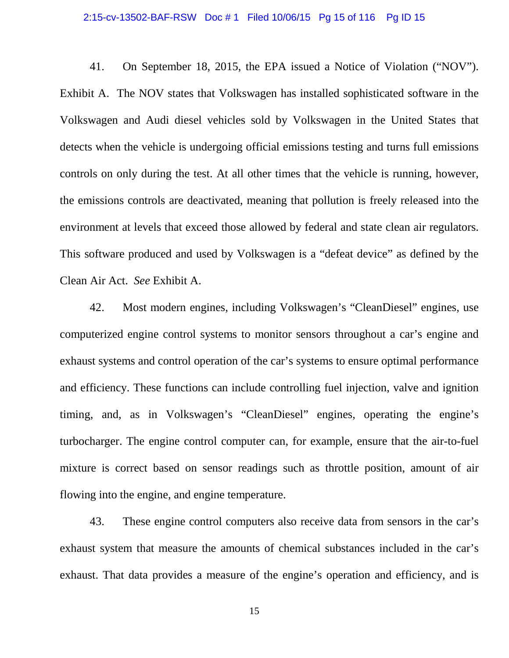### 2:15-cv-13502-BAF-RSW Doc # 1 Filed 10/06/15 Pg 15 of 116 Pg ID 15

41. On September 18, 2015, the EPA issued a Notice of Violation ("NOV"). Exhibit A. The NOV states that Volkswagen has installed sophisticated software in the Volkswagen and Audi diesel vehicles sold by Volkswagen in the United States that detects when the vehicle is undergoing official emissions testing and turns full emissions controls on only during the test. At all other times that the vehicle is running, however, the emissions controls are deactivated, meaning that pollution is freely released into the environment at levels that exceed those allowed by federal and state clean air regulators. This software produced and used by Volkswagen is a "defeat device" as defined by the Clean Air Act. *See* Exhibit A.

42. Most modern engines, including Volkswagen's "CleanDiesel" engines, use computerized engine control systems to monitor sensors throughout a car's engine and exhaust systems and control operation of the car's systems to ensure optimal performance and efficiency. These functions can include controlling fuel injection, valve and ignition timing, and, as in Volkswagen's "CleanDiesel" engines, operating the engine's turbocharger. The engine control computer can, for example, ensure that the air-to-fuel mixture is correct based on sensor readings such as throttle position, amount of air flowing into the engine, and engine temperature.

43. These engine control computers also receive data from sensors in the car's exhaust system that measure the amounts of chemical substances included in the car's exhaust. That data provides a measure of the engine's operation and efficiency, and is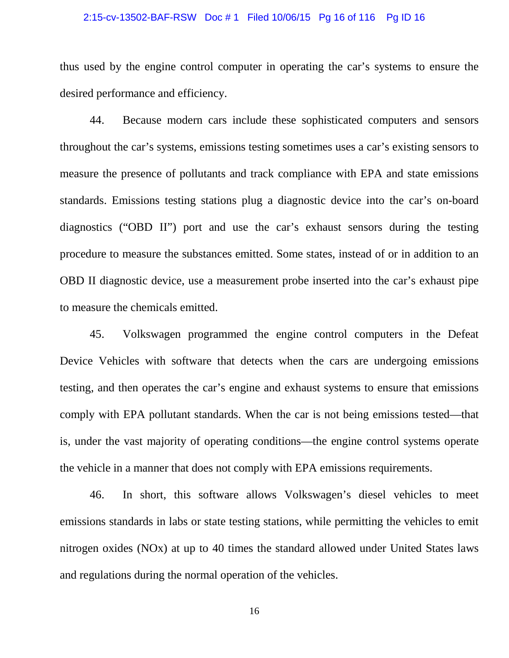### 2:15-cv-13502-BAF-RSW Doc # 1 Filed 10/06/15 Pg 16 of 116 Pg ID 16

thus used by the engine control computer in operating the car's systems to ensure the desired performance and efficiency.

44. Because modern cars include these sophisticated computers and sensors throughout the car's systems, emissions testing sometimes uses a car's existing sensors to measure the presence of pollutants and track compliance with EPA and state emissions standards. Emissions testing stations plug a diagnostic device into the car's on-board diagnostics ("OBD II") port and use the car's exhaust sensors during the testing procedure to measure the substances emitted. Some states, instead of or in addition to an OBD II diagnostic device, use a measurement probe inserted into the car's exhaust pipe to measure the chemicals emitted.

45. Volkswagen programmed the engine control computers in the Defeat Device Vehicles with software that detects when the cars are undergoing emissions testing, and then operates the car's engine and exhaust systems to ensure that emissions comply with EPA pollutant standards. When the car is not being emissions tested—that is, under the vast majority of operating conditions—the engine control systems operate the vehicle in a manner that does not comply with EPA emissions requirements.

46. In short, this software allows Volkswagen's diesel vehicles to meet emissions standards in labs or state testing stations, while permitting the vehicles to emit nitrogen oxides (NOx) at up to 40 times the standard allowed under United States laws and regulations during the normal operation of the vehicles.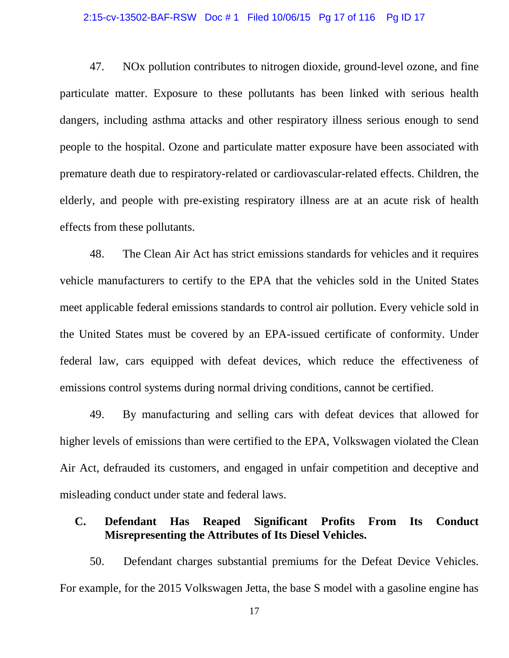### 2:15-cv-13502-BAF-RSW Doc # 1 Filed 10/06/15 Pg 17 of 116 Pg ID 17

47. NOx pollution contributes to nitrogen dioxide, ground-level ozone, and fine particulate matter. Exposure to these pollutants has been linked with serious health dangers, including asthma attacks and other respiratory illness serious enough to send people to the hospital. Ozone and particulate matter exposure have been associated with premature death due to respiratory-related or cardiovascular-related effects. Children, the elderly, and people with pre-existing respiratory illness are at an acute risk of health effects from these pollutants.

48. The Clean Air Act has strict emissions standards for vehicles and it requires vehicle manufacturers to certify to the EPA that the vehicles sold in the United States meet applicable federal emissions standards to control air pollution. Every vehicle sold in the United States must be covered by an EPA-issued certificate of conformity. Under federal law, cars equipped with defeat devices, which reduce the effectiveness of emissions control systems during normal driving conditions, cannot be certified.

49. By manufacturing and selling cars with defeat devices that allowed for higher levels of emissions than were certified to the EPA, Volkswagen violated the Clean Air Act, defrauded its customers, and engaged in unfair competition and deceptive and misleading conduct under state and federal laws.

## **C. Defendant Has Reaped Significant Profits From Its Conduct Misrepresenting the Attributes of Its Diesel Vehicles.**

50. Defendant charges substantial premiums for the Defeat Device Vehicles. For example, for the 2015 Volkswagen Jetta, the base S model with a gasoline engine has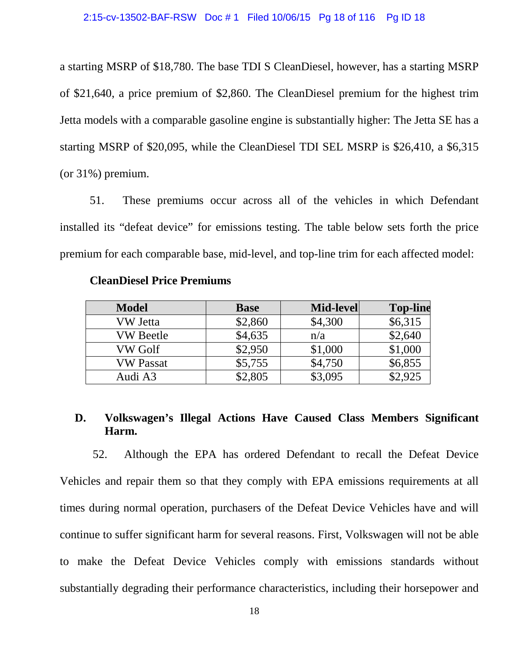a starting MSRP of \$18,780. The base TDI S CleanDiesel, however, has a starting MSRP of \$21,640, a price premium of \$2,860. The CleanDiesel premium for the highest trim Jetta models with a comparable gasoline engine is substantially higher: The Jetta SE has a starting MSRP of \$20,095, while the CleanDiesel TDI SEL MSRP is \$26,410, a \$6,315 (or 31%) premium.

51. These premiums occur across all of the vehicles in which Defendant installed its "defeat device" for emissions testing. The table below sets forth the price premium for each comparable base, mid-level, and top-line trim for each affected model:

| <b>Model</b>     | <b>Base</b> | Mid-level | <b>Top-line</b> |
|------------------|-------------|-----------|-----------------|
| VW Jetta         | \$2,860     | \$4,300   | \$6,315         |
| <b>VW Beetle</b> | \$4,635     | n/a       | \$2,640         |
| VW Golf          | \$2,950     | \$1,000   | \$1,000         |
| <b>VW Passat</b> | \$5,755     | \$4,750   | \$6,855         |
| Audi A3          | \$2,805     | \$3,095   | \$2,925         |

## **D. Volkswagen's Illegal Actions Have Caused Class Members Significant Harm.**

52. Although the EPA has ordered Defendant to recall the Defeat Device Vehicles and repair them so that they comply with EPA emissions requirements at all times during normal operation, purchasers of the Defeat Device Vehicles have and will continue to suffer significant harm for several reasons. First, Volkswagen will not be able to make the Defeat Device Vehicles comply with emissions standards without substantially degrading their performance characteristics, including their horsepower and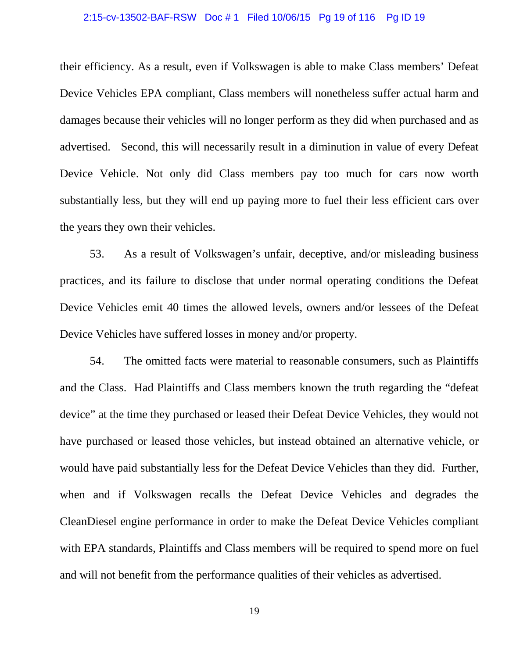### 2:15-cv-13502-BAF-RSW Doc # 1 Filed 10/06/15 Pg 19 of 116 Pg ID 19

their efficiency. As a result, even if Volkswagen is able to make Class members' Defeat Device Vehicles EPA compliant, Class members will nonetheless suffer actual harm and damages because their vehicles will no longer perform as they did when purchased and as advertised. Second, this will necessarily result in a diminution in value of every Defeat Device Vehicle. Not only did Class members pay too much for cars now worth substantially less, but they will end up paying more to fuel their less efficient cars over the years they own their vehicles.

53. As a result of Volkswagen's unfair, deceptive, and/or misleading business practices, and its failure to disclose that under normal operating conditions the Defeat Device Vehicles emit 40 times the allowed levels, owners and/or lessees of the Defeat Device Vehicles have suffered losses in money and/or property.

54. The omitted facts were material to reasonable consumers, such as Plaintiffs and the Class. Had Plaintiffs and Class members known the truth regarding the "defeat device" at the time they purchased or leased their Defeat Device Vehicles, they would not have purchased or leased those vehicles, but instead obtained an alternative vehicle, or would have paid substantially less for the Defeat Device Vehicles than they did. Further, when and if Volkswagen recalls the Defeat Device Vehicles and degrades the CleanDiesel engine performance in order to make the Defeat Device Vehicles compliant with EPA standards, Plaintiffs and Class members will be required to spend more on fuel and will not benefit from the performance qualities of their vehicles as advertised.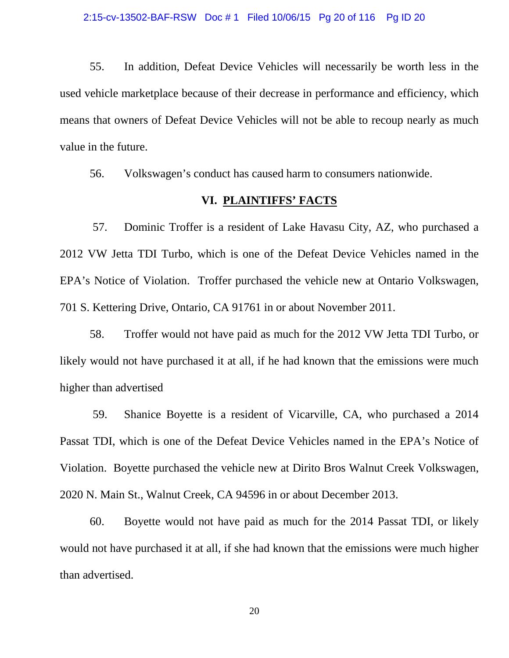55. In addition, Defeat Device Vehicles will necessarily be worth less in the used vehicle marketplace because of their decrease in performance and efficiency, which means that owners of Defeat Device Vehicles will not be able to recoup nearly as much value in the future.

56. Volkswagen's conduct has caused harm to consumers nationwide.

### **VI. PLAINTIFFS' FACTS**

57. Dominic Troffer is a resident of Lake Havasu City, AZ, who purchased a 2012 VW Jetta TDI Turbo, which is one of the Defeat Device Vehicles named in the EPA's Notice of Violation. Troffer purchased the vehicle new at Ontario Volkswagen, 701 S. Kettering Drive, Ontario, CA 91761 in or about November 2011.

58. Troffer would not have paid as much for the 2012 VW Jetta TDI Turbo, or likely would not have purchased it at all, if he had known that the emissions were much higher than advertised

59. Shanice Boyette is a resident of Vicarville, CA, who purchased a 2014 Passat TDI, which is one of the Defeat Device Vehicles named in the EPA's Notice of Violation. Boyette purchased the vehicle new at Dirito Bros Walnut Creek Volkswagen, 2020 N. Main St., Walnut Creek, CA 94596 in or about December 2013.

60. Boyette would not have paid as much for the 2014 Passat TDI, or likely would not have purchased it at all, if she had known that the emissions were much higher than advertised.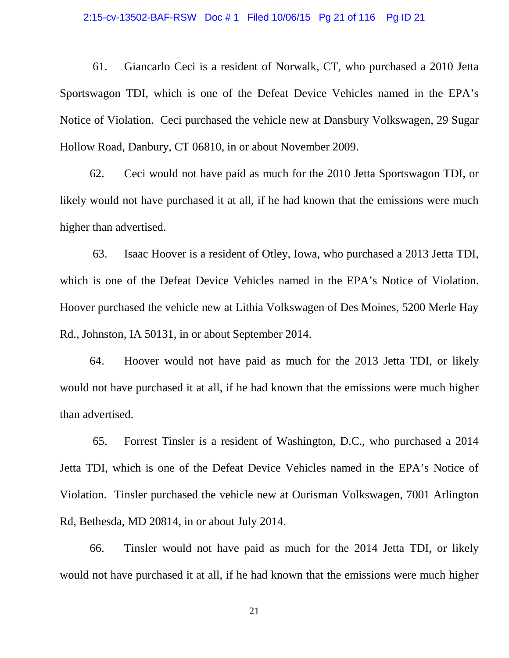### 2:15-cv-13502-BAF-RSW Doc # 1 Filed 10/06/15 Pg 21 of 116 Pg ID 21

61. Giancarlo Ceci is a resident of Norwalk, CT, who purchased a 2010 Jetta Sportswagon TDI, which is one of the Defeat Device Vehicles named in the EPA's Notice of Violation. Ceci purchased the vehicle new at Dansbury Volkswagen, 29 Sugar Hollow Road, Danbury, CT 06810, in or about November 2009.

62. Ceci would not have paid as much for the 2010 Jetta Sportswagon TDI, or likely would not have purchased it at all, if he had known that the emissions were much higher than advertised.

63. Isaac Hoover is a resident of Otley, Iowa, who purchased a 2013 Jetta TDI, which is one of the Defeat Device Vehicles named in the EPA's Notice of Violation. Hoover purchased the vehicle new at Lithia Volkswagen of Des Moines, 5200 Merle Hay Rd., Johnston, IA 50131, in or about September 2014.

64. Hoover would not have paid as much for the 2013 Jetta TDI, or likely would not have purchased it at all, if he had known that the emissions were much higher than advertised.

65. Forrest Tinsler is a resident of Washington, D.C., who purchased a 2014 Jetta TDI, which is one of the Defeat Device Vehicles named in the EPA's Notice of Violation. Tinsler purchased the vehicle new at Ourisman Volkswagen, 7001 Arlington Rd, Bethesda, MD 20814, in or about July 2014.

66. Tinsler would not have paid as much for the 2014 Jetta TDI, or likely would not have purchased it at all, if he had known that the emissions were much higher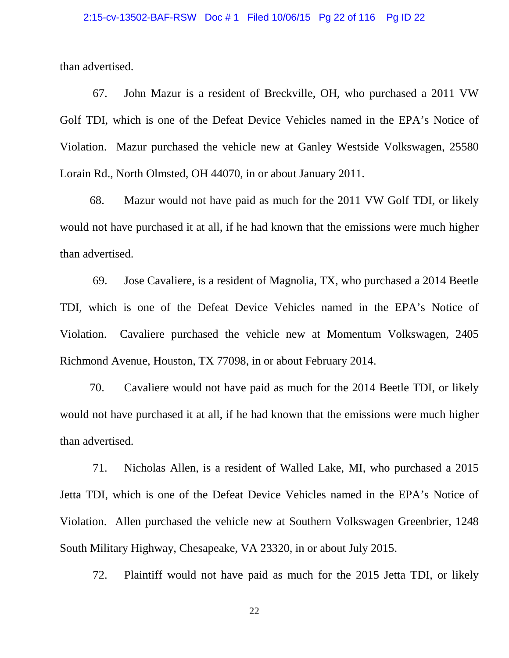than advertised.

67. John Mazur is a resident of Breckville, OH, who purchased a 2011 VW Golf TDI, which is one of the Defeat Device Vehicles named in the EPA's Notice of Violation. Mazur purchased the vehicle new at Ganley Westside Volkswagen, 25580 Lorain Rd., North Olmsted, OH 44070, in or about January 2011.

68. Mazur would not have paid as much for the 2011 VW Golf TDI, or likely would not have purchased it at all, if he had known that the emissions were much higher than advertised.

69. Jose Cavaliere, is a resident of Magnolia, TX, who purchased a 2014 Beetle TDI, which is one of the Defeat Device Vehicles named in the EPA's Notice of Violation. Cavaliere purchased the vehicle new at Momentum Volkswagen, 2405 Richmond Avenue, Houston, TX 77098, in or about February 2014.

70. Cavaliere would not have paid as much for the 2014 Beetle TDI, or likely would not have purchased it at all, if he had known that the emissions were much higher than advertised.

71. Nicholas Allen, is a resident of Walled Lake, MI, who purchased a 2015 Jetta TDI, which is one of the Defeat Device Vehicles named in the EPA's Notice of Violation. Allen purchased the vehicle new at Southern Volkswagen Greenbrier, 1248 South Military Highway, Chesapeake, VA 23320, in or about July 2015.

72. Plaintiff would not have paid as much for the 2015 Jetta TDI, or likely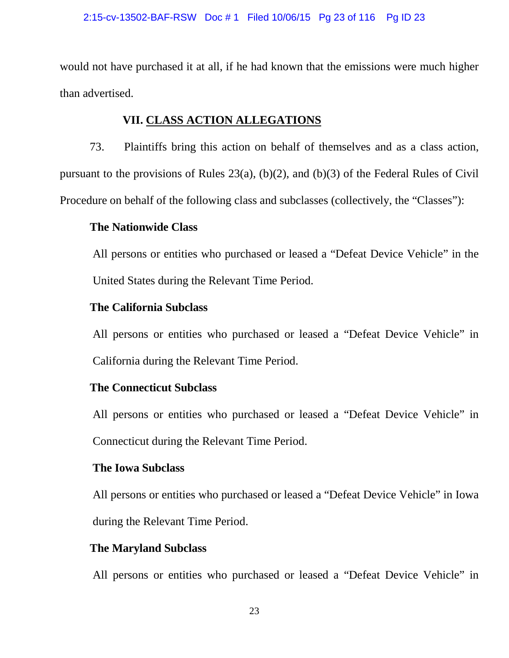would not have purchased it at all, if he had known that the emissions were much higher than advertised.

# **VII. CLASS ACTION ALLEGATIONS**

73. Plaintiffs bring this action on behalf of themselves and as a class action, pursuant to the provisions of Rules 23(a), (b)(2), and (b)(3) of the Federal Rules of Civil Procedure on behalf of the following class and subclasses (collectively, the "Classes"):

## **The Nationwide Class**

All persons or entities who purchased or leased a "Defeat Device Vehicle" in the United States during the Relevant Time Period.

# **The California Subclass**

All persons or entities who purchased or leased a "Defeat Device Vehicle" in California during the Relevant Time Period.

# **The Connecticut Subclass**

All persons or entities who purchased or leased a "Defeat Device Vehicle" in Connecticut during the Relevant Time Period.

## **The Iowa Subclass**

All persons or entities who purchased or leased a "Defeat Device Vehicle" in Iowa during the Relevant Time Period.

## **The Maryland Subclass**

All persons or entities who purchased or leased a "Defeat Device Vehicle" in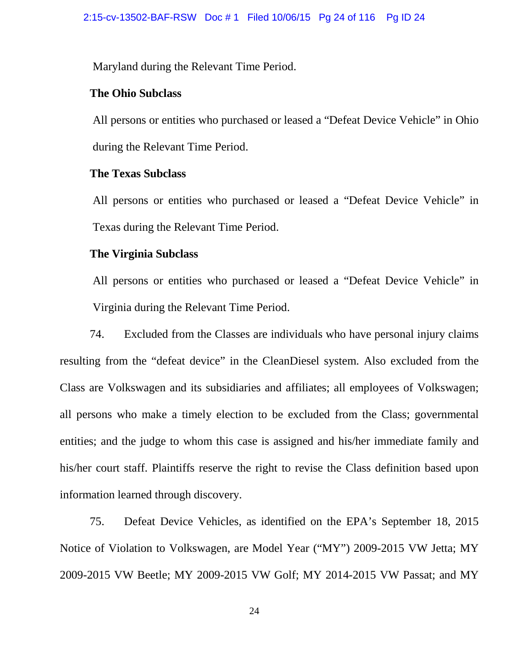Maryland during the Relevant Time Period.

## **The Ohio Subclass**

All persons or entities who purchased or leased a "Defeat Device Vehicle" in Ohio during the Relevant Time Period.

## **The Texas Subclass**

All persons or entities who purchased or leased a "Defeat Device Vehicle" in Texas during the Relevant Time Period.

## **The Virginia Subclass**

All persons or entities who purchased or leased a "Defeat Device Vehicle" in Virginia during the Relevant Time Period.

74. Excluded from the Classes are individuals who have personal injury claims resulting from the "defeat device" in the CleanDiesel system. Also excluded from the Class are Volkswagen and its subsidiaries and affiliates; all employees of Volkswagen; all persons who make a timely election to be excluded from the Class; governmental entities; and the judge to whom this case is assigned and his/her immediate family and his/her court staff. Plaintiffs reserve the right to revise the Class definition based upon information learned through discovery.

75. Defeat Device Vehicles, as identified on the EPA's September 18, 2015 Notice of Violation to Volkswagen, are Model Year ("MY") 2009-2015 VW Jetta; MY 2009-2015 VW Beetle; MY 2009-2015 VW Golf; MY 2014-2015 VW Passat; and MY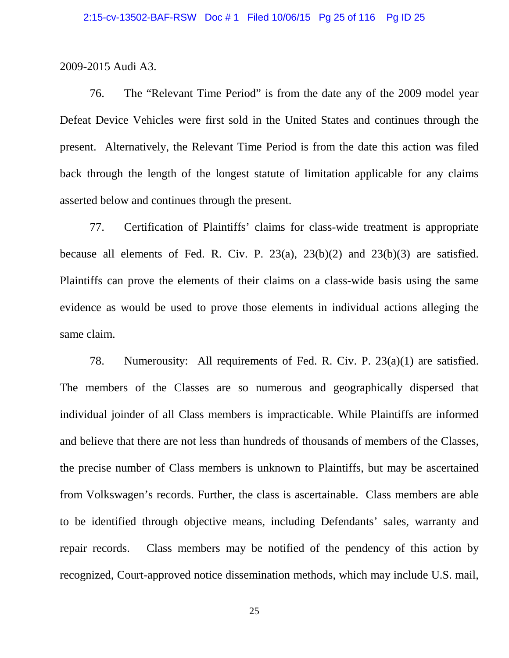2009-2015 Audi A3.

76. The "Relevant Time Period" is from the date any of the 2009 model year Defeat Device Vehicles were first sold in the United States and continues through the present. Alternatively, the Relevant Time Period is from the date this action was filed back through the length of the longest statute of limitation applicable for any claims asserted below and continues through the present.

77. Certification of Plaintiffs' claims for class-wide treatment is appropriate because all elements of Fed. R. Civ. P. 23(a), 23(b)(2) and 23(b)(3) are satisfied. Plaintiffs can prove the elements of their claims on a class-wide basis using the same evidence as would be used to prove those elements in individual actions alleging the same claim.

78. Numerousity: All requirements of Fed. R. Civ. P. 23(a)(1) are satisfied. The members of the Classes are so numerous and geographically dispersed that individual joinder of all Class members is impracticable. While Plaintiffs are informed and believe that there are not less than hundreds of thousands of members of the Classes, the precise number of Class members is unknown to Plaintiffs, but may be ascertained from Volkswagen's records. Further, the class is ascertainable. Class members are able to be identified through objective means, including Defendants' sales, warranty and repair records. Class members may be notified of the pendency of this action by recognized, Court-approved notice dissemination methods, which may include U.S. mail,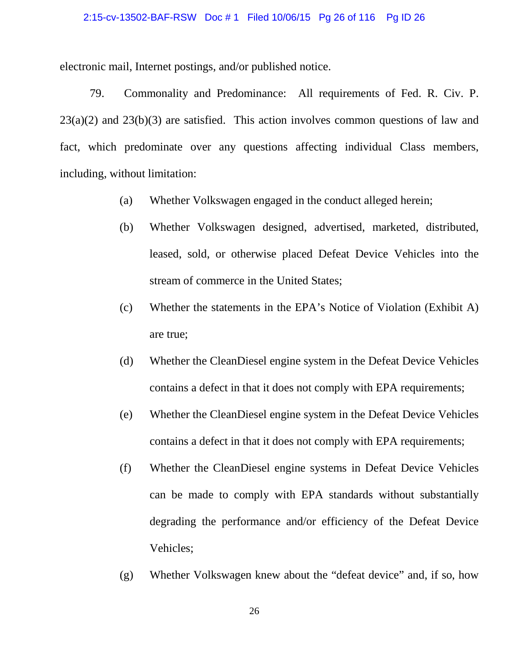### 2:15-cv-13502-BAF-RSW Doc # 1 Filed 10/06/15 Pg 26 of 116 Pg ID 26

electronic mail, Internet postings, and/or published notice.

79. Commonality and Predominance: All requirements of Fed. R. Civ. P.  $23(a)(2)$  and  $23(b)(3)$  are satisfied. This action involves common questions of law and fact, which predominate over any questions affecting individual Class members, including, without limitation:

- (a) Whether Volkswagen engaged in the conduct alleged herein;
- (b) Whether Volkswagen designed, advertised, marketed, distributed, leased, sold, or otherwise placed Defeat Device Vehicles into the stream of commerce in the United States;
- (c) Whether the statements in the EPA's Notice of Violation (Exhibit A) are true;
- (d) Whether the CleanDiesel engine system in the Defeat Device Vehicles contains a defect in that it does not comply with EPA requirements;
- (e) Whether the CleanDiesel engine system in the Defeat Device Vehicles contains a defect in that it does not comply with EPA requirements;
- (f) Whether the CleanDiesel engine systems in Defeat Device Vehicles can be made to comply with EPA standards without substantially degrading the performance and/or efficiency of the Defeat Device Vehicles;
- (g) Whether Volkswagen knew about the "defeat device" and, if so, how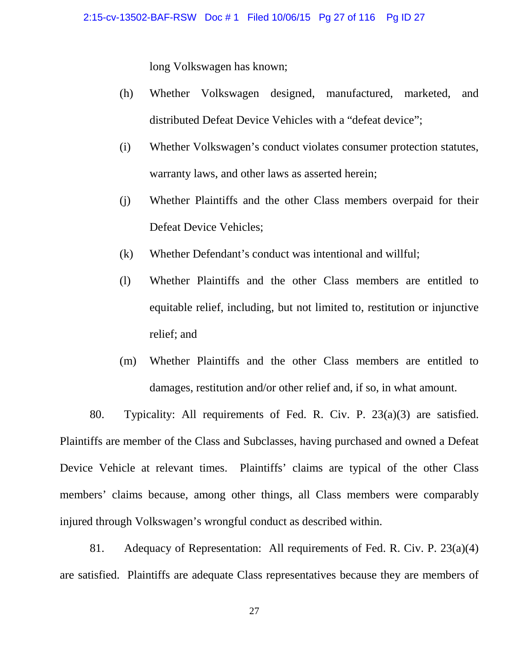long Volkswagen has known;

- (h) Whether Volkswagen designed, manufactured, marketed, and distributed Defeat Device Vehicles with a "defeat device";
- (i) Whether Volkswagen's conduct violates consumer protection statutes, warranty laws, and other laws as asserted herein;
- (j) Whether Plaintiffs and the other Class members overpaid for their Defeat Device Vehicles;
- (k) Whether Defendant's conduct was intentional and willful;
- (l) Whether Plaintiffs and the other Class members are entitled to equitable relief, including, but not limited to, restitution or injunctive relief; and
- (m) Whether Plaintiffs and the other Class members are entitled to damages, restitution and/or other relief and, if so, in what amount.

80. Typicality: All requirements of Fed. R. Civ. P. 23(a)(3) are satisfied. Plaintiffs are member of the Class and Subclasses, having purchased and owned a Defeat Device Vehicle at relevant times. Plaintiffs' claims are typical of the other Class members' claims because, among other things, all Class members were comparably injured through Volkswagen's wrongful conduct as described within.

81. Adequacy of Representation: All requirements of Fed. R. Civ. P. 23(a)(4) are satisfied. Plaintiffs are adequate Class representatives because they are members of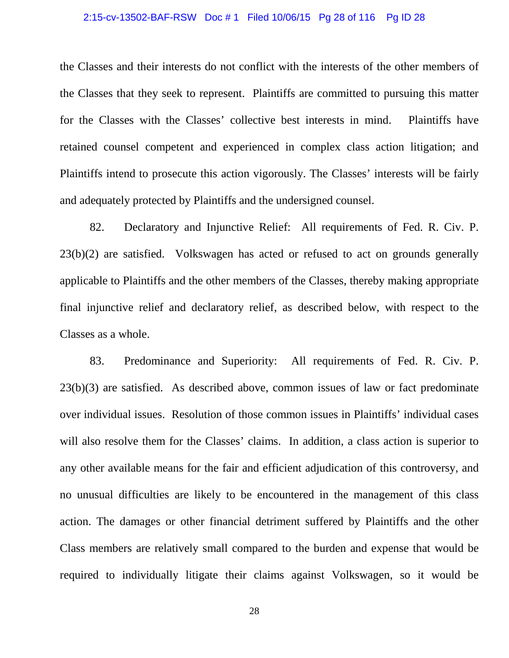### 2:15-cv-13502-BAF-RSW Doc # 1 Filed 10/06/15 Pg 28 of 116 Pg ID 28

the Classes and their interests do not conflict with the interests of the other members of the Classes that they seek to represent. Plaintiffs are committed to pursuing this matter for the Classes with the Classes' collective best interests in mind. Plaintiffs have retained counsel competent and experienced in complex class action litigation; and Plaintiffs intend to prosecute this action vigorously. The Classes' interests will be fairly and adequately protected by Plaintiffs and the undersigned counsel.

82. Declaratory and Injunctive Relief: All requirements of Fed. R. Civ. P. 23(b)(2) are satisfied. Volkswagen has acted or refused to act on grounds generally applicable to Plaintiffs and the other members of the Classes, thereby making appropriate final injunctive relief and declaratory relief, as described below, with respect to the Classes as a whole.

83. Predominance and Superiority: All requirements of Fed. R. Civ. P. 23(b)(3) are satisfied. As described above, common issues of law or fact predominate over individual issues. Resolution of those common issues in Plaintiffs' individual cases will also resolve them for the Classes' claims. In addition, a class action is superior to any other available means for the fair and efficient adjudication of this controversy, and no unusual difficulties are likely to be encountered in the management of this class action. The damages or other financial detriment suffered by Plaintiffs and the other Class members are relatively small compared to the burden and expense that would be required to individually litigate their claims against Volkswagen, so it would be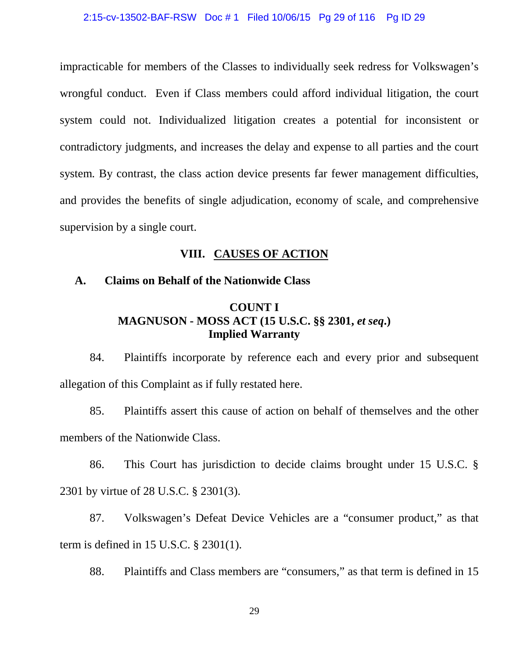impracticable for members of the Classes to individually seek redress for Volkswagen's wrongful conduct. Even if Class members could afford individual litigation, the court system could not. Individualized litigation creates a potential for inconsistent or contradictory judgments, and increases the delay and expense to all parties and the court system. By contrast, the class action device presents far fewer management difficulties, and provides the benefits of single adjudication, economy of scale, and comprehensive supervision by a single court.

## **VIII. CAUSES OF ACTION**

## **A. Claims on Behalf of the Nationwide Class**

## **COUNT I MAGNUSON - MOSS ACT (15 U.S.C. §§ 2301,** *et seq***.) Implied Warranty**

84. Plaintiffs incorporate by reference each and every prior and subsequent allegation of this Complaint as if fully restated here.

85. Plaintiffs assert this cause of action on behalf of themselves and the other members of the Nationwide Class.

86. This Court has jurisdiction to decide claims brought under 15 U.S.C. § 2301 by virtue of 28 U.S.C. § 2301(3).

87. Volkswagen's Defeat Device Vehicles are a "consumer product," as that term is defined in 15 U.S.C. § 2301(1).

88. Plaintiffs and Class members are "consumers," as that term is defined in 15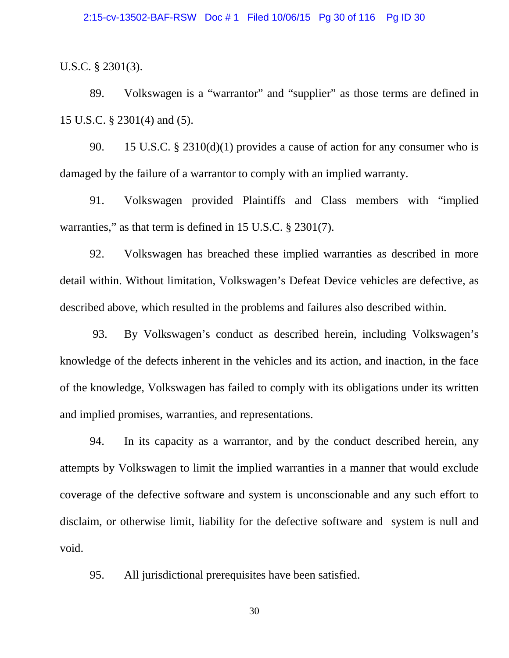U.S.C. § 2301(3).

89. Volkswagen is a "warrantor" and "supplier" as those terms are defined in 15 U.S.C. § 2301(4) and (5).

90. 15 U.S.C. § 2310(d)(1) provides a cause of action for any consumer who is damaged by the failure of a warrantor to comply with an implied warranty.

91. Volkswagen provided Plaintiffs and Class members with "implied warranties," as that term is defined in 15 U.S.C. § 2301(7).

92. Volkswagen has breached these implied warranties as described in more detail within. Without limitation, Volkswagen's Defeat Device vehicles are defective, as described above, which resulted in the problems and failures also described within.

93. By Volkswagen's conduct as described herein, including Volkswagen's knowledge of the defects inherent in the vehicles and its action, and inaction, in the face of the knowledge, Volkswagen has failed to comply with its obligations under its written and implied promises, warranties, and representations.

94. In its capacity as a warrantor, and by the conduct described herein, any attempts by Volkswagen to limit the implied warranties in a manner that would exclude coverage of the defective software and system is unconscionable and any such effort to disclaim, or otherwise limit, liability for the defective software and system is null and void.

95. All jurisdictional prerequisites have been satisfied.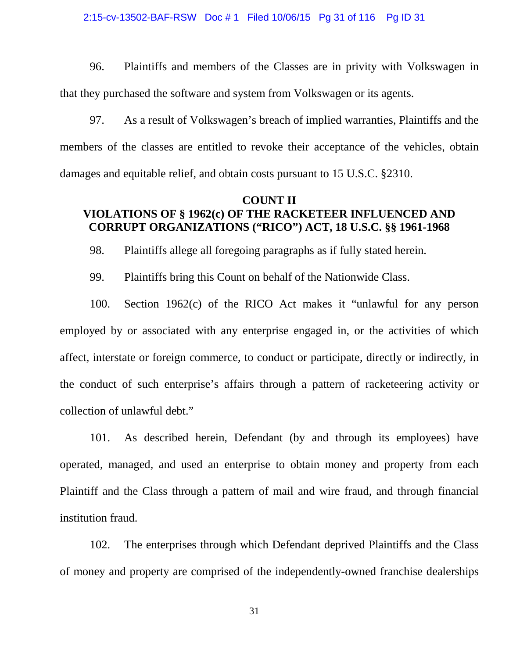### 2:15-cv-13502-BAF-RSW Doc # 1 Filed 10/06/15 Pg 31 of 116 Pg ID 31

96. Plaintiffs and members of the Classes are in privity with Volkswagen in that they purchased the software and system from Volkswagen or its agents.

97. As a result of Volkswagen's breach of implied warranties, Plaintiffs and the members of the classes are entitled to revoke their acceptance of the vehicles, obtain damages and equitable relief, and obtain costs pursuant to 15 U.S.C. §2310.

## **COUNT II VIOLATIONS OF § 1962(c) OF THE RACKETEER INFLUENCED AND CORRUPT ORGANIZATIONS ("RICO") ACT, 18 U.S.C. §§ 1961-1968**

98. Plaintiffs allege all foregoing paragraphs as if fully stated herein.

99. Plaintiffs bring this Count on behalf of the Nationwide Class.

100. Section 1962(c) of the RICO Act makes it "unlawful for any person employed by or associated with any enterprise engaged in, or the activities of which affect, interstate or foreign commerce, to conduct or participate, directly or indirectly, in the conduct of such enterprise's affairs through a pattern of racketeering activity or collection of unlawful debt."

101. As described herein, Defendant (by and through its employees) have operated, managed, and used an enterprise to obtain money and property from each Plaintiff and the Class through a pattern of mail and wire fraud, and through financial institution fraud.

102. The enterprises through which Defendant deprived Plaintiffs and the Class of money and property are comprised of the independently-owned franchise dealerships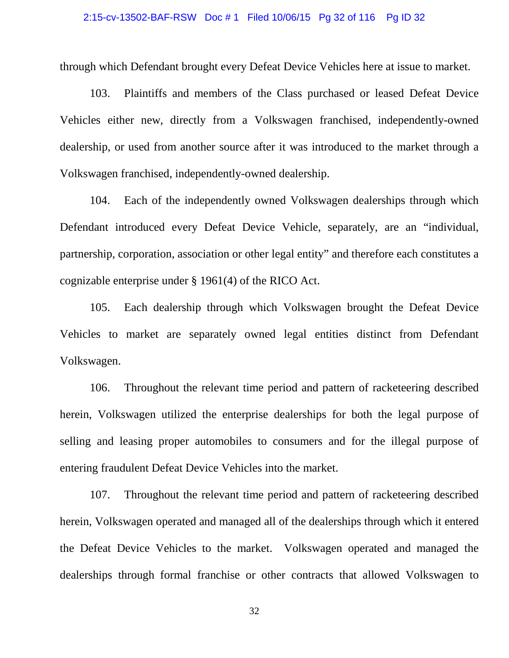### 2:15-cv-13502-BAF-RSW Doc # 1 Filed 10/06/15 Pg 32 of 116 Pg ID 32

through which Defendant brought every Defeat Device Vehicles here at issue to market.

103. Plaintiffs and members of the Class purchased or leased Defeat Device Vehicles either new, directly from a Volkswagen franchised, independently-owned dealership, or used from another source after it was introduced to the market through a Volkswagen franchised, independently-owned dealership.

104. Each of the independently owned Volkswagen dealerships through which Defendant introduced every Defeat Device Vehicle, separately, are an "individual, partnership, corporation, association or other legal entity" and therefore each constitutes a cognizable enterprise under § 1961(4) of the RICO Act.

105. Each dealership through which Volkswagen brought the Defeat Device Vehicles to market are separately owned legal entities distinct from Defendant Volkswagen.

106. Throughout the relevant time period and pattern of racketeering described herein, Volkswagen utilized the enterprise dealerships for both the legal purpose of selling and leasing proper automobiles to consumers and for the illegal purpose of entering fraudulent Defeat Device Vehicles into the market.

107. Throughout the relevant time period and pattern of racketeering described herein, Volkswagen operated and managed all of the dealerships through which it entered the Defeat Device Vehicles to the market. Volkswagen operated and managed the dealerships through formal franchise or other contracts that allowed Volkswagen to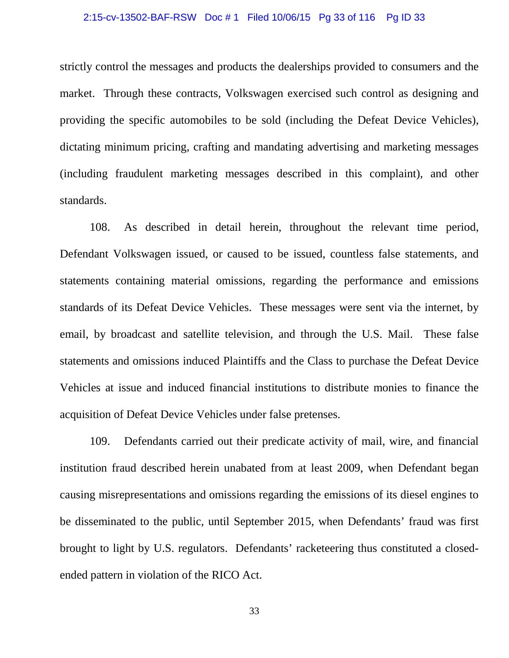#### 2:15-cv-13502-BAF-RSW Doc # 1 Filed 10/06/15 Pg 33 of 116 Pg ID 33

strictly control the messages and products the dealerships provided to consumers and the market. Through these contracts, Volkswagen exercised such control as designing and providing the specific automobiles to be sold (including the Defeat Device Vehicles), dictating minimum pricing, crafting and mandating advertising and marketing messages (including fraudulent marketing messages described in this complaint), and other standards.

108. As described in detail herein, throughout the relevant time period, Defendant Volkswagen issued, or caused to be issued, countless false statements, and statements containing material omissions, regarding the performance and emissions standards of its Defeat Device Vehicles. These messages were sent via the internet, by email, by broadcast and satellite television, and through the U.S. Mail. These false statements and omissions induced Plaintiffs and the Class to purchase the Defeat Device Vehicles at issue and induced financial institutions to distribute monies to finance the acquisition of Defeat Device Vehicles under false pretenses.

109. Defendants carried out their predicate activity of mail, wire, and financial institution fraud described herein unabated from at least 2009, when Defendant began causing misrepresentations and omissions regarding the emissions of its diesel engines to be disseminated to the public, until September 2015, when Defendants' fraud was first brought to light by U.S. regulators. Defendants' racketeering thus constituted a closedended pattern in violation of the RICO Act.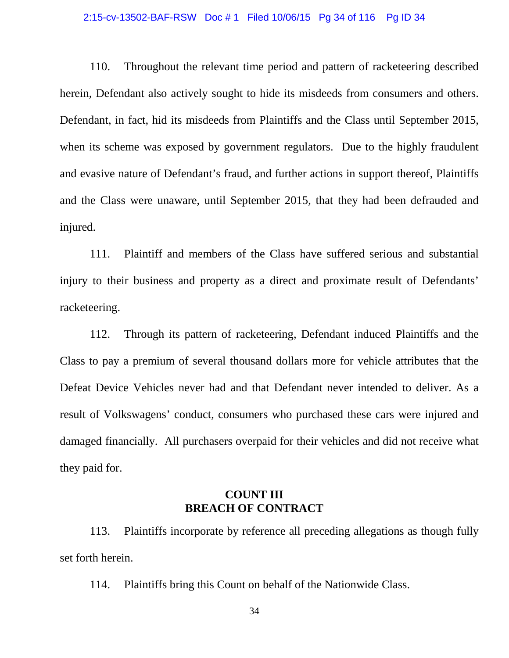### 2:15-cv-13502-BAF-RSW Doc # 1 Filed 10/06/15 Pg 34 of 116 Pg ID 34

110. Throughout the relevant time period and pattern of racketeering described herein, Defendant also actively sought to hide its misdeeds from consumers and others. Defendant, in fact, hid its misdeeds from Plaintiffs and the Class until September 2015, when its scheme was exposed by government regulators. Due to the highly fraudulent and evasive nature of Defendant's fraud, and further actions in support thereof, Plaintiffs and the Class were unaware, until September 2015, that they had been defrauded and injured.

111. Plaintiff and members of the Class have suffered serious and substantial injury to their business and property as a direct and proximate result of Defendants' racketeering.

112. Through its pattern of racketeering, Defendant induced Plaintiffs and the Class to pay a premium of several thousand dollars more for vehicle attributes that the Defeat Device Vehicles never had and that Defendant never intended to deliver. As a result of Volkswagens' conduct, consumers who purchased these cars were injured and damaged financially. All purchasers overpaid for their vehicles and did not receive what they paid for.

# **COUNT III BREACH OF CONTRACT**

113. Plaintiffs incorporate by reference all preceding allegations as though fully set forth herein.

114. Plaintiffs bring this Count on behalf of the Nationwide Class.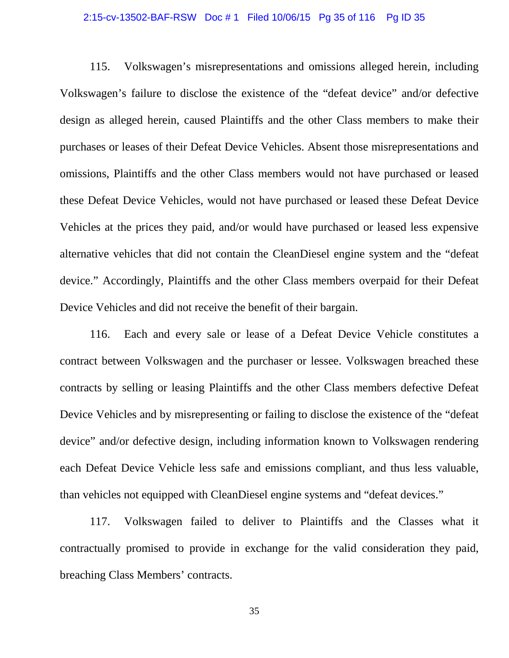### 2:15-cv-13502-BAF-RSW Doc # 1 Filed 10/06/15 Pg 35 of 116 Pg ID 35

115. Volkswagen's misrepresentations and omissions alleged herein, including Volkswagen's failure to disclose the existence of the "defeat device" and/or defective design as alleged herein, caused Plaintiffs and the other Class members to make their purchases or leases of their Defeat Device Vehicles. Absent those misrepresentations and omissions, Plaintiffs and the other Class members would not have purchased or leased these Defeat Device Vehicles, would not have purchased or leased these Defeat Device Vehicles at the prices they paid, and/or would have purchased or leased less expensive alternative vehicles that did not contain the CleanDiesel engine system and the "defeat device." Accordingly, Plaintiffs and the other Class members overpaid for their Defeat Device Vehicles and did not receive the benefit of their bargain.

116. Each and every sale or lease of a Defeat Device Vehicle constitutes a contract between Volkswagen and the purchaser or lessee. Volkswagen breached these contracts by selling or leasing Plaintiffs and the other Class members defective Defeat Device Vehicles and by misrepresenting or failing to disclose the existence of the "defeat device" and/or defective design, including information known to Volkswagen rendering each Defeat Device Vehicle less safe and emissions compliant, and thus less valuable, than vehicles not equipped with CleanDiesel engine systems and "defeat devices."

117. Volkswagen failed to deliver to Plaintiffs and the Classes what it contractually promised to provide in exchange for the valid consideration they paid, breaching Class Members' contracts.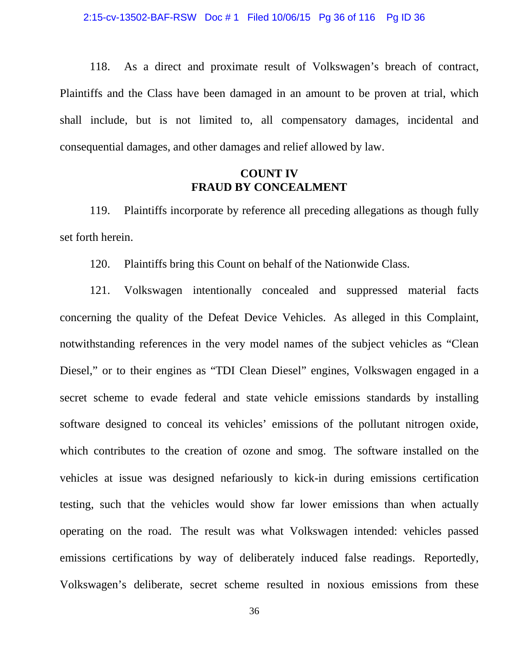118. As a direct and proximate result of Volkswagen's breach of contract, Plaintiffs and the Class have been damaged in an amount to be proven at trial, which shall include, but is not limited to, all compensatory damages, incidental and consequential damages, and other damages and relief allowed by law.

## **COUNT IV FRAUD BY CONCEALMENT**

119. Plaintiffs incorporate by reference all preceding allegations as though fully set forth herein.

120. Plaintiffs bring this Count on behalf of the Nationwide Class.

121. Volkswagen intentionally concealed and suppressed material facts concerning the quality of the Defeat Device Vehicles. As alleged in this Complaint, notwithstanding references in the very model names of the subject vehicles as "Clean Diesel," or to their engines as "TDI Clean Diesel" engines, Volkswagen engaged in a secret scheme to evade federal and state vehicle emissions standards by installing software designed to conceal its vehicles' emissions of the pollutant nitrogen oxide, which contributes to the creation of ozone and smog. The software installed on the vehicles at issue was designed nefariously to kick-in during emissions certification testing, such that the vehicles would show far lower emissions than when actually operating on the road. The result was what Volkswagen intended: vehicles passed emissions certifications by way of deliberately induced false readings. Reportedly, Volkswagen's deliberate, secret scheme resulted in noxious emissions from these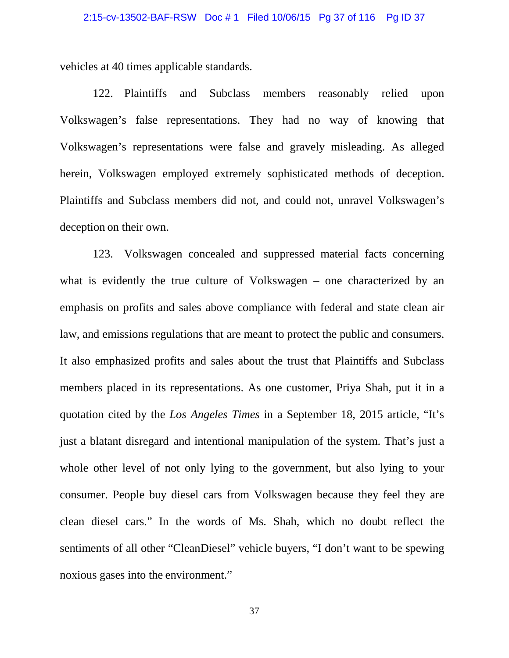vehicles at 40 times applicable standards.

122. Plaintiffs and Subclass members reasonably relied upon Volkswagen's false representations. They had no way of knowing that Volkswagen's representations were false and gravely misleading. As alleged herein, Volkswagen employed extremely sophisticated methods of deception. Plaintiffs and Subclass members did not, and could not, unravel Volkswagen's deception on their own.

123. Volkswagen concealed and suppressed material facts concerning what is evidently the true culture of Volkswagen – one characterized by an emphasis on profits and sales above compliance with federal and state clean air law, and emissions regulations that are meant to protect the public and consumers. It also emphasized profits and sales about the trust that Plaintiffs and Subclass members placed in its representations. As one customer, Priya Shah, put it in a quotation cited by the *Los Angeles Times* in a September 18, 2015 article, "It's just a blatant disregard and intentional manipulation of the system. That's just a whole other level of not only lying to the government, but also lying to your consumer. People buy diesel cars from Volkswagen because they feel they are clean diesel cars." In the words of Ms. Shah, which no doubt reflect the sentiments of all other "CleanDiesel" vehicle buyers, "I don't want to be spewing noxious gases into the environment."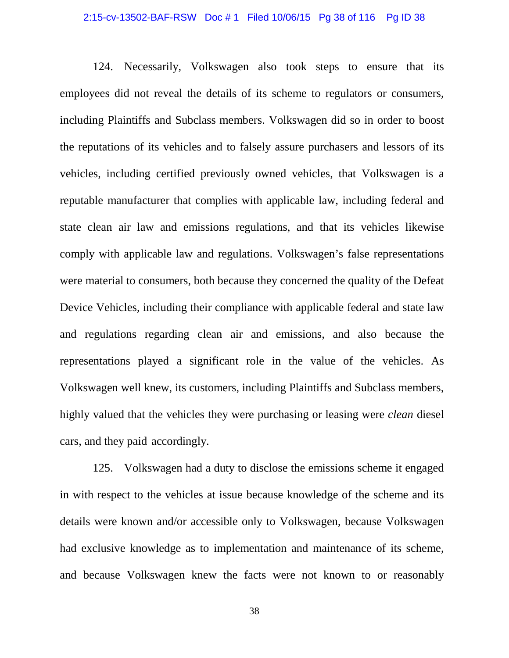# 2:15-cv-13502-BAF-RSW Doc # 1 Filed 10/06/15 Pg 38 of 116 Pg ID 38

124. Necessarily, Volkswagen also took steps to ensure that its employees did not reveal the details of its scheme to regulators or consumers, including Plaintiffs and Subclass members. Volkswagen did so in order to boost the reputations of its vehicles and to falsely assure purchasers and lessors of its vehicles, including certified previously owned vehicles, that Volkswagen is a reputable manufacturer that complies with applicable law, including federal and state clean air law and emissions regulations, and that its vehicles likewise comply with applicable law and regulations. Volkswagen's false representations were material to consumers, both because they concerned the quality of the Defeat Device Vehicles, including their compliance with applicable federal and state law and regulations regarding clean air and emissions, and also because the representations played a significant role in the value of the vehicles. As Volkswagen well knew, its customers, including Plaintiffs and Subclass members, highly valued that the vehicles they were purchasing or leasing were *clean* diesel cars, and they paid accordingly.

125. Volkswagen had a duty to disclose the emissions scheme it engaged in with respect to the vehicles at issue because knowledge of the scheme and its details were known and/or accessible only to Volkswagen, because Volkswagen had exclusive knowledge as to implementation and maintenance of its scheme, and because Volkswagen knew the facts were not known to or reasonably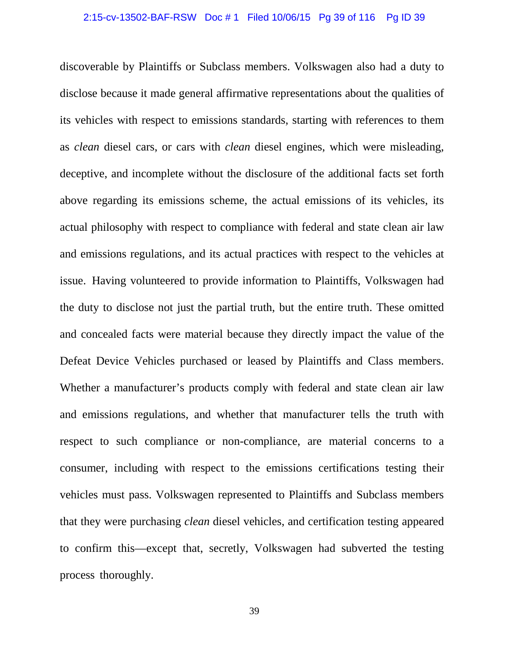discoverable by Plaintiffs or Subclass members. Volkswagen also had a duty to disclose because it made general affirmative representations about the qualities of its vehicles with respect to emissions standards, starting with references to them as *clean* diesel cars, or cars with *clean* diesel engines, which were misleading, deceptive, and incomplete without the disclosure of the additional facts set forth above regarding its emissions scheme, the actual emissions of its vehicles, its actual philosophy with respect to compliance with federal and state clean air law and emissions regulations, and its actual practices with respect to the vehicles at issue. Having volunteered to provide information to Plaintiffs, Volkswagen had the duty to disclose not just the partial truth, but the entire truth. These omitted and concealed facts were material because they directly impact the value of the Defeat Device Vehicles purchased or leased by Plaintiffs and Class members. Whether a manufacturer's products comply with federal and state clean air law and emissions regulations, and whether that manufacturer tells the truth with respect to such compliance or non-compliance, are material concerns to a consumer, including with respect to the emissions certifications testing their vehicles must pass. Volkswagen represented to Plaintiffs and Subclass members that they were purchasing *clean* diesel vehicles, and certification testing appeared to confirm this—except that, secretly, Volkswagen had subverted the testing process thoroughly.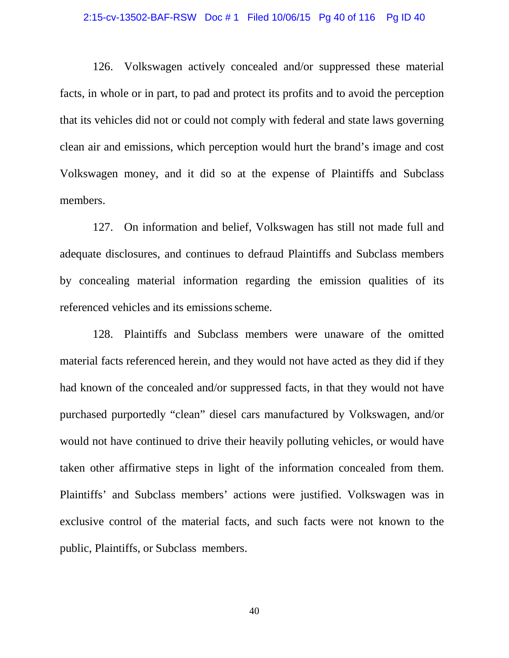### 2:15-cv-13502-BAF-RSW Doc # 1 Filed 10/06/15 Pg 40 of 116 Pg ID 40

126. Volkswagen actively concealed and/or suppressed these material facts, in whole or in part, to pad and protect its profits and to avoid the perception that its vehicles did not or could not comply with federal and state laws governing clean air and emissions, which perception would hurt the brand's image and cost Volkswagen money, and it did so at the expense of Plaintiffs and Subclass members.

127. On information and belief, Volkswagen has still not made full and adequate disclosures, and continues to defraud Plaintiffs and Subclass members by concealing material information regarding the emission qualities of its referenced vehicles and its emissions scheme.

128. Plaintiffs and Subclass members were unaware of the omitted material facts referenced herein, and they would not have acted as they did if they had known of the concealed and/or suppressed facts, in that they would not have purchased purportedly "clean" diesel cars manufactured by Volkswagen, and/or would not have continued to drive their heavily polluting vehicles, or would have taken other affirmative steps in light of the information concealed from them. Plaintiffs' and Subclass members' actions were justified. Volkswagen was in exclusive control of the material facts, and such facts were not known to the public, Plaintiffs, or Subclass members.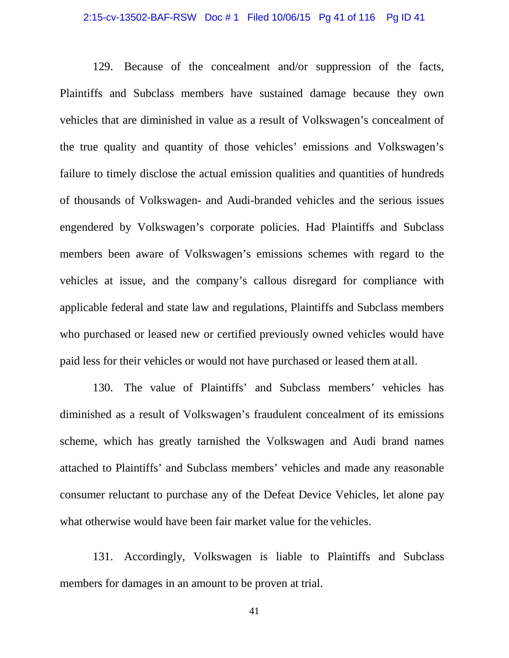### 2:15-cv-13502-BAF-RSW Doc # 1 Filed 10/06/15 Pg 41 of 116 Pg ID 41

129. Because of the concealment and/or suppression of the facts, Plaintiffs and Subclass members have sustained damage because they own vehicles that are diminished in value as a result of Volkswagen's concealment of the true quality and quantity of those vehicles' emissions and Volkswagen's failure to timely disclose the actual emission qualities and quantities of hundreds of thousands of Volkswagen- and Audi-branded vehicles and the serious issues engendered by Volkswagen's corporate policies. Had Plaintiffs and Subclass members been aware of Volkswagen's emissions schemes with regard to the vehicles at issue, and the company's callous disregard for compliance with applicable federal and state law and regulations, Plaintiffs and Subclass members who purchased or leased new or certified previously owned vehicles would have paid less for their vehicles or would not have purchased or leased them at all.

130. The value of Plaintiffs' and Subclass members' vehicles has diminished as a result of Volkswagen's fraudulent concealment of its emissions scheme, which has greatly tarnished the Volkswagen and Audi brand names attached to Plaintiffs' and Subclass members' vehicles and made any reasonable consumer reluctant to purchase any of the Defeat Device Vehicles, let alone pay what otherwise would have been fair market value for the vehicles.

131. Accordingly, Volkswagen is liable to Plaintiffs and Subclass members for damages in an amount to be proven at trial.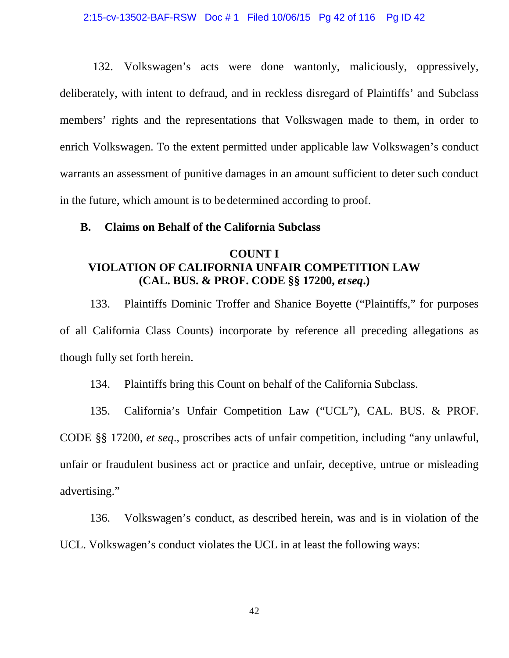132. Volkswagen's acts were done wantonly, maliciously, oppressively, deliberately, with intent to defraud, and in reckless disregard of Plaintiffs' and Subclass members' rights and the representations that Volkswagen made to them, in order to enrich Volkswagen. To the extent permitted under applicable law Volkswagen's conduct warrants an assessment of punitive damages in an amount sufficient to deter such conduct in the future, which amount is to be determined according to proof.

### **B. Claims on Behalf of the California Subclass**

### **COUNT I VIOLATION OF CALIFORNIA UNFAIR COMPETITION LAW (CAL. BUS. & PROF. CODE §§ 17200,** *etseq***.)**

133. Plaintiffs Dominic Troffer and Shanice Boyette ("Plaintiffs," for purposes of all California Class Counts) incorporate by reference all preceding allegations as though fully set forth herein.

134. Plaintiffs bring this Count on behalf of the California Subclass.

135. California's Unfair Competition Law ("UCL"), CAL. BUS. & PROF. CODE §§ 17200, *et seq*., proscribes acts of unfair competition, including "any unlawful, unfair or fraudulent business act or practice and unfair, deceptive, untrue or misleading advertising."

136. Volkswagen's conduct, as described herein, was and is in violation of the UCL. Volkswagen's conduct violates the UCL in at least the following ways: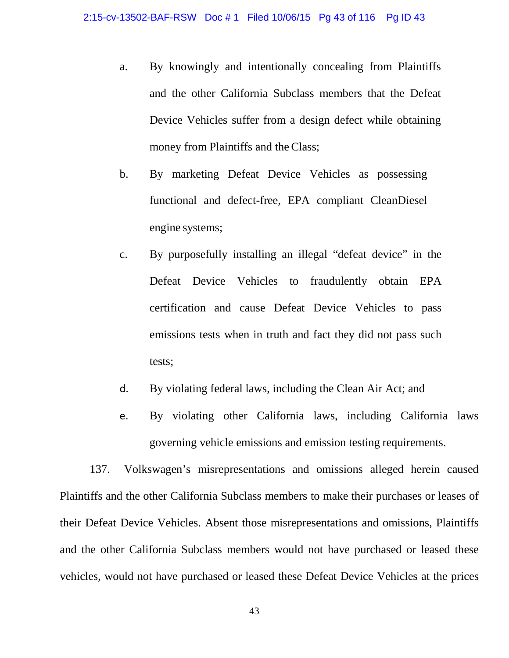- a. By knowingly and intentionally concealing from Plaintiffs and the other California Subclass members that the Defeat Device Vehicles suffer from a design defect while obtaining money from Plaintiffs and the Class;
- b. By marketing Defeat Device Vehicles as possessing functional and defect-free, EPA compliant CleanDiesel engine systems;
- c. By purposefully installing an illegal "defeat device" in the Defeat Device Vehicles to fraudulently obtain EPA certification and cause Defeat Device Vehicles to pass emissions tests when in truth and fact they did not pass such tests;
- d. By violating federal laws, including the Clean Air Act; and
- e. By violating other California laws, including California laws governing vehicle emissions and emission testing requirements.

137. Volkswagen's misrepresentations and omissions alleged herein caused Plaintiffs and the other California Subclass members to make their purchases or leases of their Defeat Device Vehicles. Absent those misrepresentations and omissions, Plaintiffs and the other California Subclass members would not have purchased or leased these vehicles, would not have purchased or leased these Defeat Device Vehicles at the prices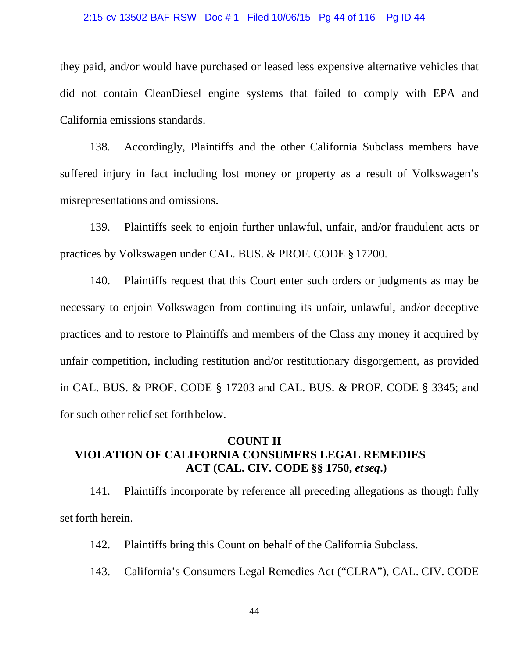### 2:15-cv-13502-BAF-RSW Doc # 1 Filed 10/06/15 Pg 44 of 116 Pg ID 44

they paid, and/or would have purchased or leased less expensive alternative vehicles that did not contain CleanDiesel engine systems that failed to comply with EPA and California emissions standards.

138. Accordingly, Plaintiffs and the other California Subclass members have suffered injury in fact including lost money or property as a result of Volkswagen's misrepresentations and omissions.

139. Plaintiffs seek to enjoin further unlawful, unfair, and/or fraudulent acts or practices by Volkswagen under CAL. BUS. & PROF. CODE §17200.

140. Plaintiffs request that this Court enter such orders or judgments as may be necessary to enjoin Volkswagen from continuing its unfair, unlawful, and/or deceptive practices and to restore to Plaintiffs and members of the Class any money it acquired by unfair competition, including restitution and/or restitutionary disgorgement, as provided in CAL. BUS. & PROF. CODE § 17203 and CAL. BUS. & PROF. CODE § 3345; and for such other relief set forthbelow.

## **COUNT II VIOLATION OF CALIFORNIA CONSUMERS LEGAL REMEDIES ACT (CAL. CIV. CODE §§ 1750,** *etseq***.)**

141. Plaintiffs incorporate by reference all preceding allegations as though fully set forth herein.

142. Plaintiffs bring this Count on behalf of the California Subclass.

143. California's Consumers Legal Remedies Act ("CLRA"), CAL. CIV. CODE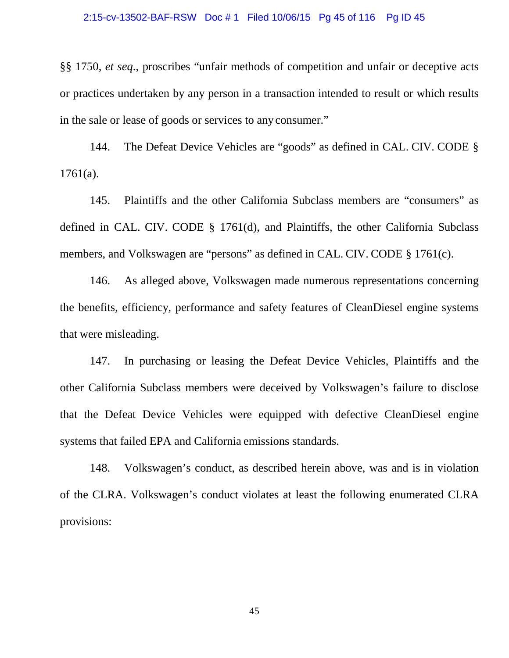### 2:15-cv-13502-BAF-RSW Doc # 1 Filed 10/06/15 Pg 45 of 116 Pg ID 45

§§ 1750, *et seq*., proscribes "unfair methods of competition and unfair or deceptive acts or practices undertaken by any person in a transaction intended to result or which results in the sale or lease of goods or services to any consumer."

144. The Defeat Device Vehicles are "goods" as defined in CAL. CIV. CODE § 1761(a).

145. Plaintiffs and the other California Subclass members are "consumers" as defined in CAL. CIV. CODE § 1761(d), and Plaintiffs, the other California Subclass members, and Volkswagen are "persons" as defined in CAL. CIV. CODE § 1761(c).

146. As alleged above, Volkswagen made numerous representations concerning the benefits, efficiency, performance and safety features of CleanDiesel engine systems that were misleading.

147. In purchasing or leasing the Defeat Device Vehicles, Plaintiffs and the other California Subclass members were deceived by Volkswagen's failure to disclose that the Defeat Device Vehicles were equipped with defective CleanDiesel engine systems that failed EPA and California emissions standards.

148. Volkswagen's conduct, as described herein above, was and is in violation of the CLRA. Volkswagen's conduct violates at least the following enumerated CLRA provisions: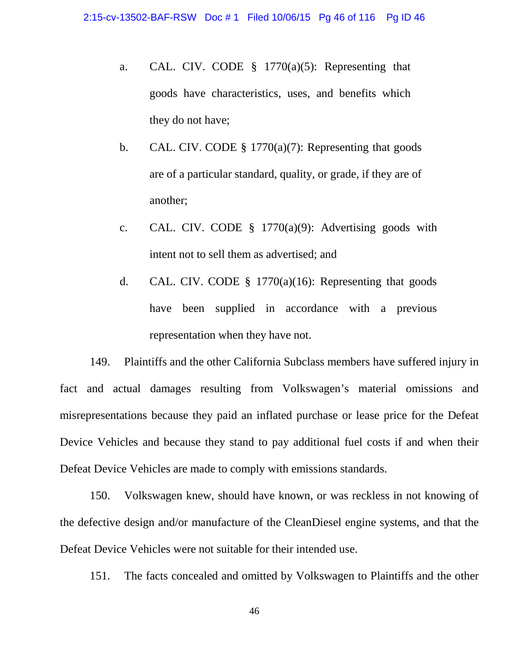- a. CAL. CIV. CODE  $\S$  1770(a)(5): Representing that goods have characteristics, uses, and benefits which they do not have;
- b. CAL. CIV. CODE  $\S$  1770(a)(7): Representing that goods are of a particular standard, quality, or grade, if they are of another;
- c. CAL. CIV. CODE § 1770(a)(9): Advertising goods with intent not to sell them as advertised; and
- d. CAL. CIV. CODE  $\S$  1770(a)(16): Representing that goods have been supplied in accordance with a previous representation when they have not.

149. Plaintiffs and the other California Subclass members have suffered injury in fact and actual damages resulting from Volkswagen's material omissions and misrepresentations because they paid an inflated purchase or lease price for the Defeat Device Vehicles and because they stand to pay additional fuel costs if and when their Defeat Device Vehicles are made to comply with emissions standards.

150. Volkswagen knew, should have known, or was reckless in not knowing of the defective design and/or manufacture of the CleanDiesel engine systems, and that the Defeat Device Vehicles were not suitable for their intended use.

151. The facts concealed and omitted by Volkswagen to Plaintiffs and the other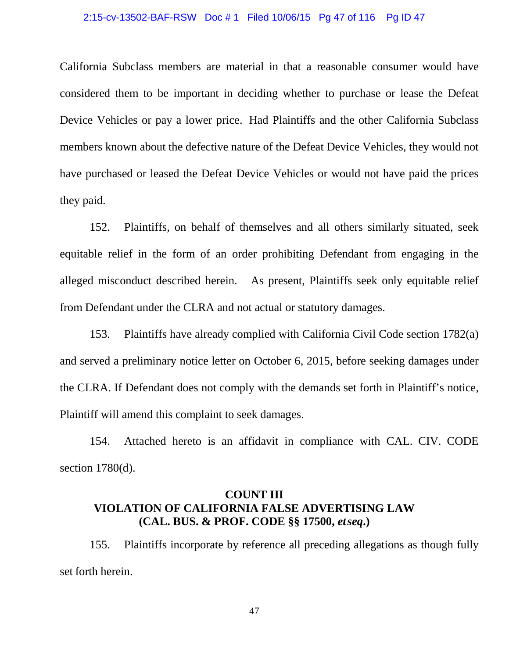### 2:15-cv-13502-BAF-RSW Doc # 1 Filed 10/06/15 Pg 47 of 116 Pg ID 47

California Subclass members are material in that a reasonable consumer would have considered them to be important in deciding whether to purchase or lease the Defeat Device Vehicles or pay a lower price. Had Plaintiffs and the other California Subclass members known about the defective nature of the Defeat Device Vehicles, they would not have purchased or leased the Defeat Device Vehicles or would not have paid the prices they paid.

152. Plaintiffs, on behalf of themselves and all others similarly situated, seek equitable relief in the form of an order prohibiting Defendant from engaging in the alleged misconduct described herein. As present, Plaintiffs seek only equitable relief from Defendant under the CLRA and not actual or statutory damages.

153. Plaintiffs have already complied with California Civil Code section 1782(a) and served a preliminary notice letter on October 6, 2015, before seeking damages under the CLRA. If Defendant does not comply with the demands set forth in Plaintiff's notice, Plaintiff will amend this complaint to seek damages.

154. Attached hereto is an affidavit in compliance with CAL. CIV. CODE section 1780(d).

# **COUNT III VIOLATION OF CALIFORNIA FALSE ADVERTISING LAW (CAL. BUS. & PROF. CODE §§ 17500,** *etseq***.)**

155. Plaintiffs incorporate by reference all preceding allegations as though fully set forth herein.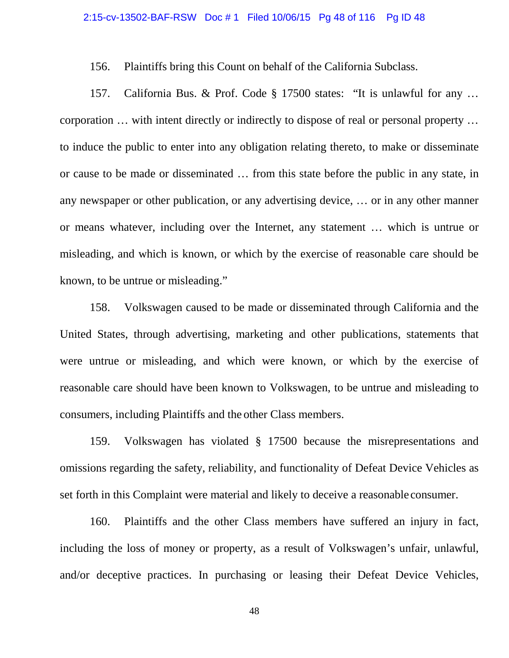156. Plaintiffs bring this Count on behalf of the California Subclass.

157. California Bus. & Prof. Code § 17500 states: "It is unlawful for any … corporation … with intent directly or indirectly to dispose of real or personal property … to induce the public to enter into any obligation relating thereto, to make or disseminate or cause to be made or disseminated … from this state before the public in any state, in any newspaper or other publication, or any advertising device, … or in any other manner or means whatever, including over the Internet, any statement … which is untrue or misleading, and which is known, or which by the exercise of reasonable care should be known, to be untrue or misleading."

158. Volkswagen caused to be made or disseminated through California and the United States, through advertising, marketing and other publications, statements that were untrue or misleading, and which were known, or which by the exercise of reasonable care should have been known to Volkswagen, to be untrue and misleading to consumers, including Plaintiffs and the other Class members.

159. Volkswagen has violated § 17500 because the misrepresentations and omissions regarding the safety, reliability, and functionality of Defeat Device Vehicles as set forth in this Complaint were material and likely to deceive a reasonable consumer.

160. Plaintiffs and the other Class members have suffered an injury in fact, including the loss of money or property, as a result of Volkswagen's unfair, unlawful, and/or deceptive practices. In purchasing or leasing their Defeat Device Vehicles,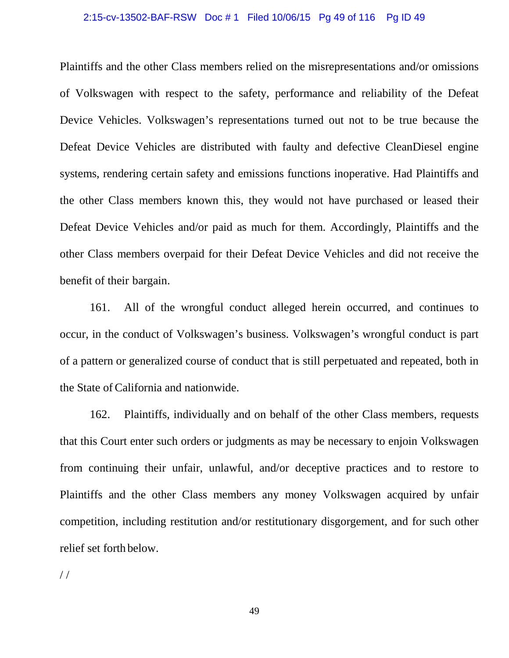### 2:15-cv-13502-BAF-RSW Doc # 1 Filed 10/06/15 Pg 49 of 116 Pg ID 49

Plaintiffs and the other Class members relied on the misrepresentations and/or omissions of Volkswagen with respect to the safety, performance and reliability of the Defeat Device Vehicles. Volkswagen's representations turned out not to be true because the Defeat Device Vehicles are distributed with faulty and defective CleanDiesel engine systems, rendering certain safety and emissions functions inoperative. Had Plaintiffs and the other Class members known this, they would not have purchased or leased their Defeat Device Vehicles and/or paid as much for them. Accordingly, Plaintiffs and the other Class members overpaid for their Defeat Device Vehicles and did not receive the benefit of their bargain.

161. All of the wrongful conduct alleged herein occurred, and continues to occur, in the conduct of Volkswagen's business. Volkswagen's wrongful conduct is part of a pattern or generalized course of conduct that is still perpetuated and repeated, both in the State of California and nationwide.

162. Plaintiffs, individually and on behalf of the other Class members, requests that this Court enter such orders or judgments as may be necessary to enjoin Volkswagen from continuing their unfair, unlawful, and/or deceptive practices and to restore to Plaintiffs and the other Class members any money Volkswagen acquired by unfair competition, including restitution and/or restitutionary disgorgement, and for such other relief set forth below.

/ /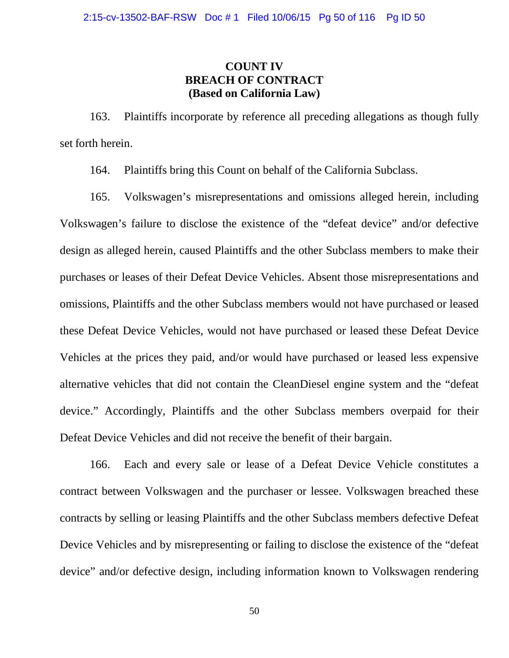## **COUNT IV BREACH OF CONTRACT (Based on California Law)**

163. Plaintiffs incorporate by reference all preceding allegations as though fully set forth herein.

164. Plaintiffs bring this Count on behalf of the California Subclass.

165. Volkswagen's misrepresentations and omissions alleged herein, including Volkswagen's failure to disclose the existence of the "defeat device" and/or defective design as alleged herein, caused Plaintiffs and the other Subclass members to make their purchases or leases of their Defeat Device Vehicles. Absent those misrepresentations and omissions, Plaintiffs and the other Subclass members would not have purchased or leased these Defeat Device Vehicles, would not have purchased or leased these Defeat Device Vehicles at the prices they paid, and/or would have purchased or leased less expensive alternative vehicles that did not contain the CleanDiesel engine system and the "defeat device." Accordingly, Plaintiffs and the other Subclass members overpaid for their Defeat Device Vehicles and did not receive the benefit of their bargain.

166. Each and every sale or lease of a Defeat Device Vehicle constitutes a contract between Volkswagen and the purchaser or lessee. Volkswagen breached these contracts by selling or leasing Plaintiffs and the other Subclass members defective Defeat Device Vehicles and by misrepresenting or failing to disclose the existence of the "defeat device" and/or defective design, including information known to Volkswagen rendering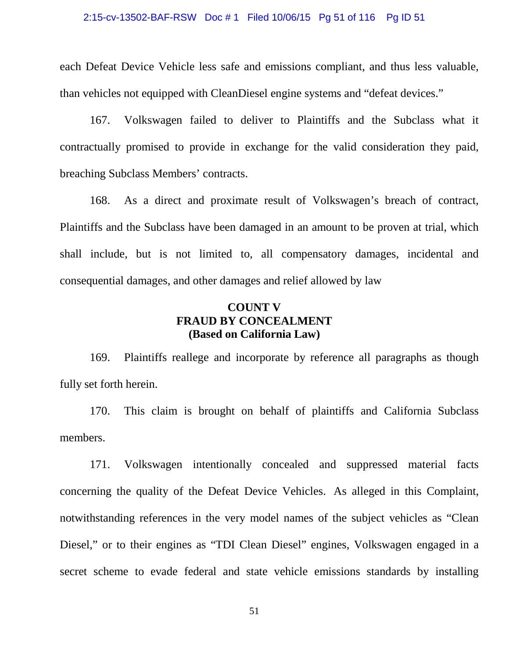### 2:15-cv-13502-BAF-RSW Doc # 1 Filed 10/06/15 Pg 51 of 116 Pg ID 51

each Defeat Device Vehicle less safe and emissions compliant, and thus less valuable, than vehicles not equipped with CleanDiesel engine systems and "defeat devices."

167. Volkswagen failed to deliver to Plaintiffs and the Subclass what it contractually promised to provide in exchange for the valid consideration they paid, breaching Subclass Members' contracts.

168. As a direct and proximate result of Volkswagen's breach of contract, Plaintiffs and the Subclass have been damaged in an amount to be proven at trial, which shall include, but is not limited to, all compensatory damages, incidental and consequential damages, and other damages and relief allowed by law

### **COUNT V FRAUD BY CONCEALMENT (Based on California Law)**

169. Plaintiffs reallege and incorporate by reference all paragraphs as though fully set forth herein.

170. This claim is brought on behalf of plaintiffs and California Subclass members.

171. Volkswagen intentionally concealed and suppressed material facts concerning the quality of the Defeat Device Vehicles. As alleged in this Complaint, notwithstanding references in the very model names of the subject vehicles as "Clean Diesel," or to their engines as "TDI Clean Diesel" engines, Volkswagen engaged in a secret scheme to evade federal and state vehicle emissions standards by installing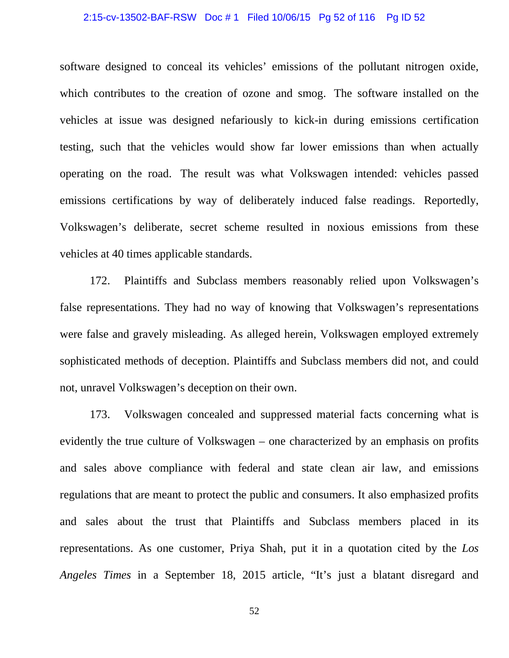### 2:15-cv-13502-BAF-RSW Doc # 1 Filed 10/06/15 Pg 52 of 116 Pg ID 52

software designed to conceal its vehicles' emissions of the pollutant nitrogen oxide, which contributes to the creation of ozone and smog. The software installed on the vehicles at issue was designed nefariously to kick-in during emissions certification testing, such that the vehicles would show far lower emissions than when actually operating on the road. The result was what Volkswagen intended: vehicles passed emissions certifications by way of deliberately induced false readings. Reportedly, Volkswagen's deliberate, secret scheme resulted in noxious emissions from these vehicles at 40 times applicable standards.

172. Plaintiffs and Subclass members reasonably relied upon Volkswagen's false representations. They had no way of knowing that Volkswagen's representations were false and gravely misleading. As alleged herein, Volkswagen employed extremely sophisticated methods of deception. Plaintiffs and Subclass members did not, and could not, unravel Volkswagen's deception on their own.

173. Volkswagen concealed and suppressed material facts concerning what is evidently the true culture of Volkswagen – one characterized by an emphasis on profits and sales above compliance with federal and state clean air law, and emissions regulations that are meant to protect the public and consumers. It also emphasized profits and sales about the trust that Plaintiffs and Subclass members placed in its representations. As one customer, Priya Shah, put it in a quotation cited by the *Los Angeles Times* in a September 18, 2015 article, "It's just a blatant disregard and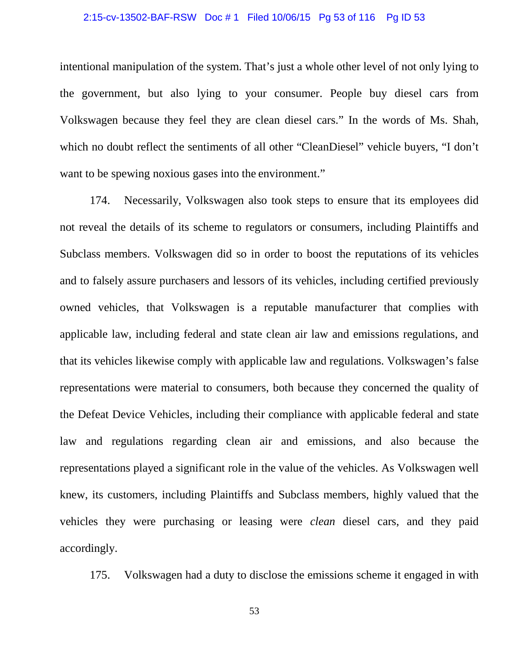### 2:15-cv-13502-BAF-RSW Doc # 1 Filed 10/06/15 Pg 53 of 116 Pg ID 53

intentional manipulation of the system. That's just a whole other level of not only lying to the government, but also lying to your consumer. People buy diesel cars from Volkswagen because they feel they are clean diesel cars." In the words of Ms. Shah, which no doubt reflect the sentiments of all other "CleanDiesel" vehicle buyers, "I don't want to be spewing noxious gases into the environment."

174. Necessarily, Volkswagen also took steps to ensure that its employees did not reveal the details of its scheme to regulators or consumers, including Plaintiffs and Subclass members. Volkswagen did so in order to boost the reputations of its vehicles and to falsely assure purchasers and lessors of its vehicles, including certified previously owned vehicles, that Volkswagen is a reputable manufacturer that complies with applicable law, including federal and state clean air law and emissions regulations, and that its vehicles likewise comply with applicable law and regulations. Volkswagen's false representations were material to consumers, both because they concerned the quality of the Defeat Device Vehicles, including their compliance with applicable federal and state law and regulations regarding clean air and emissions, and also because the representations played a significant role in the value of the vehicles. As Volkswagen well knew, its customers, including Plaintiffs and Subclass members, highly valued that the vehicles they were purchasing or leasing were *clean* diesel cars, and they paid accordingly.

175. Volkswagen had a duty to disclose the emissions scheme it engaged in with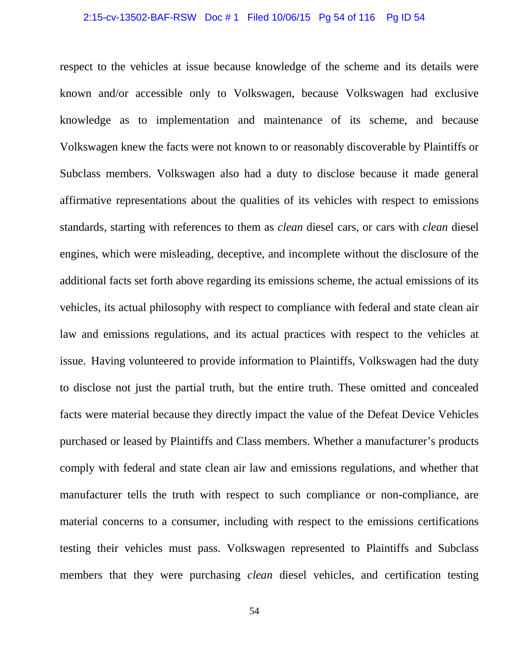#### 2:15-cv-13502-BAF-RSW Doc # 1 Filed 10/06/15 Pg 54 of 116 Pg ID 54

respect to the vehicles at issue because knowledge of the scheme and its details were known and/or accessible only to Volkswagen, because Volkswagen had exclusive knowledge as to implementation and maintenance of its scheme, and because Volkswagen knew the facts were not known to or reasonably discoverable by Plaintiffs or Subclass members. Volkswagen also had a duty to disclose because it made general affirmative representations about the qualities of its vehicles with respect to emissions standards, starting with references to them as *clean* diesel cars, or cars with *clean* diesel engines, which were misleading, deceptive, and incomplete without the disclosure of the additional facts set forth above regarding its emissions scheme, the actual emissions of its vehicles, its actual philosophy with respect to compliance with federal and state clean air law and emissions regulations, and its actual practices with respect to the vehicles at issue. Having volunteered to provide information to Plaintiffs, Volkswagen had the duty to disclose not just the partial truth, but the entire truth. These omitted and concealed facts were material because they directly impact the value of the Defeat Device Vehicles purchased or leased by Plaintiffs and Class members. Whether a manufacturer's products comply with federal and state clean air law and emissions regulations, and whether that manufacturer tells the truth with respect to such compliance or non-compliance, are material concerns to a consumer, including with respect to the emissions certifications testing their vehicles must pass. Volkswagen represented to Plaintiffs and Subclass members that they were purchasing *clean* diesel vehicles, and certification testing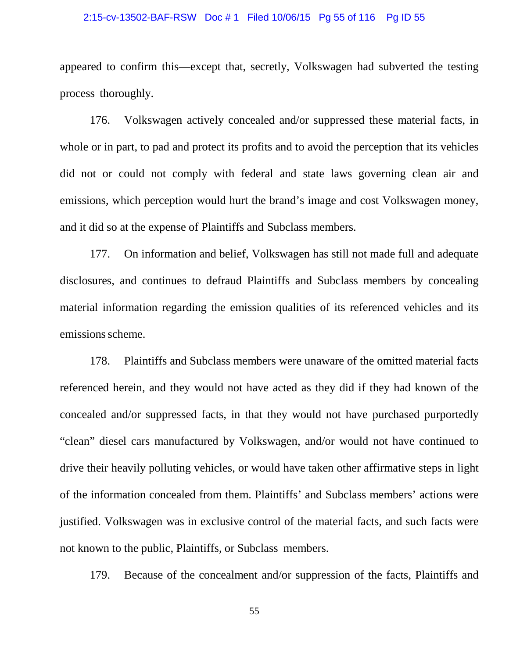### 2:15-cv-13502-BAF-RSW Doc # 1 Filed 10/06/15 Pg 55 of 116 Pg ID 55

appeared to confirm this—except that, secretly, Volkswagen had subverted the testing process thoroughly.

176. Volkswagen actively concealed and/or suppressed these material facts, in whole or in part, to pad and protect its profits and to avoid the perception that its vehicles did not or could not comply with federal and state laws governing clean air and emissions, which perception would hurt the brand's image and cost Volkswagen money, and it did so at the expense of Plaintiffs and Subclass members.

177. On information and belief, Volkswagen has still not made full and adequate disclosures, and continues to defraud Plaintiffs and Subclass members by concealing material information regarding the emission qualities of its referenced vehicles and its emissions scheme.

178. Plaintiffs and Subclass members were unaware of the omitted material facts referenced herein, and they would not have acted as they did if they had known of the concealed and/or suppressed facts, in that they would not have purchased purportedly "clean" diesel cars manufactured by Volkswagen, and/or would not have continued to drive their heavily polluting vehicles, or would have taken other affirmative steps in light of the information concealed from them. Plaintiffs' and Subclass members' actions were justified. Volkswagen was in exclusive control of the material facts, and such facts were not known to the public, Plaintiffs, or Subclass members.

179. Because of the concealment and/or suppression of the facts, Plaintiffs and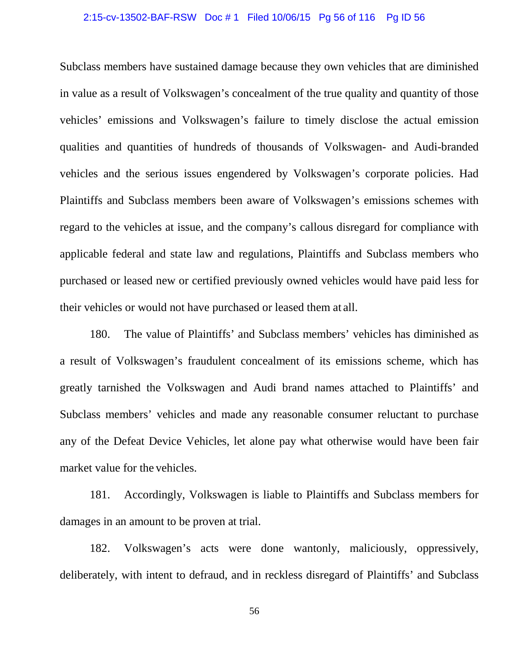### 2:15-cv-13502-BAF-RSW Doc # 1 Filed 10/06/15 Pg 56 of 116 Pg ID 56

Subclass members have sustained damage because they own vehicles that are diminished in value as a result of Volkswagen's concealment of the true quality and quantity of those vehicles' emissions and Volkswagen's failure to timely disclose the actual emission qualities and quantities of hundreds of thousands of Volkswagen- and Audi-branded vehicles and the serious issues engendered by Volkswagen's corporate policies. Had Plaintiffs and Subclass members been aware of Volkswagen's emissions schemes with regard to the vehicles at issue, and the company's callous disregard for compliance with applicable federal and state law and regulations, Plaintiffs and Subclass members who purchased or leased new or certified previously owned vehicles would have paid less for their vehicles or would not have purchased or leased them at all.

180. The value of Plaintiffs' and Subclass members' vehicles has diminished as a result of Volkswagen's fraudulent concealment of its emissions scheme, which has greatly tarnished the Volkswagen and Audi brand names attached to Plaintiffs' and Subclass members' vehicles and made any reasonable consumer reluctant to purchase any of the Defeat Device Vehicles, let alone pay what otherwise would have been fair market value for the vehicles.

181. Accordingly, Volkswagen is liable to Plaintiffs and Subclass members for damages in an amount to be proven at trial.

182. Volkswagen's acts were done wantonly, maliciously, oppressively, deliberately, with intent to defraud, and in reckless disregard of Plaintiffs' and Subclass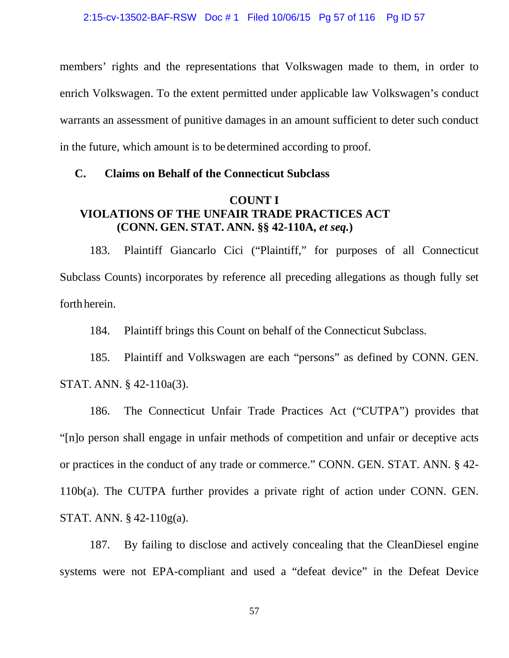members' rights and the representations that Volkswagen made to them, in order to enrich Volkswagen. To the extent permitted under applicable law Volkswagen's conduct warrants an assessment of punitive damages in an amount sufficient to deter such conduct in the future, which amount is to be determined according to proof.

### **C. Claims on Behalf of the Connecticut Subclass**

### **COUNT I VIOLATIONS OF THE UNFAIR TRADE PRACTICES ACT (CONN. GEN. STAT. ANN. §§ 42-110A,** *et seq.***)**

183. Plaintiff Giancarlo Cici ("Plaintiff," for purposes of all Connecticut Subclass Counts) incorporates by reference all preceding allegations as though fully set forth herein.

184. Plaintiff brings this Count on behalf of the Connecticut Subclass.

185. Plaintiff and Volkswagen are each "persons" as defined by CONN. GEN. STAT. ANN. § 42-110a(3).

186. The Connecticut Unfair Trade Practices Act ("CUTPA") provides that "[n]o person shall engage in unfair methods of competition and unfair or deceptive acts or practices in the conduct of any trade or commerce." CONN. GEN. STAT. ANN. § 42- 110b(a). The CUTPA further provides a private right of action under CONN. GEN. STAT. ANN. § 42-110g(a).

187. By failing to disclose and actively concealing that the CleanDiesel engine systems were not EPA-compliant and used a "defeat device" in the Defeat Device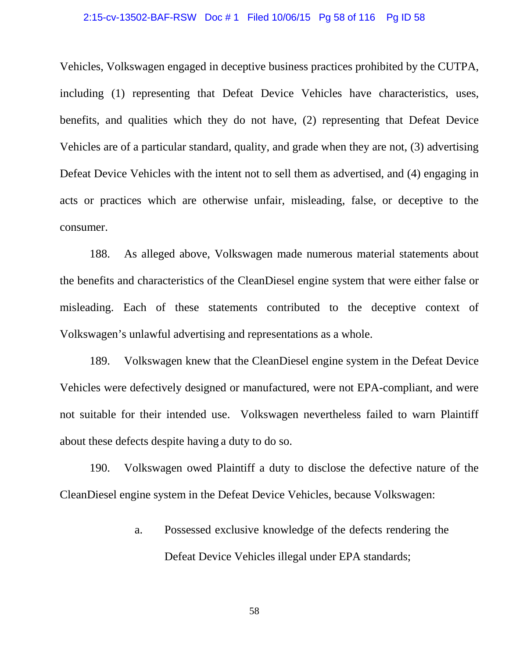### 2:15-cv-13502-BAF-RSW Doc # 1 Filed 10/06/15 Pg 58 of 116 Pg ID 58

Vehicles, Volkswagen engaged in deceptive business practices prohibited by the CUTPA, including (1) representing that Defeat Device Vehicles have characteristics, uses, benefits, and qualities which they do not have, (2) representing that Defeat Device Vehicles are of a particular standard, quality, and grade when they are not, (3) advertising Defeat Device Vehicles with the intent not to sell them as advertised, and (4) engaging in acts or practices which are otherwise unfair, misleading, false, or deceptive to the consumer.

188. As alleged above, Volkswagen made numerous material statements about the benefits and characteristics of the CleanDiesel engine system that were either false or misleading. Each of these statements contributed to the deceptive context of Volkswagen's unlawful advertising and representations as a whole.

189. Volkswagen knew that the CleanDiesel engine system in the Defeat Device Vehicles were defectively designed or manufactured, were not EPA-compliant, and were not suitable for their intended use. Volkswagen nevertheless failed to warn Plaintiff about these defects despite having a duty to do so.

190. Volkswagen owed Plaintiff a duty to disclose the defective nature of the CleanDiesel engine system in the Defeat Device Vehicles, because Volkswagen:

> a. Possessed exclusive knowledge of the defects rendering the Defeat Device Vehicles illegal under EPA standards;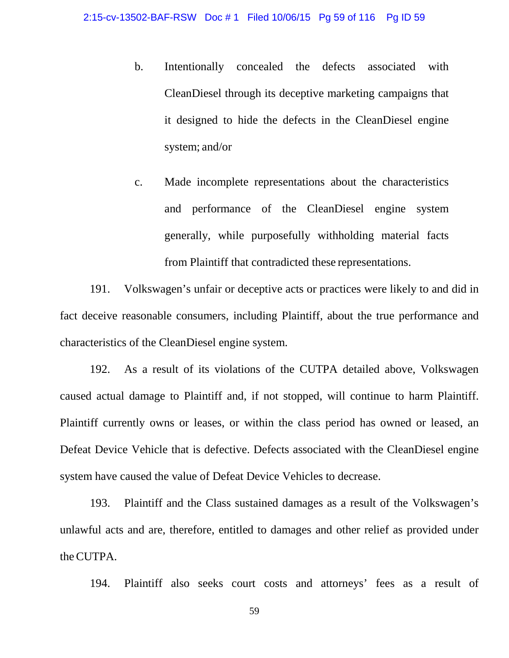- b. Intentionally concealed the defects associated with CleanDiesel through its deceptive marketing campaigns that it designed to hide the defects in the CleanDiesel engine system; and/or
- c. Made incomplete representations about the characteristics and performance of the CleanDiesel engine system generally, while purposefully withholding material facts from Plaintiff that contradicted these representations.

191. Volkswagen's unfair or deceptive acts or practices were likely to and did in fact deceive reasonable consumers, including Plaintiff, about the true performance and characteristics of the CleanDiesel engine system.

192. As a result of its violations of the CUTPA detailed above, Volkswagen caused actual damage to Plaintiff and, if not stopped, will continue to harm Plaintiff. Plaintiff currently owns or leases, or within the class period has owned or leased, an Defeat Device Vehicle that is defective. Defects associated with the CleanDiesel engine system have caused the value of Defeat Device Vehicles to decrease.

193. Plaintiff and the Class sustained damages as a result of the Volkswagen's unlawful acts and are, therefore, entitled to damages and other relief as provided under theCUTPA.

194. Plaintiff also seeks court costs and attorneys' fees as a result of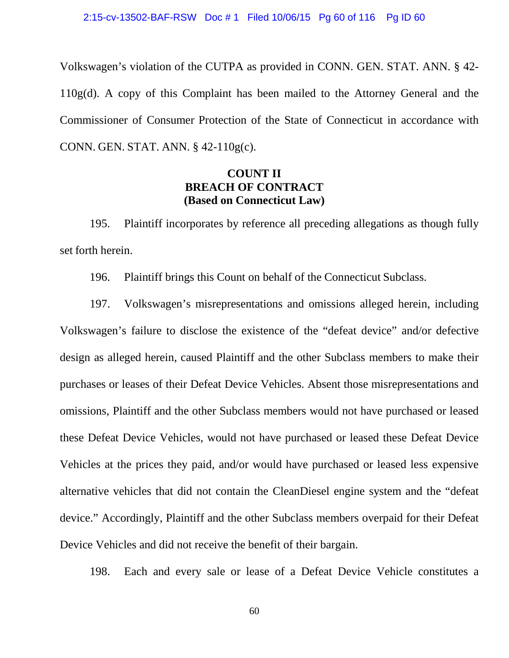Volkswagen's violation of the CUTPA as provided in CONN. GEN. STAT. ANN. § 42- 110g(d). A copy of this Complaint has been mailed to the Attorney General and the Commissioner of Consumer Protection of the State of Connecticut in accordance with CONN. GEN. STAT. ANN. § 42-110g(c).

### **COUNT II BREACH OF CONTRACT (Based on Connecticut Law)**

195. Plaintiff incorporates by reference all preceding allegations as though fully set forth herein.

196. Plaintiff brings this Count on behalf of the Connecticut Subclass.

197. Volkswagen's misrepresentations and omissions alleged herein, including Volkswagen's failure to disclose the existence of the "defeat device" and/or defective design as alleged herein, caused Plaintiff and the other Subclass members to make their purchases or leases of their Defeat Device Vehicles. Absent those misrepresentations and omissions, Plaintiff and the other Subclass members would not have purchased or leased these Defeat Device Vehicles, would not have purchased or leased these Defeat Device Vehicles at the prices they paid, and/or would have purchased or leased less expensive alternative vehicles that did not contain the CleanDiesel engine system and the "defeat device." Accordingly, Plaintiff and the other Subclass members overpaid for their Defeat Device Vehicles and did not receive the benefit of their bargain.

198. Each and every sale or lease of a Defeat Device Vehicle constitutes a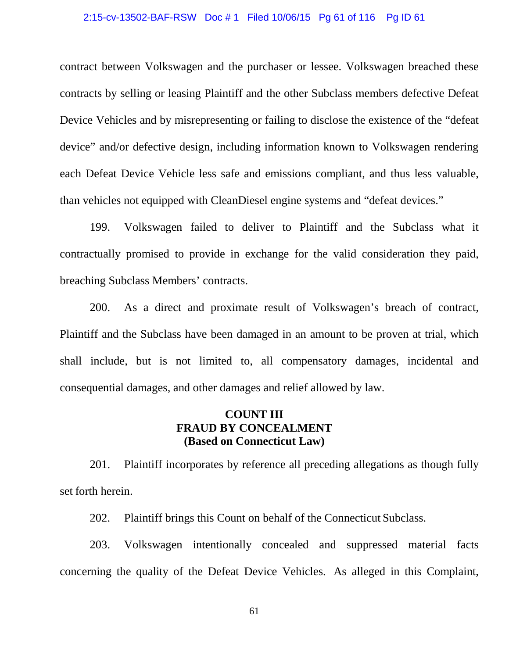#### 2:15-cv-13502-BAF-RSW Doc # 1 Filed 10/06/15 Pg 61 of 116 Pg ID 61

contract between Volkswagen and the purchaser or lessee. Volkswagen breached these contracts by selling or leasing Plaintiff and the other Subclass members defective Defeat Device Vehicles and by misrepresenting or failing to disclose the existence of the "defeat device" and/or defective design, including information known to Volkswagen rendering each Defeat Device Vehicle less safe and emissions compliant, and thus less valuable, than vehicles not equipped with CleanDiesel engine systems and "defeat devices."

199. Volkswagen failed to deliver to Plaintiff and the Subclass what it contractually promised to provide in exchange for the valid consideration they paid, breaching Subclass Members' contracts.

200. As a direct and proximate result of Volkswagen's breach of contract, Plaintiff and the Subclass have been damaged in an amount to be proven at trial, which shall include, but is not limited to, all compensatory damages, incidental and consequential damages, and other damages and relief allowed by law.

# **COUNT III FRAUD BY CONCEALMENT (Based on Connecticut Law)**

201. Plaintiff incorporates by reference all preceding allegations as though fully set forth herein.

202. Plaintiff brings this Count on behalf of the Connecticut Subclass.

203. Volkswagen intentionally concealed and suppressed material facts concerning the quality of the Defeat Device Vehicles. As alleged in this Complaint,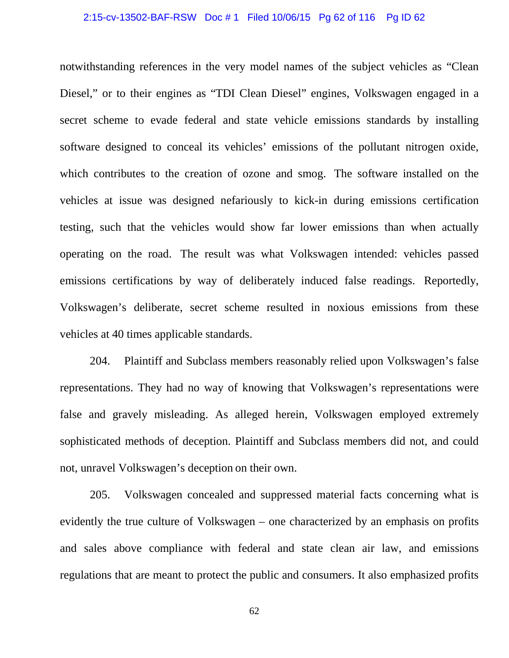### 2:15-cv-13502-BAF-RSW Doc # 1 Filed 10/06/15 Pg 62 of 116 Pg ID 62

notwithstanding references in the very model names of the subject vehicles as "Clean Diesel," or to their engines as "TDI Clean Diesel" engines, Volkswagen engaged in a secret scheme to evade federal and state vehicle emissions standards by installing software designed to conceal its vehicles' emissions of the pollutant nitrogen oxide, which contributes to the creation of ozone and smog. The software installed on the vehicles at issue was designed nefariously to kick-in during emissions certification testing, such that the vehicles would show far lower emissions than when actually operating on the road. The result was what Volkswagen intended: vehicles passed emissions certifications by way of deliberately induced false readings. Reportedly, Volkswagen's deliberate, secret scheme resulted in noxious emissions from these vehicles at 40 times applicable standards.

204. Plaintiff and Subclass members reasonably relied upon Volkswagen's false representations. They had no way of knowing that Volkswagen's representations were false and gravely misleading. As alleged herein, Volkswagen employed extremely sophisticated methods of deception. Plaintiff and Subclass members did not, and could not, unravel Volkswagen's deception on their own.

205. Volkswagen concealed and suppressed material facts concerning what is evidently the true culture of Volkswagen – one characterized by an emphasis on profits and sales above compliance with federal and state clean air law, and emissions regulations that are meant to protect the public and consumers. It also emphasized profits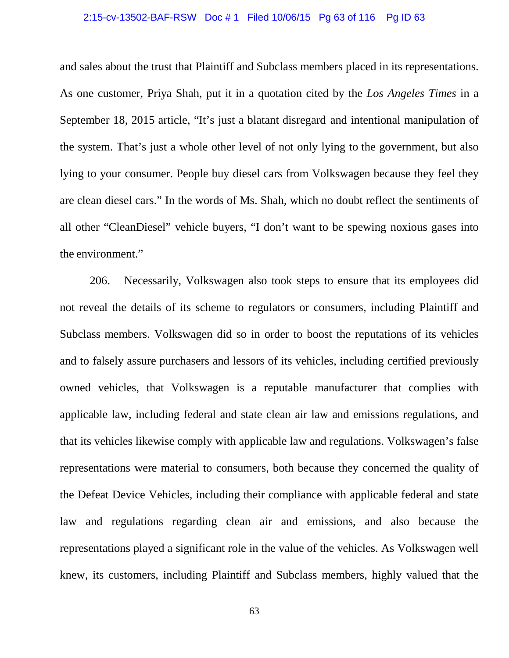### 2:15-cv-13502-BAF-RSW Doc # 1 Filed 10/06/15 Pg 63 of 116 Pg ID 63

and sales about the trust that Plaintiff and Subclass members placed in its representations. As one customer, Priya Shah, put it in a quotation cited by the *Los Angeles Times* in a September 18, 2015 article, "It's just a blatant disregard and intentional manipulation of the system. That's just a whole other level of not only lying to the government, but also lying to your consumer. People buy diesel cars from Volkswagen because they feel they are clean diesel cars." In the words of Ms. Shah, which no doubt reflect the sentiments of all other "CleanDiesel" vehicle buyers, "I don't want to be spewing noxious gases into the environment."

206. Necessarily, Volkswagen also took steps to ensure that its employees did not reveal the details of its scheme to regulators or consumers, including Plaintiff and Subclass members. Volkswagen did so in order to boost the reputations of its vehicles and to falsely assure purchasers and lessors of its vehicles, including certified previously owned vehicles, that Volkswagen is a reputable manufacturer that complies with applicable law, including federal and state clean air law and emissions regulations, and that its vehicles likewise comply with applicable law and regulations. Volkswagen's false representations were material to consumers, both because they concerned the quality of the Defeat Device Vehicles, including their compliance with applicable federal and state law and regulations regarding clean air and emissions, and also because the representations played a significant role in the value of the vehicles. As Volkswagen well knew, its customers, including Plaintiff and Subclass members, highly valued that the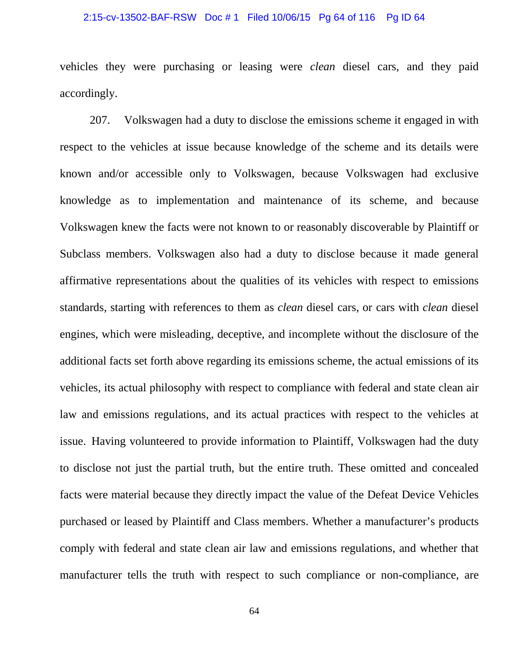### 2:15-cv-13502-BAF-RSW Doc # 1 Filed 10/06/15 Pg 64 of 116 Pg ID 64

vehicles they were purchasing or leasing were *clean* diesel cars, and they paid accordingly.

207. Volkswagen had a duty to disclose the emissions scheme it engaged in with respect to the vehicles at issue because knowledge of the scheme and its details were known and/or accessible only to Volkswagen, because Volkswagen had exclusive knowledge as to implementation and maintenance of its scheme, and because Volkswagen knew the facts were not known to or reasonably discoverable by Plaintiff or Subclass members. Volkswagen also had a duty to disclose because it made general affirmative representations about the qualities of its vehicles with respect to emissions standards, starting with references to them as *clean* diesel cars, or cars with *clean* diesel engines, which were misleading, deceptive, and incomplete without the disclosure of the additional facts set forth above regarding its emissions scheme, the actual emissions of its vehicles, its actual philosophy with respect to compliance with federal and state clean air law and emissions regulations, and its actual practices with respect to the vehicles at issue. Having volunteered to provide information to Plaintiff, Volkswagen had the duty to disclose not just the partial truth, but the entire truth. These omitted and concealed facts were material because they directly impact the value of the Defeat Device Vehicles purchased or leased by Plaintiff and Class members. Whether a manufacturer's products comply with federal and state clean air law and emissions regulations, and whether that manufacturer tells the truth with respect to such compliance or non-compliance, are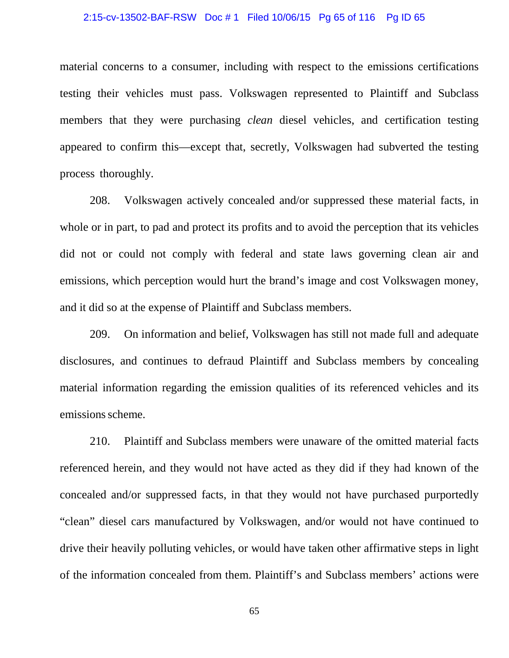### 2:15-cv-13502-BAF-RSW Doc # 1 Filed 10/06/15 Pg 65 of 116 Pg ID 65

material concerns to a consumer, including with respect to the emissions certifications testing their vehicles must pass. Volkswagen represented to Plaintiff and Subclass members that they were purchasing *clean* diesel vehicles, and certification testing appeared to confirm this—except that, secretly, Volkswagen had subverted the testing process thoroughly.

208. Volkswagen actively concealed and/or suppressed these material facts, in whole or in part, to pad and protect its profits and to avoid the perception that its vehicles did not or could not comply with federal and state laws governing clean air and emissions, which perception would hurt the brand's image and cost Volkswagen money, and it did so at the expense of Plaintiff and Subclass members.

209. On information and belief, Volkswagen has still not made full and adequate disclosures, and continues to defraud Plaintiff and Subclass members by concealing material information regarding the emission qualities of its referenced vehicles and its emissions scheme.

210. Plaintiff and Subclass members were unaware of the omitted material facts referenced herein, and they would not have acted as they did if they had known of the concealed and/or suppressed facts, in that they would not have purchased purportedly "clean" diesel cars manufactured by Volkswagen, and/or would not have continued to drive their heavily polluting vehicles, or would have taken other affirmative steps in light of the information concealed from them. Plaintiff's and Subclass members' actions were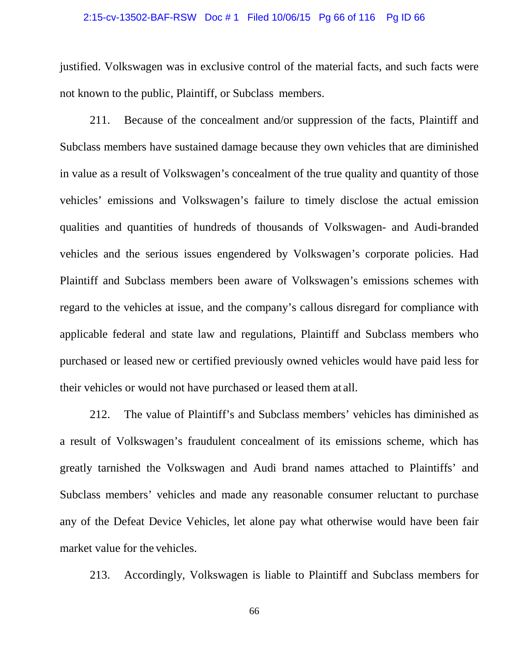### 2:15-cv-13502-BAF-RSW Doc # 1 Filed 10/06/15 Pg 66 of 116 Pg ID 66

justified. Volkswagen was in exclusive control of the material facts, and such facts were not known to the public, Plaintiff, or Subclass members.

211. Because of the concealment and/or suppression of the facts, Plaintiff and Subclass members have sustained damage because they own vehicles that are diminished in value as a result of Volkswagen's concealment of the true quality and quantity of those vehicles' emissions and Volkswagen's failure to timely disclose the actual emission qualities and quantities of hundreds of thousands of Volkswagen- and Audi-branded vehicles and the serious issues engendered by Volkswagen's corporate policies. Had Plaintiff and Subclass members been aware of Volkswagen's emissions schemes with regard to the vehicles at issue, and the company's callous disregard for compliance with applicable federal and state law and regulations, Plaintiff and Subclass members who purchased or leased new or certified previously owned vehicles would have paid less for their vehicles or would not have purchased or leased them at all.

212. The value of Plaintiff's and Subclass members' vehicles has diminished as a result of Volkswagen's fraudulent concealment of its emissions scheme, which has greatly tarnished the Volkswagen and Audi brand names attached to Plaintiffs' and Subclass members' vehicles and made any reasonable consumer reluctant to purchase any of the Defeat Device Vehicles, let alone pay what otherwise would have been fair market value for the vehicles.

213. Accordingly, Volkswagen is liable to Plaintiff and Subclass members for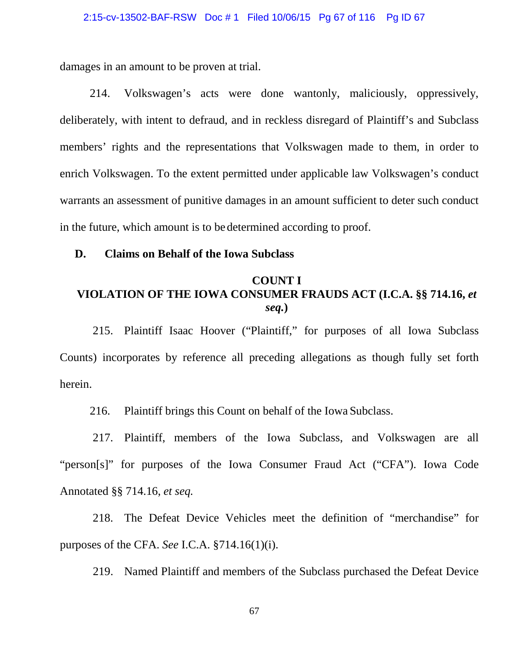damages in an amount to be proven at trial.

214. Volkswagen's acts were done wantonly, maliciously, oppressively, deliberately, with intent to defraud, and in reckless disregard of Plaintiff's and Subclass members' rights and the representations that Volkswagen made to them, in order to enrich Volkswagen. To the extent permitted under applicable law Volkswagen's conduct warrants an assessment of punitive damages in an amount sufficient to deter such conduct in the future, which amount is to be determined according to proof.

### **D. Claims on Behalf of the Iowa Subclass**

# **COUNT I VIOLATION OF THE IOWA CONSUMER FRAUDS ACT (I.C.A. §§ 714.16,** *et seq.***)**

215. Plaintiff Isaac Hoover ("Plaintiff," for purposes of all Iowa Subclass Counts) incorporates by reference all preceding allegations as though fully set forth herein.

216. Plaintiff brings this Count on behalf of the Iowa Subclass.

217. Plaintiff, members of the Iowa Subclass, and Volkswagen are all "person[s]" for purposes of the Iowa Consumer Fraud Act ("CFA"). Iowa Code Annotated §§ 714.16, *et seq.*

218. The Defeat Device Vehicles meet the definition of "merchandise" for purposes of the CFA. *See* I.C.A. §714.16(1)(i).

219. Named Plaintiff and members of the Subclass purchased the Defeat Device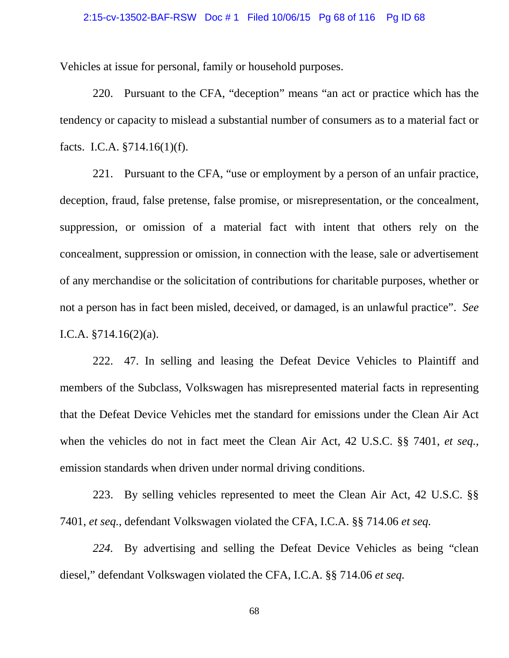### 2:15-cv-13502-BAF-RSW Doc # 1 Filed 10/06/15 Pg 68 of 116 Pg ID 68

Vehicles at issue for personal, family or household purposes.

220. Pursuant to the CFA, "deception" means "an act or practice which has the tendency or capacity to mislead a substantial number of consumers as to a material fact or facts. I.C.A. §714.16(1)(f).

221. Pursuant to the CFA, "use or employment by a person of an unfair practice, deception, fraud, false pretense, false promise, or misrepresentation, or the concealment, suppression, or omission of a material fact with intent that others rely on the concealment, suppression or omission, in connection with the lease, sale or advertisement of any merchandise or the solicitation of contributions for charitable purposes, whether or not a person has in fact been misled, deceived, or damaged, is an unlawful practice". *See* I.C.A. §714.16(2)(a).

222. 47. In selling and leasing the Defeat Device Vehicles to Plaintiff and members of the Subclass, Volkswagen has misrepresented material facts in representing that the Defeat Device Vehicles met the standard for emissions under the Clean Air Act when the vehicles do not in fact meet the Clean Air Act, 42 U.S.C. §§ 7401, *et seq.*, emission standards when driven under normal driving conditions.

223. By selling vehicles represented to meet the Clean Air Act, 42 U.S.C. §§ 7401, *et seq.*, defendant Volkswagen violated the CFA, I.C.A. §§ 714.06 *et seq.*

*224.* By advertising and selling the Defeat Device Vehicles as being "clean diesel," defendant Volkswagen violated the CFA, I.C.A. §§ 714.06 *et seq.*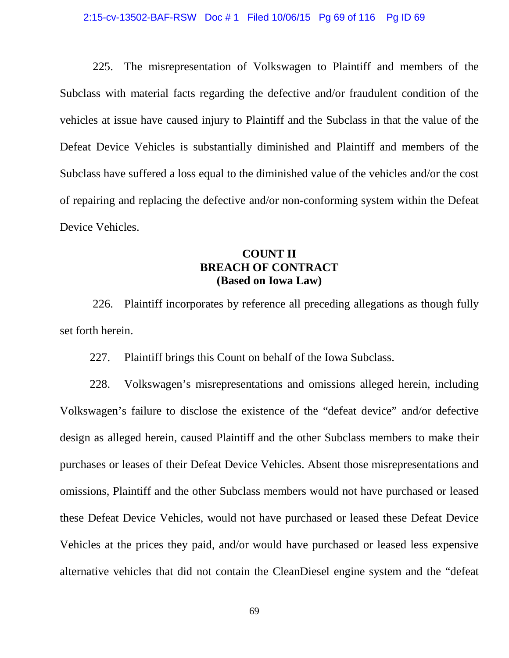#### 2:15-cv-13502-BAF-RSW Doc # 1 Filed 10/06/15 Pg 69 of 116 Pg ID 69

225. The misrepresentation of Volkswagen to Plaintiff and members of the Subclass with material facts regarding the defective and/or fraudulent condition of the vehicles at issue have caused injury to Plaintiff and the Subclass in that the value of the Defeat Device Vehicles is substantially diminished and Plaintiff and members of the Subclass have suffered a loss equal to the diminished value of the vehicles and/or the cost of repairing and replacing the defective and/or non-conforming system within the Defeat Device Vehicles.

### **COUNT II BREACH OF CONTRACT (Based on Iowa Law)**

226. Plaintiff incorporates by reference all preceding allegations as though fully set forth herein.

227. Plaintiff brings this Count on behalf of the Iowa Subclass.

228. Volkswagen's misrepresentations and omissions alleged herein, including Volkswagen's failure to disclose the existence of the "defeat device" and/or defective design as alleged herein, caused Plaintiff and the other Subclass members to make their purchases or leases of their Defeat Device Vehicles. Absent those misrepresentations and omissions, Plaintiff and the other Subclass members would not have purchased or leased these Defeat Device Vehicles, would not have purchased or leased these Defeat Device Vehicles at the prices they paid, and/or would have purchased or leased less expensive alternative vehicles that did not contain the CleanDiesel engine system and the "defeat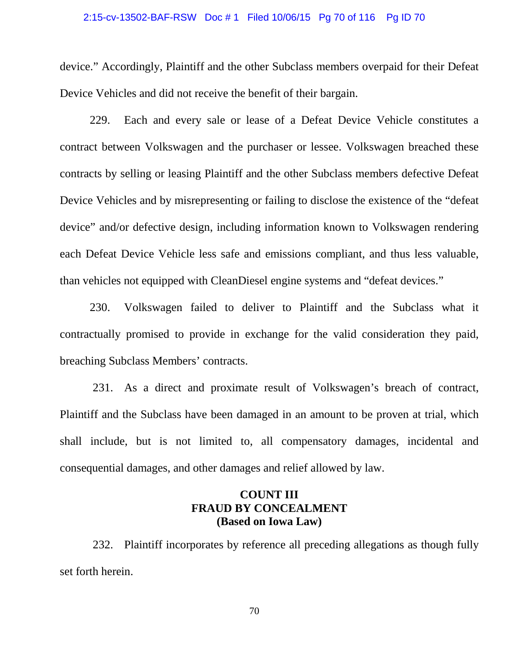### 2:15-cv-13502-BAF-RSW Doc # 1 Filed 10/06/15 Pg 70 of 116 Pg ID 70

device." Accordingly, Plaintiff and the other Subclass members overpaid for their Defeat Device Vehicles and did not receive the benefit of their bargain.

229. Each and every sale or lease of a Defeat Device Vehicle constitutes a contract between Volkswagen and the purchaser or lessee. Volkswagen breached these contracts by selling or leasing Plaintiff and the other Subclass members defective Defeat Device Vehicles and by misrepresenting or failing to disclose the existence of the "defeat device" and/or defective design, including information known to Volkswagen rendering each Defeat Device Vehicle less safe and emissions compliant, and thus less valuable, than vehicles not equipped with CleanDiesel engine systems and "defeat devices."

230. Volkswagen failed to deliver to Plaintiff and the Subclass what it contractually promised to provide in exchange for the valid consideration they paid, breaching Subclass Members' contracts.

231. As a direct and proximate result of Volkswagen's breach of contract, Plaintiff and the Subclass have been damaged in an amount to be proven at trial, which shall include, but is not limited to, all compensatory damages, incidental and consequential damages, and other damages and relief allowed by law.

# **COUNT III FRAUD BY CONCEALMENT (Based on Iowa Law)**

232. Plaintiff incorporates by reference all preceding allegations as though fully set forth herein.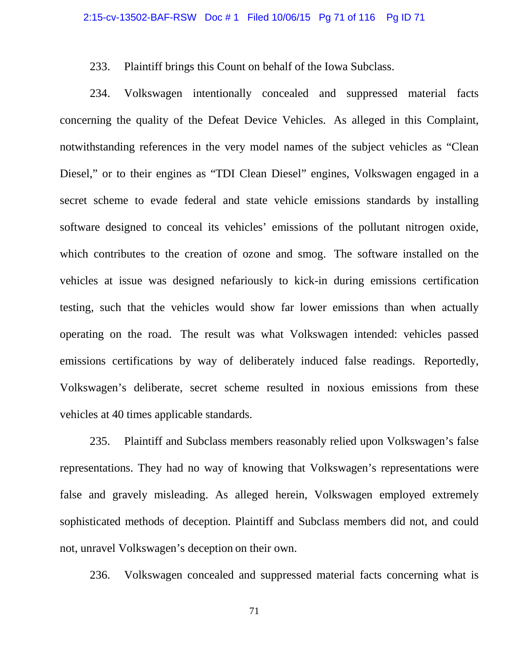233. Plaintiff brings this Count on behalf of the Iowa Subclass.

234. Volkswagen intentionally concealed and suppressed material facts concerning the quality of the Defeat Device Vehicles. As alleged in this Complaint, notwithstanding references in the very model names of the subject vehicles as "Clean Diesel," or to their engines as "TDI Clean Diesel" engines, Volkswagen engaged in a secret scheme to evade federal and state vehicle emissions standards by installing software designed to conceal its vehicles' emissions of the pollutant nitrogen oxide, which contributes to the creation of ozone and smog. The software installed on the vehicles at issue was designed nefariously to kick-in during emissions certification testing, such that the vehicles would show far lower emissions than when actually operating on the road. The result was what Volkswagen intended: vehicles passed emissions certifications by way of deliberately induced false readings. Reportedly, Volkswagen's deliberate, secret scheme resulted in noxious emissions from these vehicles at 40 times applicable standards.

235. Plaintiff and Subclass members reasonably relied upon Volkswagen's false representations. They had no way of knowing that Volkswagen's representations were false and gravely misleading. As alleged herein, Volkswagen employed extremely sophisticated methods of deception. Plaintiff and Subclass members did not, and could not, unravel Volkswagen's deception on their own.

236. Volkswagen concealed and suppressed material facts concerning what is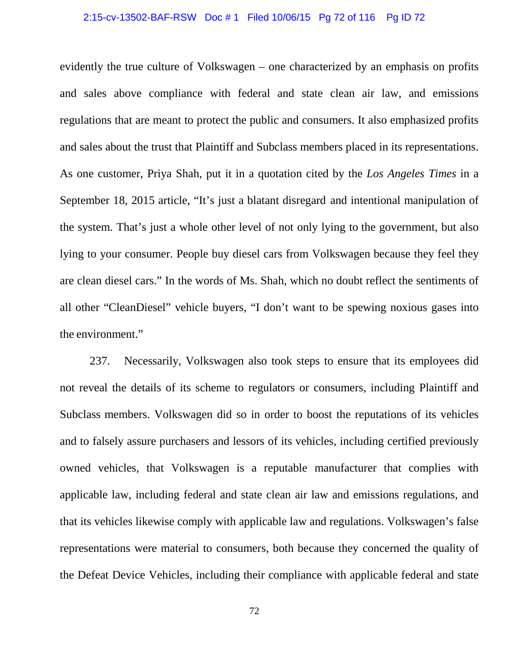### 2:15-cv-13502-BAF-RSW Doc # 1 Filed 10/06/15 Pg 72 of 116 Pg ID 72

evidently the true culture of Volkswagen – one characterized by an emphasis on profits and sales above compliance with federal and state clean air law, and emissions regulations that are meant to protect the public and consumers. It also emphasized profits and sales about the trust that Plaintiff and Subclass members placed in its representations. As one customer, Priya Shah, put it in a quotation cited by the *Los Angeles Times* in a September 18, 2015 article, "It's just a blatant disregard and intentional manipulation of the system. That's just a whole other level of not only lying to the government, but also lying to your consumer. People buy diesel cars from Volkswagen because they feel they are clean diesel cars." In the words of Ms. Shah, which no doubt reflect the sentiments of all other "CleanDiesel" vehicle buyers, "I don't want to be spewing noxious gases into the environment."

237. Necessarily, Volkswagen also took steps to ensure that its employees did not reveal the details of its scheme to regulators or consumers, including Plaintiff and Subclass members. Volkswagen did so in order to boost the reputations of its vehicles and to falsely assure purchasers and lessors of its vehicles, including certified previously owned vehicles, that Volkswagen is a reputable manufacturer that complies with applicable law, including federal and state clean air law and emissions regulations, and that its vehicles likewise comply with applicable law and regulations. Volkswagen's false representations were material to consumers, both because they concerned the quality of the Defeat Device Vehicles, including their compliance with applicable federal and state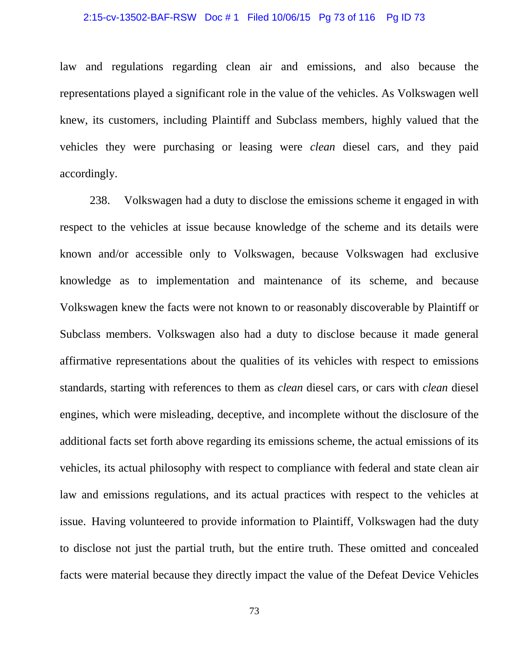#### 2:15-cv-13502-BAF-RSW Doc # 1 Filed 10/06/15 Pg 73 of 116 Pg ID 73

law and regulations regarding clean air and emissions, and also because the representations played a significant role in the value of the vehicles. As Volkswagen well knew, its customers, including Plaintiff and Subclass members, highly valued that the vehicles they were purchasing or leasing were *clean* diesel cars, and they paid accordingly.

238. Volkswagen had a duty to disclose the emissions scheme it engaged in with respect to the vehicles at issue because knowledge of the scheme and its details were known and/or accessible only to Volkswagen, because Volkswagen had exclusive knowledge as to implementation and maintenance of its scheme, and because Volkswagen knew the facts were not known to or reasonably discoverable by Plaintiff or Subclass members. Volkswagen also had a duty to disclose because it made general affirmative representations about the qualities of its vehicles with respect to emissions standards, starting with references to them as *clean* diesel cars, or cars with *clean* diesel engines, which were misleading, deceptive, and incomplete without the disclosure of the additional facts set forth above regarding its emissions scheme, the actual emissions of its vehicles, its actual philosophy with respect to compliance with federal and state clean air law and emissions regulations, and its actual practices with respect to the vehicles at issue. Having volunteered to provide information to Plaintiff, Volkswagen had the duty to disclose not just the partial truth, but the entire truth. These omitted and concealed facts were material because they directly impact the value of the Defeat Device Vehicles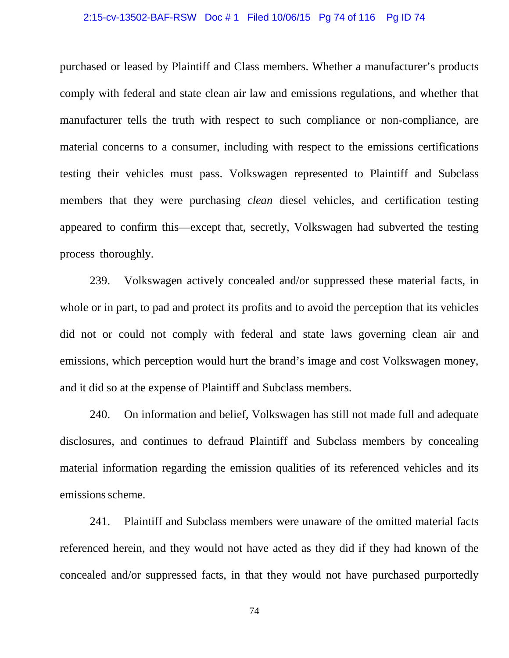#### 2:15-cv-13502-BAF-RSW Doc # 1 Filed 10/06/15 Pg 74 of 116 Pg ID 74

purchased or leased by Plaintiff and Class members. Whether a manufacturer's products comply with federal and state clean air law and emissions regulations, and whether that manufacturer tells the truth with respect to such compliance or non-compliance, are material concerns to a consumer, including with respect to the emissions certifications testing their vehicles must pass. Volkswagen represented to Plaintiff and Subclass members that they were purchasing *clean* diesel vehicles, and certification testing appeared to confirm this—except that, secretly, Volkswagen had subverted the testing process thoroughly.

239. Volkswagen actively concealed and/or suppressed these material facts, in whole or in part, to pad and protect its profits and to avoid the perception that its vehicles did not or could not comply with federal and state laws governing clean air and emissions, which perception would hurt the brand's image and cost Volkswagen money, and it did so at the expense of Plaintiff and Subclass members.

240. On information and belief, Volkswagen has still not made full and adequate disclosures, and continues to defraud Plaintiff and Subclass members by concealing material information regarding the emission qualities of its referenced vehicles and its emissions scheme.

241. Plaintiff and Subclass members were unaware of the omitted material facts referenced herein, and they would not have acted as they did if they had known of the concealed and/or suppressed facts, in that they would not have purchased purportedly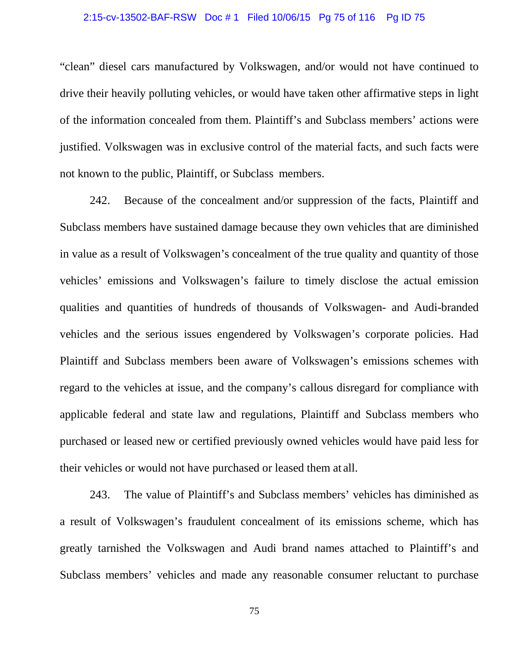#### 2:15-cv-13502-BAF-RSW Doc # 1 Filed 10/06/15 Pg 75 of 116 Pg ID 75

"clean" diesel cars manufactured by Volkswagen, and/or would not have continued to drive their heavily polluting vehicles, or would have taken other affirmative steps in light of the information concealed from them. Plaintiff's and Subclass members' actions were justified. Volkswagen was in exclusive control of the material facts, and such facts were not known to the public, Plaintiff, or Subclass members.

242. Because of the concealment and/or suppression of the facts, Plaintiff and Subclass members have sustained damage because they own vehicles that are diminished in value as a result of Volkswagen's concealment of the true quality and quantity of those vehicles' emissions and Volkswagen's failure to timely disclose the actual emission qualities and quantities of hundreds of thousands of Volkswagen- and Audi-branded vehicles and the serious issues engendered by Volkswagen's corporate policies. Had Plaintiff and Subclass members been aware of Volkswagen's emissions schemes with regard to the vehicles at issue, and the company's callous disregard for compliance with applicable federal and state law and regulations, Plaintiff and Subclass members who purchased or leased new or certified previously owned vehicles would have paid less for their vehicles or would not have purchased or leased them at all.

243. The value of Plaintiff's and Subclass members' vehicles has diminished as a result of Volkswagen's fraudulent concealment of its emissions scheme, which has greatly tarnished the Volkswagen and Audi brand names attached to Plaintiff's and Subclass members' vehicles and made any reasonable consumer reluctant to purchase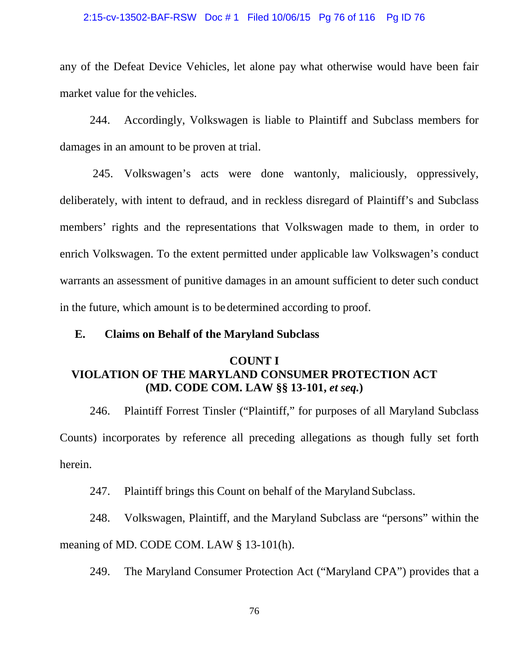#### 2:15-cv-13502-BAF-RSW Doc # 1 Filed 10/06/15 Pg 76 of 116 Pg ID 76

any of the Defeat Device Vehicles, let alone pay what otherwise would have been fair market value for the vehicles.

244. Accordingly, Volkswagen is liable to Plaintiff and Subclass members for damages in an amount to be proven at trial.

245. Volkswagen's acts were done wantonly, maliciously, oppressively, deliberately, with intent to defraud, and in reckless disregard of Plaintiff's and Subclass members' rights and the representations that Volkswagen made to them, in order to enrich Volkswagen. To the extent permitted under applicable law Volkswagen's conduct warrants an assessment of punitive damages in an amount sufficient to deter such conduct in the future, which amount is to be determined according to proof.

### **E. Claims on Behalf of the Maryland Subclass**

# **COUNT I VIOLATION OF THE MARYLAND CONSUMER PROTECTION ACT (MD. CODE COM. LAW §§ 13-101,** *et seq.***)**

246. Plaintiff Forrest Tinsler ("Plaintiff," for purposes of all Maryland Subclass Counts) incorporates by reference all preceding allegations as though fully set forth herein.

247. Plaintiff brings this Count on behalf of the Maryland Subclass.

248. Volkswagen, Plaintiff, and the Maryland Subclass are "persons" within the meaning of MD. CODE COM. LAW § 13-101(h).

249. The Maryland Consumer Protection Act ("Maryland CPA") provides that a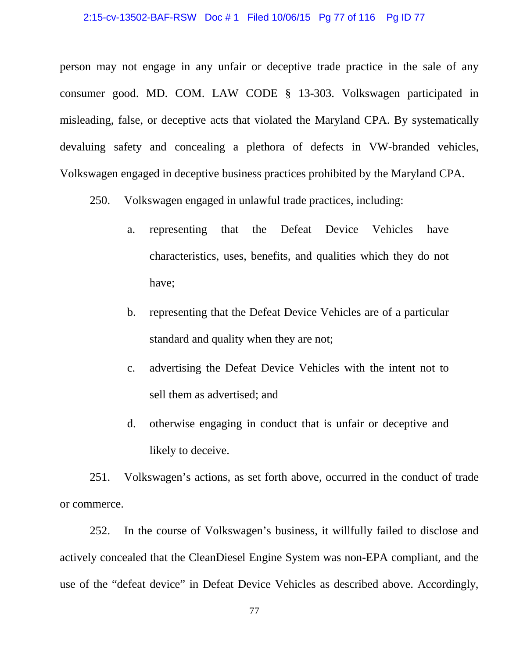#### 2:15-cv-13502-BAF-RSW Doc # 1 Filed 10/06/15 Pg 77 of 116 Pg ID 77

person may not engage in any unfair or deceptive trade practice in the sale of any consumer good. MD. COM. LAW CODE § 13-303. Volkswagen participated in misleading, false, or deceptive acts that violated the Maryland CPA. By systematically devaluing safety and concealing a plethora of defects in VW-branded vehicles, Volkswagen engaged in deceptive business practices prohibited by the Maryland CPA.

250. Volkswagen engaged in unlawful trade practices, including:

- a. representing that the Defeat Device Vehicles have characteristics, uses, benefits, and qualities which they do not have;
- b. representing that the Defeat Device Vehicles are of a particular standard and quality when they are not;
- c. advertising the Defeat Device Vehicles with the intent not to sell them as advertised; and
- d. otherwise engaging in conduct that is unfair or deceptive and likely to deceive.

251. Volkswagen's actions, as set forth above, occurred in the conduct of trade or commerce.

252. In the course of Volkswagen's business, it willfully failed to disclose and actively concealed that the CleanDiesel Engine System was non-EPA compliant, and the use of the "defeat device" in Defeat Device Vehicles as described above. Accordingly,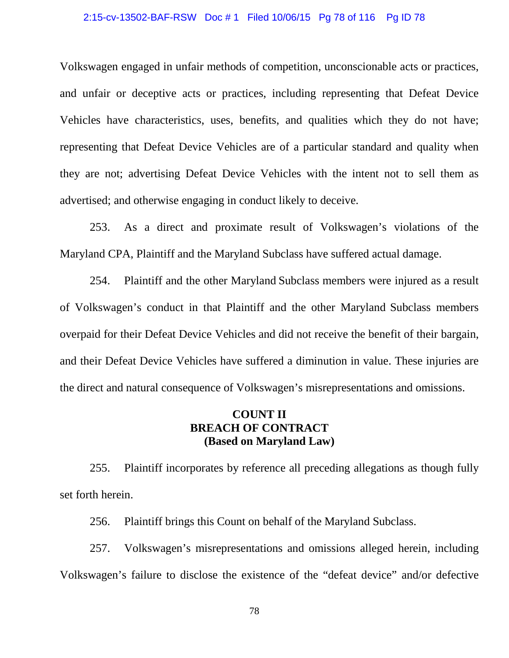#### 2:15-cv-13502-BAF-RSW Doc # 1 Filed 10/06/15 Pg 78 of 116 Pg ID 78

Volkswagen engaged in unfair methods of competition, unconscionable acts or practices, and unfair or deceptive acts or practices, including representing that Defeat Device Vehicles have characteristics, uses, benefits, and qualities which they do not have; representing that Defeat Device Vehicles are of a particular standard and quality when they are not; advertising Defeat Device Vehicles with the intent not to sell them as advertised; and otherwise engaging in conduct likely to deceive.

253. As a direct and proximate result of Volkswagen's violations of the Maryland CPA, Plaintiff and the Maryland Subclass have suffered actual damage.

254. Plaintiff and the other Maryland Subclass members were injured as a result of Volkswagen's conduct in that Plaintiff and the other Maryland Subclass members overpaid for their Defeat Device Vehicles and did not receive the benefit of their bargain, and their Defeat Device Vehicles have suffered a diminution in value. These injuries are the direct and natural consequence of Volkswagen's misrepresentations and omissions.

## **COUNT II BREACH OF CONTRACT (Based on Maryland Law)**

255. Plaintiff incorporates by reference all preceding allegations as though fully set forth herein.

256. Plaintiff brings this Count on behalf of the Maryland Subclass.

257. Volkswagen's misrepresentations and omissions alleged herein, including Volkswagen's failure to disclose the existence of the "defeat device" and/or defective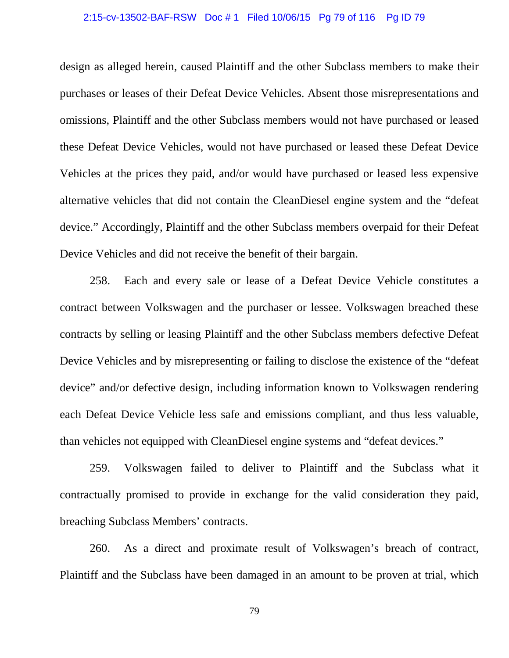#### 2:15-cv-13502-BAF-RSW Doc # 1 Filed 10/06/15 Pg 79 of 116 Pg ID 79

design as alleged herein, caused Plaintiff and the other Subclass members to make their purchases or leases of their Defeat Device Vehicles. Absent those misrepresentations and omissions, Plaintiff and the other Subclass members would not have purchased or leased these Defeat Device Vehicles, would not have purchased or leased these Defeat Device Vehicles at the prices they paid, and/or would have purchased or leased less expensive alternative vehicles that did not contain the CleanDiesel engine system and the "defeat device." Accordingly, Plaintiff and the other Subclass members overpaid for their Defeat Device Vehicles and did not receive the benefit of their bargain.

258. Each and every sale or lease of a Defeat Device Vehicle constitutes a contract between Volkswagen and the purchaser or lessee. Volkswagen breached these contracts by selling or leasing Plaintiff and the other Subclass members defective Defeat Device Vehicles and by misrepresenting or failing to disclose the existence of the "defeat device" and/or defective design, including information known to Volkswagen rendering each Defeat Device Vehicle less safe and emissions compliant, and thus less valuable, than vehicles not equipped with CleanDiesel engine systems and "defeat devices."

259. Volkswagen failed to deliver to Plaintiff and the Subclass what it contractually promised to provide in exchange for the valid consideration they paid, breaching Subclass Members' contracts.

260. As a direct and proximate result of Volkswagen's breach of contract, Plaintiff and the Subclass have been damaged in an amount to be proven at trial, which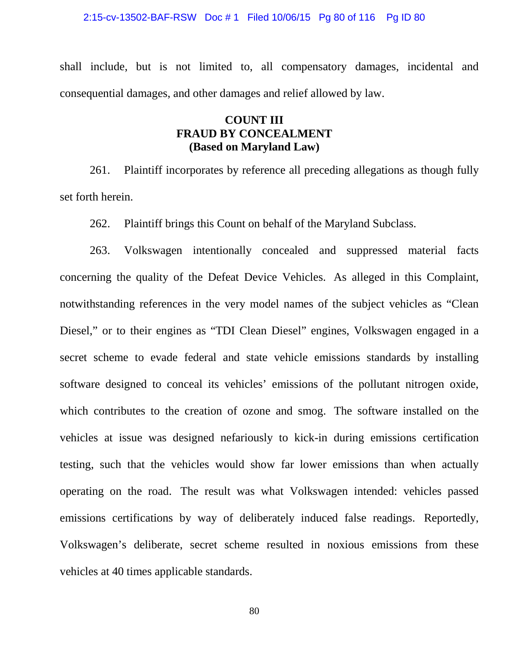2:15-cv-13502-BAF-RSW Doc # 1 Filed 10/06/15 Pg 80 of 116 Pg ID 80

shall include, but is not limited to, all compensatory damages, incidental and consequential damages, and other damages and relief allowed by law.

## **COUNT III FRAUD BY CONCEALMENT (Based on Maryland Law)**

261. Plaintiff incorporates by reference all preceding allegations as though fully set forth herein.

262. Plaintiff brings this Count on behalf of the Maryland Subclass.

263. Volkswagen intentionally concealed and suppressed material facts concerning the quality of the Defeat Device Vehicles. As alleged in this Complaint, notwithstanding references in the very model names of the subject vehicles as "Clean Diesel," or to their engines as "TDI Clean Diesel" engines, Volkswagen engaged in a secret scheme to evade federal and state vehicle emissions standards by installing software designed to conceal its vehicles' emissions of the pollutant nitrogen oxide, which contributes to the creation of ozone and smog. The software installed on the vehicles at issue was designed nefariously to kick-in during emissions certification testing, such that the vehicles would show far lower emissions than when actually operating on the road. The result was what Volkswagen intended: vehicles passed emissions certifications by way of deliberately induced false readings. Reportedly, Volkswagen's deliberate, secret scheme resulted in noxious emissions from these vehicles at 40 times applicable standards.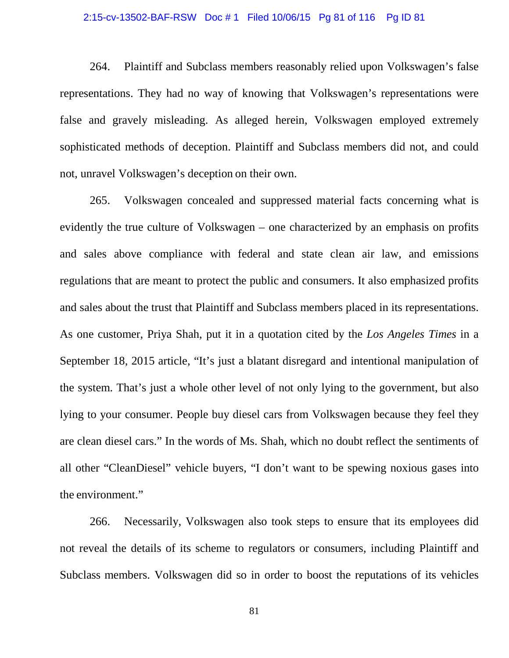#### 2:15-cv-13502-BAF-RSW Doc # 1 Filed 10/06/15 Pg 81 of 116 Pg ID 81

264. Plaintiff and Subclass members reasonably relied upon Volkswagen's false representations. They had no way of knowing that Volkswagen's representations were false and gravely misleading. As alleged herein, Volkswagen employed extremely sophisticated methods of deception. Plaintiff and Subclass members did not, and could not, unravel Volkswagen's deception on their own.

265. Volkswagen concealed and suppressed material facts concerning what is evidently the true culture of Volkswagen – one characterized by an emphasis on profits and sales above compliance with federal and state clean air law, and emissions regulations that are meant to protect the public and consumers. It also emphasized profits and sales about the trust that Plaintiff and Subclass members placed in its representations. As one customer, Priya Shah, put it in a quotation cited by the *Los Angeles Times* in a September 18, 2015 article, "It's just a blatant disregard and intentional manipulation of the system. That's just a whole other level of not only lying to the government, but also lying to your consumer. People buy diesel cars from Volkswagen because they feel they are clean diesel cars." In the words of Ms. Shah, which no doubt reflect the sentiments of all other "CleanDiesel" vehicle buyers, "I don't want to be spewing noxious gases into the environment."

266. Necessarily, Volkswagen also took steps to ensure that its employees did not reveal the details of its scheme to regulators or consumers, including Plaintiff and Subclass members. Volkswagen did so in order to boost the reputations of its vehicles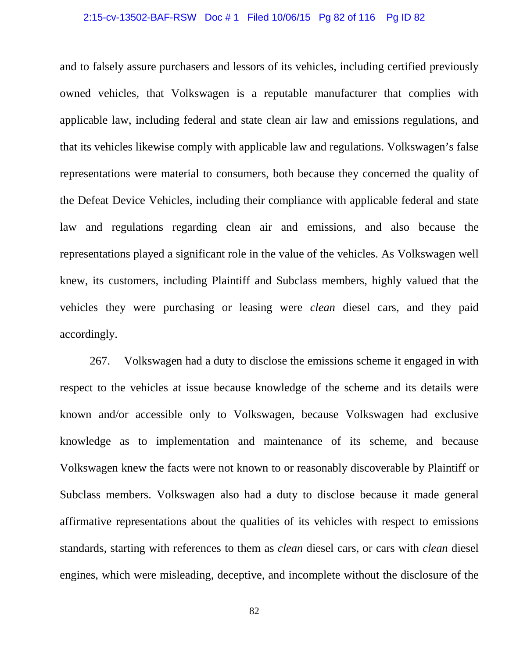#### 2:15-cv-13502-BAF-RSW Doc # 1 Filed 10/06/15 Pg 82 of 116 Pg ID 82

and to falsely assure purchasers and lessors of its vehicles, including certified previously owned vehicles, that Volkswagen is a reputable manufacturer that complies with applicable law, including federal and state clean air law and emissions regulations, and that its vehicles likewise comply with applicable law and regulations. Volkswagen's false representations were material to consumers, both because they concerned the quality of the Defeat Device Vehicles, including their compliance with applicable federal and state law and regulations regarding clean air and emissions, and also because the representations played a significant role in the value of the vehicles. As Volkswagen well knew, its customers, including Plaintiff and Subclass members, highly valued that the vehicles they were purchasing or leasing were *clean* diesel cars, and they paid accordingly.

267. Volkswagen had a duty to disclose the emissions scheme it engaged in with respect to the vehicles at issue because knowledge of the scheme and its details were known and/or accessible only to Volkswagen, because Volkswagen had exclusive knowledge as to implementation and maintenance of its scheme, and because Volkswagen knew the facts were not known to or reasonably discoverable by Plaintiff or Subclass members. Volkswagen also had a duty to disclose because it made general affirmative representations about the qualities of its vehicles with respect to emissions standards, starting with references to them as *clean* diesel cars, or cars with *clean* diesel engines, which were misleading, deceptive, and incomplete without the disclosure of the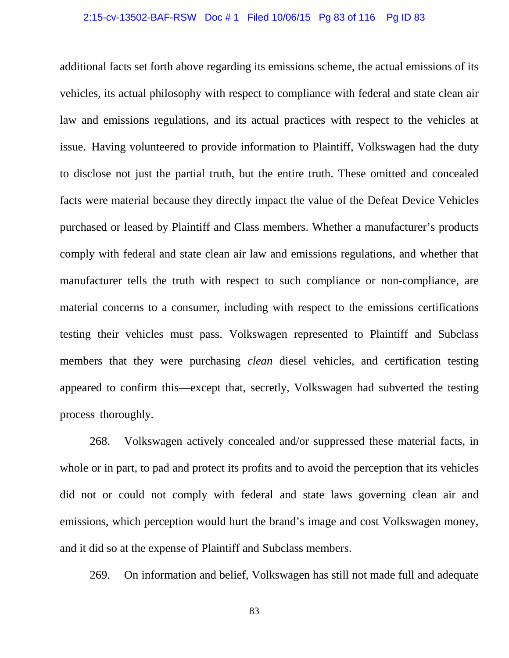#### 2:15-cv-13502-BAF-RSW Doc # 1 Filed 10/06/15 Pg 83 of 116 Pg ID 83

additional facts set forth above regarding its emissions scheme, the actual emissions of its vehicles, its actual philosophy with respect to compliance with federal and state clean air law and emissions regulations, and its actual practices with respect to the vehicles at issue. Having volunteered to provide information to Plaintiff, Volkswagen had the duty to disclose not just the partial truth, but the entire truth. These omitted and concealed facts were material because they directly impact the value of the Defeat Device Vehicles purchased or leased by Plaintiff and Class members. Whether a manufacturer's products comply with federal and state clean air law and emissions regulations, and whether that manufacturer tells the truth with respect to such compliance or non-compliance, are material concerns to a consumer, including with respect to the emissions certifications testing their vehicles must pass. Volkswagen represented to Plaintiff and Subclass members that they were purchasing *clean* diesel vehicles, and certification testing appeared to confirm this—except that, secretly, Volkswagen had subverted the testing process thoroughly.

268. Volkswagen actively concealed and/or suppressed these material facts, in whole or in part, to pad and protect its profits and to avoid the perception that its vehicles did not or could not comply with federal and state laws governing clean air and emissions, which perception would hurt the brand's image and cost Volkswagen money, and it did so at the expense of Plaintiff and Subclass members.

269. On information and belief, Volkswagen has still not made full and adequate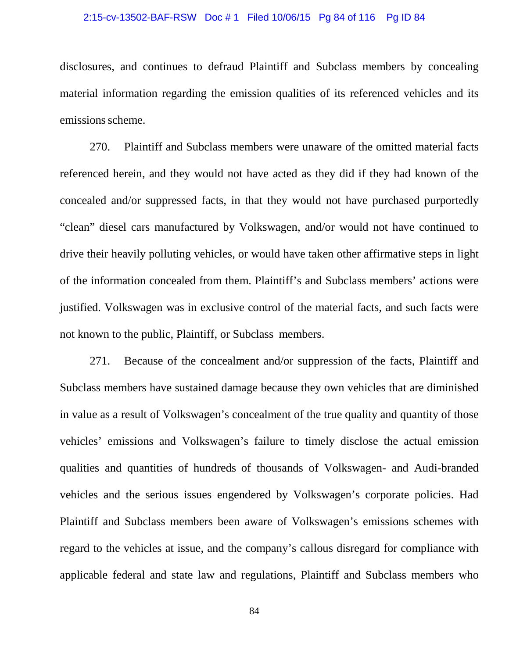#### 2:15-cv-13502-BAF-RSW Doc # 1 Filed 10/06/15 Pg 84 of 116 Pg ID 84

disclosures, and continues to defraud Plaintiff and Subclass members by concealing material information regarding the emission qualities of its referenced vehicles and its emissions scheme.

270. Plaintiff and Subclass members were unaware of the omitted material facts referenced herein, and they would not have acted as they did if they had known of the concealed and/or suppressed facts, in that they would not have purchased purportedly "clean" diesel cars manufactured by Volkswagen, and/or would not have continued to drive their heavily polluting vehicles, or would have taken other affirmative steps in light of the information concealed from them. Plaintiff's and Subclass members' actions were justified. Volkswagen was in exclusive control of the material facts, and such facts were not known to the public, Plaintiff, or Subclass members.

271. Because of the concealment and/or suppression of the facts, Plaintiff and Subclass members have sustained damage because they own vehicles that are diminished in value as a result of Volkswagen's concealment of the true quality and quantity of those vehicles' emissions and Volkswagen's failure to timely disclose the actual emission qualities and quantities of hundreds of thousands of Volkswagen- and Audi-branded vehicles and the serious issues engendered by Volkswagen's corporate policies. Had Plaintiff and Subclass members been aware of Volkswagen's emissions schemes with regard to the vehicles at issue, and the company's callous disregard for compliance with applicable federal and state law and regulations, Plaintiff and Subclass members who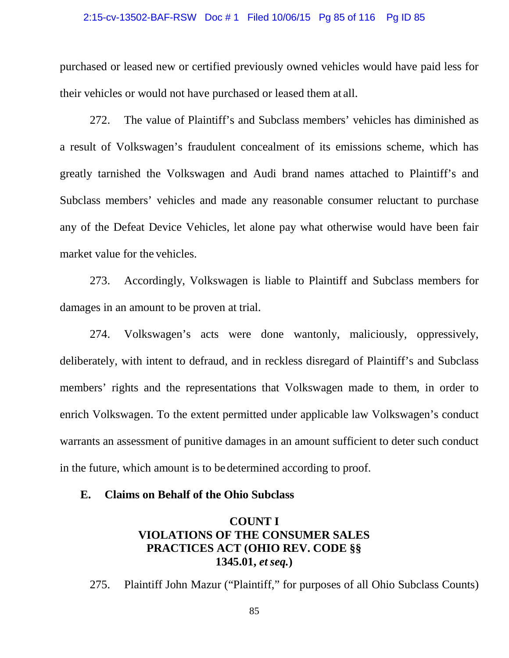#### 2:15-cv-13502-BAF-RSW Doc # 1 Filed 10/06/15 Pg 85 of 116 Pg ID 85

purchased or leased new or certified previously owned vehicles would have paid less for their vehicles or would not have purchased or leased them at all.

272. The value of Plaintiff's and Subclass members' vehicles has diminished as a result of Volkswagen's fraudulent concealment of its emissions scheme, which has greatly tarnished the Volkswagen and Audi brand names attached to Plaintiff's and Subclass members' vehicles and made any reasonable consumer reluctant to purchase any of the Defeat Device Vehicles, let alone pay what otherwise would have been fair market value for the vehicles.

273. Accordingly, Volkswagen is liable to Plaintiff and Subclass members for damages in an amount to be proven at trial.

274. Volkswagen's acts were done wantonly, maliciously, oppressively, deliberately, with intent to defraud, and in reckless disregard of Plaintiff's and Subclass members' rights and the representations that Volkswagen made to them, in order to enrich Volkswagen. To the extent permitted under applicable law Volkswagen's conduct warrants an assessment of punitive damages in an amount sufficient to deter such conduct in the future, which amount is to be determined according to proof.

### **E. Claims on Behalf of the Ohio Subclass**

# **COUNT I VIOLATIONS OF THE CONSUMER SALES PRACTICES ACT (OHIO REV. CODE §§ 1345.01,** *et seq.***)**

275. Plaintiff John Mazur ("Plaintiff," for purposes of all Ohio Subclass Counts)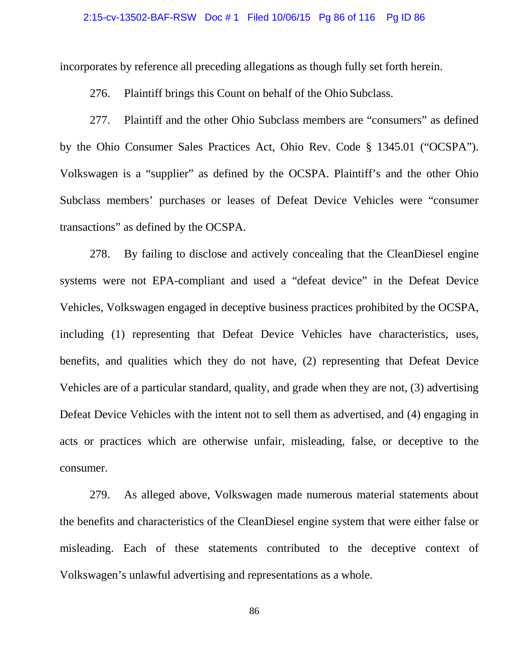#### 2:15-cv-13502-BAF-RSW Doc # 1 Filed 10/06/15 Pg 86 of 116 Pg ID 86

incorporates by reference all preceding allegations as though fully set forth herein.

276. Plaintiff brings this Count on behalf of the Ohio Subclass.

277. Plaintiff and the other Ohio Subclass members are "consumers" as defined by the Ohio Consumer Sales Practices Act, Ohio Rev. Code § 1345.01 ("OCSPA"). Volkswagen is a "supplier" as defined by the OCSPA. Plaintiff's and the other Ohio Subclass members' purchases or leases of Defeat Device Vehicles were "consumer transactions" as defined by the OCSPA.

278. By failing to disclose and actively concealing that the CleanDiesel engine systems were not EPA-compliant and used a "defeat device" in the Defeat Device Vehicles, Volkswagen engaged in deceptive business practices prohibited by the OCSPA, including (1) representing that Defeat Device Vehicles have characteristics, uses, benefits, and qualities which they do not have, (2) representing that Defeat Device Vehicles are of a particular standard, quality, and grade when they are not, (3) advertising Defeat Device Vehicles with the intent not to sell them as advertised, and (4) engaging in acts or practices which are otherwise unfair, misleading, false, or deceptive to the consumer.

279. As alleged above, Volkswagen made numerous material statements about the benefits and characteristics of the CleanDiesel engine system that were either false or misleading. Each of these statements contributed to the deceptive context of Volkswagen's unlawful advertising and representations as a whole.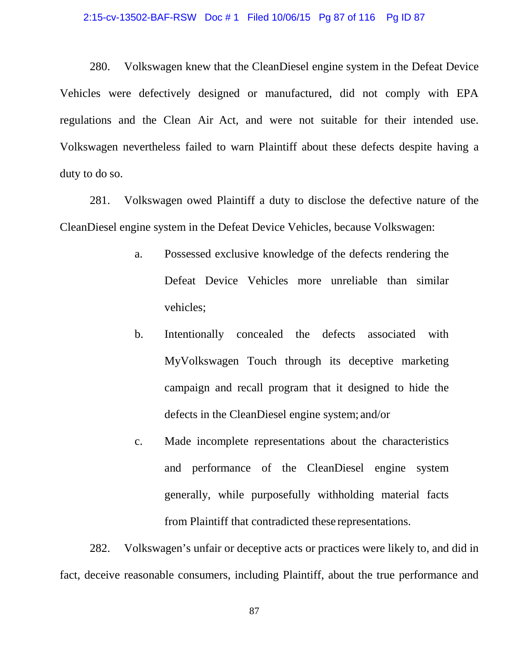#### 2:15-cv-13502-BAF-RSW Doc # 1 Filed 10/06/15 Pg 87 of 116 Pg ID 87

280. Volkswagen knew that the CleanDiesel engine system in the Defeat Device Vehicles were defectively designed or manufactured, did not comply with EPA regulations and the Clean Air Act, and were not suitable for their intended use. Volkswagen nevertheless failed to warn Plaintiff about these defects despite having a duty to do so.

281. Volkswagen owed Plaintiff a duty to disclose the defective nature of the CleanDiesel engine system in the Defeat Device Vehicles, because Volkswagen:

- a. Possessed exclusive knowledge of the defects rendering the Defeat Device Vehicles more unreliable than similar vehicles;
- b. Intentionally concealed the defects associated with MyVolkswagen Touch through its deceptive marketing campaign and recall program that it designed to hide the defects in the CleanDiesel engine system; and/or
- c. Made incomplete representations about the characteristics and performance of the CleanDiesel engine system generally, while purposefully withholding material facts from Plaintiff that contradicted these representations.

282. Volkswagen's unfair or deceptive acts or practices were likely to, and did in fact, deceive reasonable consumers, including Plaintiff, about the true performance and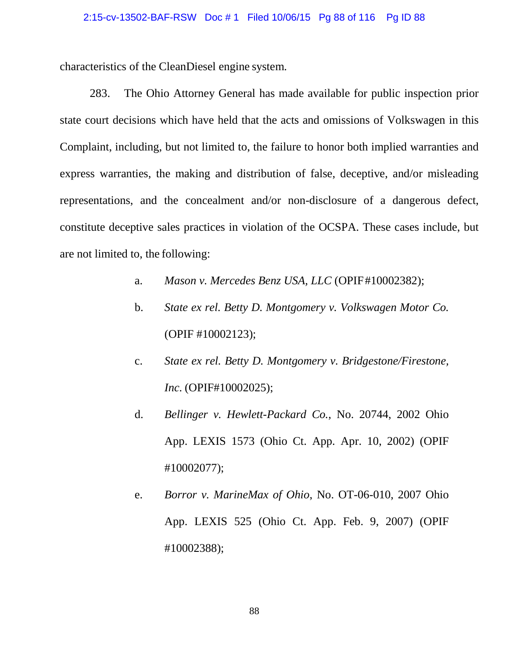#### 2:15-cv-13502-BAF-RSW Doc # 1 Filed 10/06/15 Pg 88 of 116 Pg ID 88

characteristics of the CleanDiesel engine system.

283. The Ohio Attorney General has made available for public inspection prior state court decisions which have held that the acts and omissions of Volkswagen in this Complaint, including, but not limited to, the failure to honor both implied warranties and express warranties, the making and distribution of false, deceptive, and/or misleading representations, and the concealment and/or non-disclosure of a dangerous defect, constitute deceptive sales practices in violation of the OCSPA. These cases include, but are not limited to, the following:

- a. *Mason v. Mercedes Benz USA, LLC* (OPIF#10002382);
- b. *State ex rel. Betty D. Montgomery v. Volkswagen Motor Co.* (OPIF #10002123);
- c. *State ex rel. Betty D. Montgomery v. Bridgestone/Firestone, Inc.* (OPIF#10002025);
- d. *Bellinger v. Hewlett-Packard Co.*, No. 20744, 2002 Ohio App. LEXIS 1573 (Ohio Ct. App. Apr. 10, 2002) (OPIF #10002077);
- e. *Borror v. MarineMax of Ohio*, No. OT-06-010, 2007 Ohio App. LEXIS 525 (Ohio Ct. App. Feb. 9, 2007) (OPIF #10002388);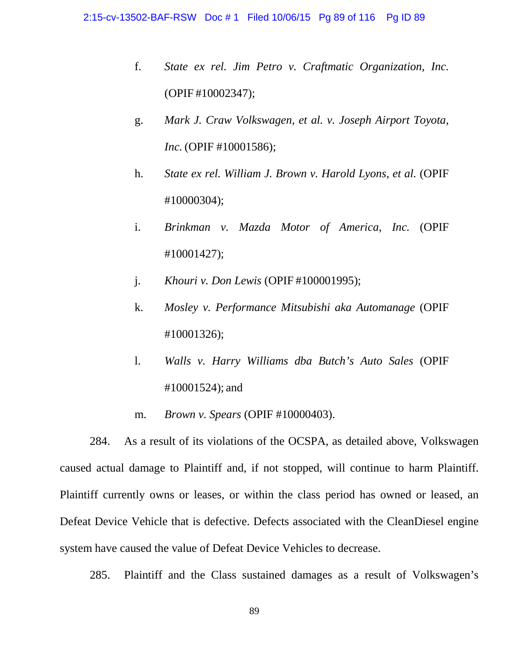- f. *State ex rel. Jim Petro v. Craftmatic Organization, Inc.* (OPIF #10002347);
- g. *Mark J. Craw Volkswagen, et al. v. Joseph Airport Toyota, Inc.* (OPIF #10001586);
- h. *State ex rel. William J. Brown v. Harold Lyons, et al.* (OPIF #10000304);
- i. *Brinkman v. Mazda Motor of America, Inc.* (OPIF #10001427);
- j. *Khouri v. Don Lewis* (OPIF #100001995);
- k. *Mosley v. Performance Mitsubishi aka Automanage* (OPIF #10001326);
- l. *Walls v. Harry Williams dba Butch's Auto Sales* (OPIF #10001524); and
- m. *Brown v. Spears* (OPIF #10000403).

284. As a result of its violations of the OCSPA, as detailed above, Volkswagen caused actual damage to Plaintiff and, if not stopped, will continue to harm Plaintiff. Plaintiff currently owns or leases, or within the class period has owned or leased, an Defeat Device Vehicle that is defective. Defects associated with the CleanDiesel engine system have caused the value of Defeat Device Vehicles to decrease.

285. Plaintiff and the Class sustained damages as a result of Volkswagen's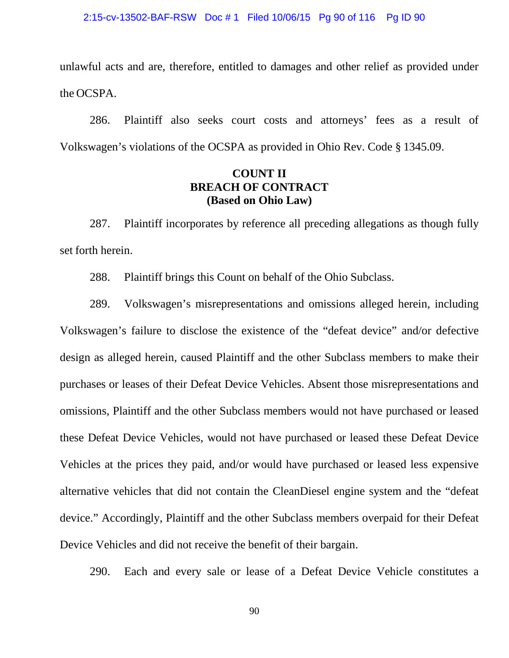unlawful acts and are, therefore, entitled to damages and other relief as provided under the OCSPA.

286. Plaintiff also seeks court costs and attorneys' fees as a result of Volkswagen's violations of the OCSPA as provided in Ohio Rev. Code § 1345.09.

## **COUNT II BREACH OF CONTRACT (Based on Ohio Law)**

287. Plaintiff incorporates by reference all preceding allegations as though fully set forth herein.

288. Plaintiff brings this Count on behalf of the Ohio Subclass.

289. Volkswagen's misrepresentations and omissions alleged herein, including Volkswagen's failure to disclose the existence of the "defeat device" and/or defective design as alleged herein, caused Plaintiff and the other Subclass members to make their purchases or leases of their Defeat Device Vehicles. Absent those misrepresentations and omissions, Plaintiff and the other Subclass members would not have purchased or leased these Defeat Device Vehicles, would not have purchased or leased these Defeat Device Vehicles at the prices they paid, and/or would have purchased or leased less expensive alternative vehicles that did not contain the CleanDiesel engine system and the "defeat device." Accordingly, Plaintiff and the other Subclass members overpaid for their Defeat Device Vehicles and did not receive the benefit of their bargain.

290. Each and every sale or lease of a Defeat Device Vehicle constitutes a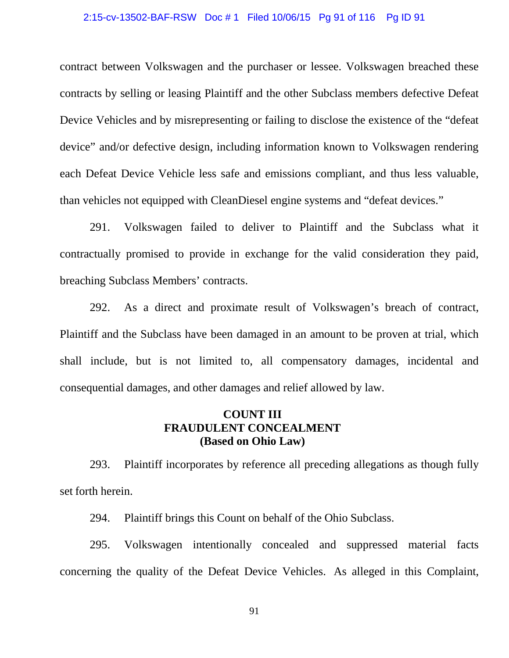#### 2:15-cv-13502-BAF-RSW Doc # 1 Filed 10/06/15 Pg 91 of 116 Pg ID 91

contract between Volkswagen and the purchaser or lessee. Volkswagen breached these contracts by selling or leasing Plaintiff and the other Subclass members defective Defeat Device Vehicles and by misrepresenting or failing to disclose the existence of the "defeat device" and/or defective design, including information known to Volkswagen rendering each Defeat Device Vehicle less safe and emissions compliant, and thus less valuable, than vehicles not equipped with CleanDiesel engine systems and "defeat devices."

291. Volkswagen failed to deliver to Plaintiff and the Subclass what it contractually promised to provide in exchange for the valid consideration they paid, breaching Subclass Members' contracts.

292. As a direct and proximate result of Volkswagen's breach of contract, Plaintiff and the Subclass have been damaged in an amount to be proven at trial, which shall include, but is not limited to, all compensatory damages, incidental and consequential damages, and other damages and relief allowed by law.

## **COUNT III FRAUDULENT CONCEALMENT (Based on Ohio Law)**

293. Plaintiff incorporates by reference all preceding allegations as though fully set forth herein.

294. Plaintiff brings this Count on behalf of the Ohio Subclass.

295. Volkswagen intentionally concealed and suppressed material facts concerning the quality of the Defeat Device Vehicles. As alleged in this Complaint,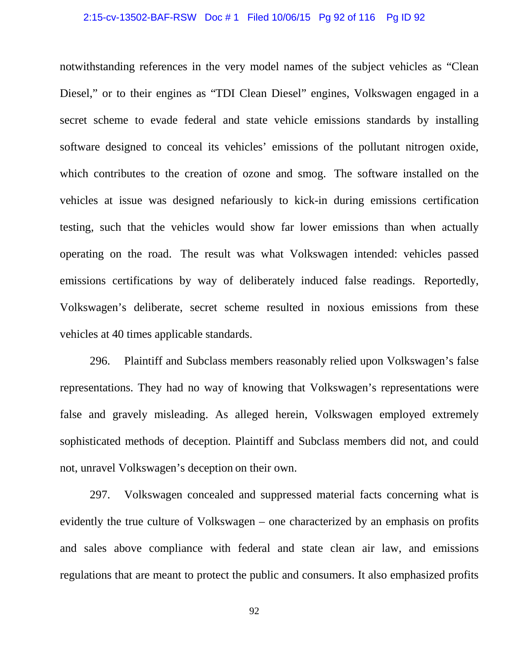#### 2:15-cv-13502-BAF-RSW Doc # 1 Filed 10/06/15 Pg 92 of 116 Pg ID 92

notwithstanding references in the very model names of the subject vehicles as "Clean Diesel," or to their engines as "TDI Clean Diesel" engines, Volkswagen engaged in a secret scheme to evade federal and state vehicle emissions standards by installing software designed to conceal its vehicles' emissions of the pollutant nitrogen oxide, which contributes to the creation of ozone and smog. The software installed on the vehicles at issue was designed nefariously to kick-in during emissions certification testing, such that the vehicles would show far lower emissions than when actually operating on the road. The result was what Volkswagen intended: vehicles passed emissions certifications by way of deliberately induced false readings. Reportedly, Volkswagen's deliberate, secret scheme resulted in noxious emissions from these vehicles at 40 times applicable standards.

296. Plaintiff and Subclass members reasonably relied upon Volkswagen's false representations. They had no way of knowing that Volkswagen's representations were false and gravely misleading. As alleged herein, Volkswagen employed extremely sophisticated methods of deception. Plaintiff and Subclass members did not, and could not, unravel Volkswagen's deception on their own.

297. Volkswagen concealed and suppressed material facts concerning what is evidently the true culture of Volkswagen – one characterized by an emphasis on profits and sales above compliance with federal and state clean air law, and emissions regulations that are meant to protect the public and consumers. It also emphasized profits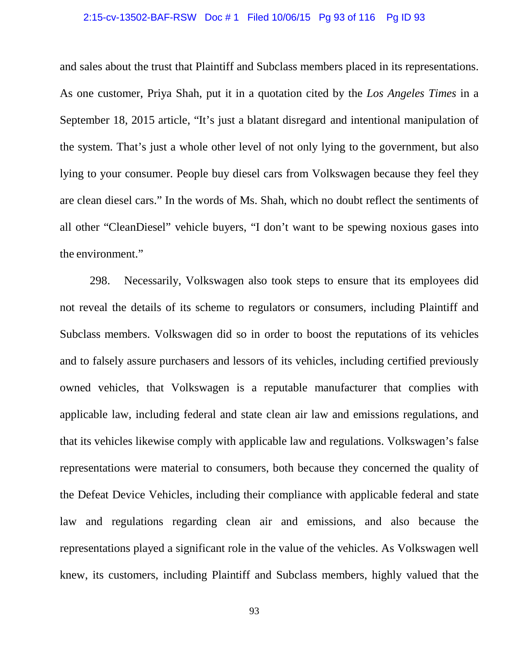#### 2:15-cv-13502-BAF-RSW Doc # 1 Filed 10/06/15 Pg 93 of 116 Pg ID 93

and sales about the trust that Plaintiff and Subclass members placed in its representations. As one customer, Priya Shah, put it in a quotation cited by the *Los Angeles Times* in a September 18, 2015 article, "It's just a blatant disregard and intentional manipulation of the system. That's just a whole other level of not only lying to the government, but also lying to your consumer. People buy diesel cars from Volkswagen because they feel they are clean diesel cars." In the words of Ms. Shah, which no doubt reflect the sentiments of all other "CleanDiesel" vehicle buyers, "I don't want to be spewing noxious gases into the environment."

298. Necessarily, Volkswagen also took steps to ensure that its employees did not reveal the details of its scheme to regulators or consumers, including Plaintiff and Subclass members. Volkswagen did so in order to boost the reputations of its vehicles and to falsely assure purchasers and lessors of its vehicles, including certified previously owned vehicles, that Volkswagen is a reputable manufacturer that complies with applicable law, including federal and state clean air law and emissions regulations, and that its vehicles likewise comply with applicable law and regulations. Volkswagen's false representations were material to consumers, both because they concerned the quality of the Defeat Device Vehicles, including their compliance with applicable federal and state law and regulations regarding clean air and emissions, and also because the representations played a significant role in the value of the vehicles. As Volkswagen well knew, its customers, including Plaintiff and Subclass members, highly valued that the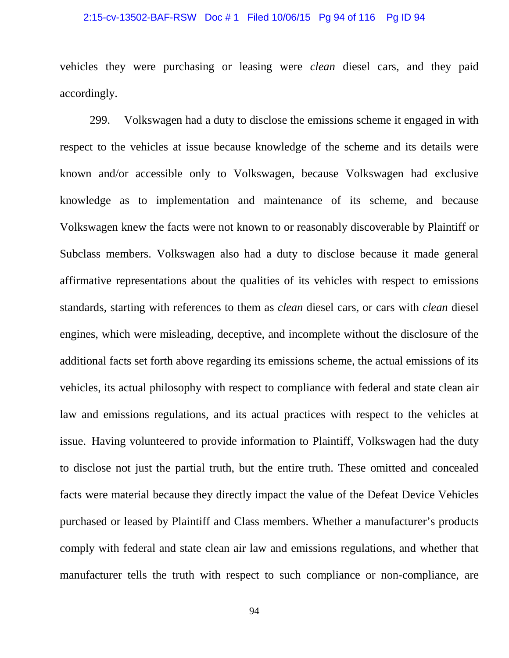#### 2:15-cv-13502-BAF-RSW Doc # 1 Filed 10/06/15 Pg 94 of 116 Pg ID 94

vehicles they were purchasing or leasing were *clean* diesel cars, and they paid accordingly.

299. Volkswagen had a duty to disclose the emissions scheme it engaged in with respect to the vehicles at issue because knowledge of the scheme and its details were known and/or accessible only to Volkswagen, because Volkswagen had exclusive knowledge as to implementation and maintenance of its scheme, and because Volkswagen knew the facts were not known to or reasonably discoverable by Plaintiff or Subclass members. Volkswagen also had a duty to disclose because it made general affirmative representations about the qualities of its vehicles with respect to emissions standards, starting with references to them as *clean* diesel cars, or cars with *clean* diesel engines, which were misleading, deceptive, and incomplete without the disclosure of the additional facts set forth above regarding its emissions scheme, the actual emissions of its vehicles, its actual philosophy with respect to compliance with federal and state clean air law and emissions regulations, and its actual practices with respect to the vehicles at issue. Having volunteered to provide information to Plaintiff, Volkswagen had the duty to disclose not just the partial truth, but the entire truth. These omitted and concealed facts were material because they directly impact the value of the Defeat Device Vehicles purchased or leased by Plaintiff and Class members. Whether a manufacturer's products comply with federal and state clean air law and emissions regulations, and whether that manufacturer tells the truth with respect to such compliance or non-compliance, are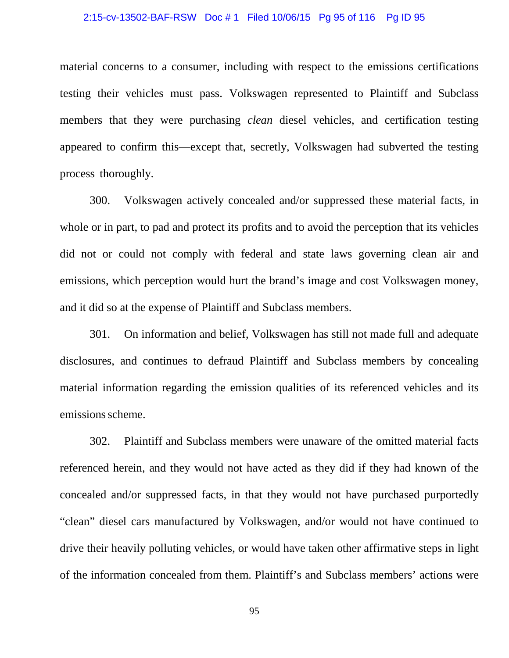#### 2:15-cv-13502-BAF-RSW Doc # 1 Filed 10/06/15 Pg 95 of 116 Pg ID 95

material concerns to a consumer, including with respect to the emissions certifications testing their vehicles must pass. Volkswagen represented to Plaintiff and Subclass members that they were purchasing *clean* diesel vehicles, and certification testing appeared to confirm this—except that, secretly, Volkswagen had subverted the testing process thoroughly.

300. Volkswagen actively concealed and/or suppressed these material facts, in whole or in part, to pad and protect its profits and to avoid the perception that its vehicles did not or could not comply with federal and state laws governing clean air and emissions, which perception would hurt the brand's image and cost Volkswagen money, and it did so at the expense of Plaintiff and Subclass members.

301. On information and belief, Volkswagen has still not made full and adequate disclosures, and continues to defraud Plaintiff and Subclass members by concealing material information regarding the emission qualities of its referenced vehicles and its emissions scheme.

302. Plaintiff and Subclass members were unaware of the omitted material facts referenced herein, and they would not have acted as they did if they had known of the concealed and/or suppressed facts, in that they would not have purchased purportedly "clean" diesel cars manufactured by Volkswagen, and/or would not have continued to drive their heavily polluting vehicles, or would have taken other affirmative steps in light of the information concealed from them. Plaintiff's and Subclass members' actions were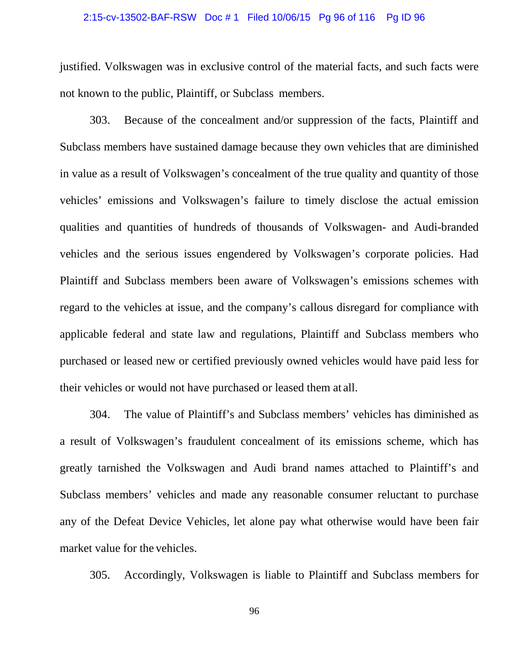#### 2:15-cv-13502-BAF-RSW Doc # 1 Filed 10/06/15 Pg 96 of 116 Pg ID 96

justified. Volkswagen was in exclusive control of the material facts, and such facts were not known to the public, Plaintiff, or Subclass members.

303. Because of the concealment and/or suppression of the facts, Plaintiff and Subclass members have sustained damage because they own vehicles that are diminished in value as a result of Volkswagen's concealment of the true quality and quantity of those vehicles' emissions and Volkswagen's failure to timely disclose the actual emission qualities and quantities of hundreds of thousands of Volkswagen- and Audi-branded vehicles and the serious issues engendered by Volkswagen's corporate policies. Had Plaintiff and Subclass members been aware of Volkswagen's emissions schemes with regard to the vehicles at issue, and the company's callous disregard for compliance with applicable federal and state law and regulations, Plaintiff and Subclass members who purchased or leased new or certified previously owned vehicles would have paid less for their vehicles or would not have purchased or leased them at all.

304. The value of Plaintiff's and Subclass members' vehicles has diminished as a result of Volkswagen's fraudulent concealment of its emissions scheme, which has greatly tarnished the Volkswagen and Audi brand names attached to Plaintiff's and Subclass members' vehicles and made any reasonable consumer reluctant to purchase any of the Defeat Device Vehicles, let alone pay what otherwise would have been fair market value for the vehicles.

305. Accordingly, Volkswagen is liable to Plaintiff and Subclass members for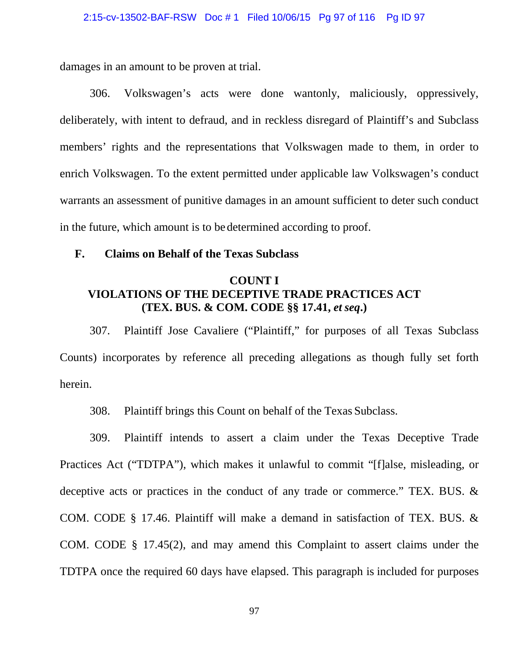damages in an amount to be proven at trial.

306. Volkswagen's acts were done wantonly, maliciously, oppressively, deliberately, with intent to defraud, and in reckless disregard of Plaintiff's and Subclass members' rights and the representations that Volkswagen made to them, in order to enrich Volkswagen. To the extent permitted under applicable law Volkswagen's conduct warrants an assessment of punitive damages in an amount sufficient to deter such conduct in the future, which amount is to be determined according to proof.

### **F. Claims on Behalf of the Texas Subclass**

## **COUNT I VIOLATIONS OF THE DECEPTIVE TRADE PRACTICES ACT (TEX. BUS. & COM. CODE §§ 17.41,** *et seq***.)**

307. Plaintiff Jose Cavaliere ("Plaintiff," for purposes of all Texas Subclass Counts) incorporates by reference all preceding allegations as though fully set forth herein.

308. Plaintiff brings this Count on behalf of the Texas Subclass.

309. Plaintiff intends to assert a claim under the Texas Deceptive Trade Practices Act ("TDTPA"), which makes it unlawful to commit "[f]alse, misleading, or deceptive acts or practices in the conduct of any trade or commerce." TEX. BUS. & COM. CODE § 17.46. Plaintiff will make a demand in satisfaction of TEX. BUS. & COM. CODE § 17.45(2), and may amend this Complaint to assert claims under the TDTPA once the required 60 days have elapsed. This paragraph is included for purposes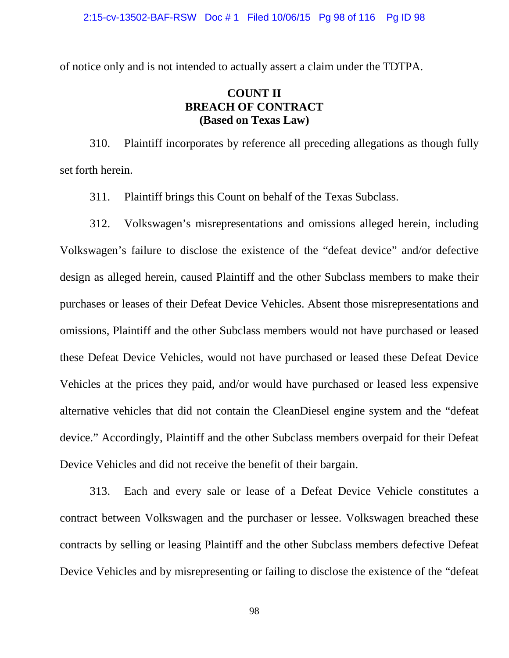of notice only and is not intended to actually assert a claim under the TDTPA.

# **COUNT II BREACH OF CONTRACT (Based on Texas Law)**

310. Plaintiff incorporates by reference all preceding allegations as though fully set forth herein.

311. Plaintiff brings this Count on behalf of the Texas Subclass.

312. Volkswagen's misrepresentations and omissions alleged herein, including Volkswagen's failure to disclose the existence of the "defeat device" and/or defective design as alleged herein, caused Plaintiff and the other Subclass members to make their purchases or leases of their Defeat Device Vehicles. Absent those misrepresentations and omissions, Plaintiff and the other Subclass members would not have purchased or leased these Defeat Device Vehicles, would not have purchased or leased these Defeat Device Vehicles at the prices they paid, and/or would have purchased or leased less expensive alternative vehicles that did not contain the CleanDiesel engine system and the "defeat device." Accordingly, Plaintiff and the other Subclass members overpaid for their Defeat Device Vehicles and did not receive the benefit of their bargain.

313. Each and every sale or lease of a Defeat Device Vehicle constitutes a contract between Volkswagen and the purchaser or lessee. Volkswagen breached these contracts by selling or leasing Plaintiff and the other Subclass members defective Defeat Device Vehicles and by misrepresenting or failing to disclose the existence of the "defeat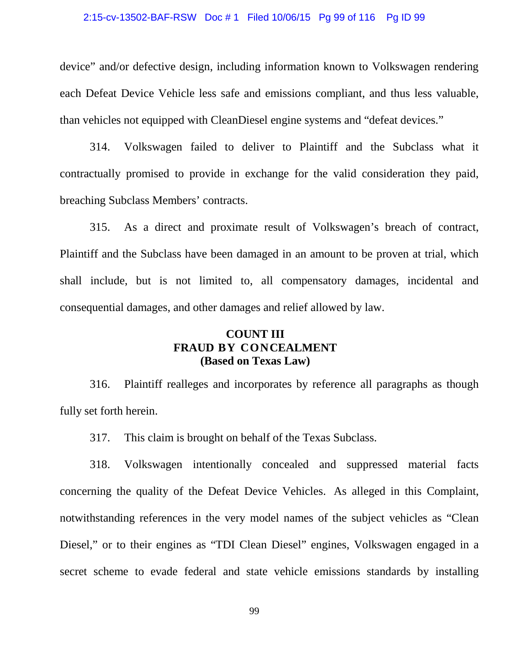#### 2:15-cv-13502-BAF-RSW Doc # 1 Filed 10/06/15 Pg 99 of 116 Pg ID 99

device" and/or defective design, including information known to Volkswagen rendering each Defeat Device Vehicle less safe and emissions compliant, and thus less valuable, than vehicles not equipped with CleanDiesel engine systems and "defeat devices."

314. Volkswagen failed to deliver to Plaintiff and the Subclass what it contractually promised to provide in exchange for the valid consideration they paid, breaching Subclass Members' contracts.

315. As a direct and proximate result of Volkswagen's breach of contract, Plaintiff and the Subclass have been damaged in an amount to be proven at trial, which shall include, but is not limited to, all compensatory damages, incidental and consequential damages, and other damages and relief allowed by law.

## **COUNT III FRAUD BY CONCEALMENT (Based on Texas Law)**

316. Plaintiff realleges and incorporates by reference all paragraphs as though fully set forth herein.

317. This claim is brought on behalf of the Texas Subclass.

318. Volkswagen intentionally concealed and suppressed material facts concerning the quality of the Defeat Device Vehicles. As alleged in this Complaint, notwithstanding references in the very model names of the subject vehicles as "Clean Diesel," or to their engines as "TDI Clean Diesel" engines, Volkswagen engaged in a secret scheme to evade federal and state vehicle emissions standards by installing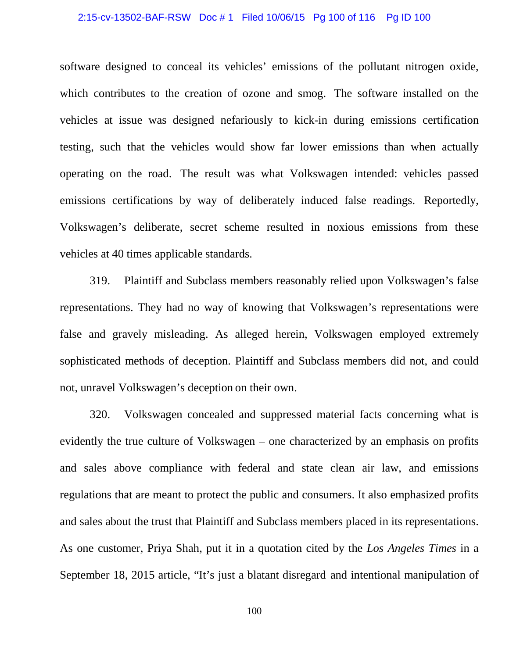#### 2:15-cv-13502-BAF-RSW Doc # 1 Filed 10/06/15 Pg 100 of 116 Pg ID 100

software designed to conceal its vehicles' emissions of the pollutant nitrogen oxide, which contributes to the creation of ozone and smog. The software installed on the vehicles at issue was designed nefariously to kick-in during emissions certification testing, such that the vehicles would show far lower emissions than when actually operating on the road. The result was what Volkswagen intended: vehicles passed emissions certifications by way of deliberately induced false readings. Reportedly, Volkswagen's deliberate, secret scheme resulted in noxious emissions from these vehicles at 40 times applicable standards.

319. Plaintiff and Subclass members reasonably relied upon Volkswagen's false representations. They had no way of knowing that Volkswagen's representations were false and gravely misleading. As alleged herein, Volkswagen employed extremely sophisticated methods of deception. Plaintiff and Subclass members did not, and could not, unravel Volkswagen's deception on their own.

320. Volkswagen concealed and suppressed material facts concerning what is evidently the true culture of Volkswagen – one characterized by an emphasis on profits and sales above compliance with federal and state clean air law, and emissions regulations that are meant to protect the public and consumers. It also emphasized profits and sales about the trust that Plaintiff and Subclass members placed in its representations. As one customer, Priya Shah, put it in a quotation cited by the *Los Angeles Times* in a September 18, 2015 article, "It's just a blatant disregard and intentional manipulation of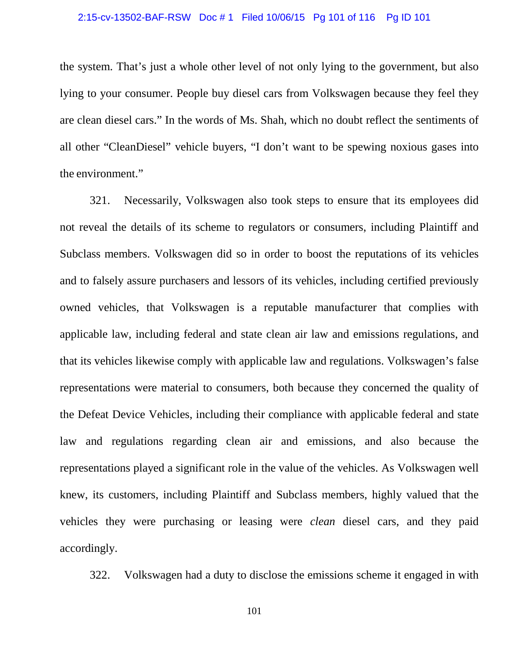#### 2:15-cv-13502-BAF-RSW Doc # 1 Filed 10/06/15 Pg 101 of 116 Pg ID 101

the system. That's just a whole other level of not only lying to the government, but also lying to your consumer. People buy diesel cars from Volkswagen because they feel they are clean diesel cars." In the words of Ms. Shah, which no doubt reflect the sentiments of all other "CleanDiesel" vehicle buyers, "I don't want to be spewing noxious gases into the environment."

321. Necessarily, Volkswagen also took steps to ensure that its employees did not reveal the details of its scheme to regulators or consumers, including Plaintiff and Subclass members. Volkswagen did so in order to boost the reputations of its vehicles and to falsely assure purchasers and lessors of its vehicles, including certified previously owned vehicles, that Volkswagen is a reputable manufacturer that complies with applicable law, including federal and state clean air law and emissions regulations, and that its vehicles likewise comply with applicable law and regulations. Volkswagen's false representations were material to consumers, both because they concerned the quality of the Defeat Device Vehicles, including their compliance with applicable federal and state law and regulations regarding clean air and emissions, and also because the representations played a significant role in the value of the vehicles. As Volkswagen well knew, its customers, including Plaintiff and Subclass members, highly valued that the vehicles they were purchasing or leasing were *clean* diesel cars, and they paid accordingly.

322. Volkswagen had a duty to disclose the emissions scheme it engaged in with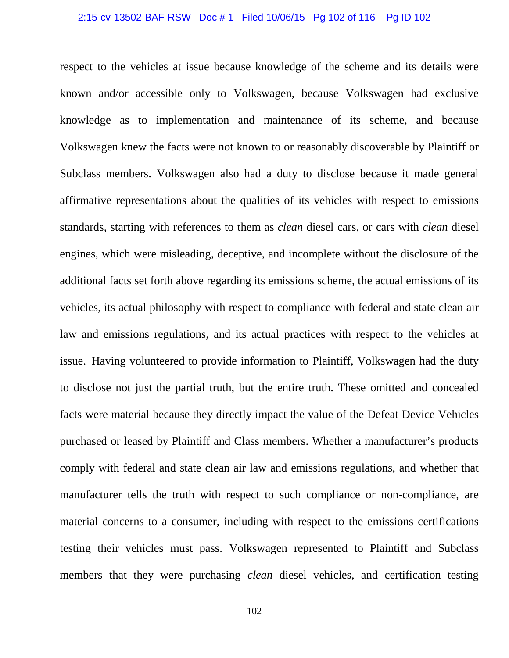#### 2:15-cv-13502-BAF-RSW Doc # 1 Filed 10/06/15 Pg 102 of 116 Pg ID 102

respect to the vehicles at issue because knowledge of the scheme and its details were known and/or accessible only to Volkswagen, because Volkswagen had exclusive knowledge as to implementation and maintenance of its scheme, and because Volkswagen knew the facts were not known to or reasonably discoverable by Plaintiff or Subclass members. Volkswagen also had a duty to disclose because it made general affirmative representations about the qualities of its vehicles with respect to emissions standards, starting with references to them as *clean* diesel cars, or cars with *clean* diesel engines, which were misleading, deceptive, and incomplete without the disclosure of the additional facts set forth above regarding its emissions scheme, the actual emissions of its vehicles, its actual philosophy with respect to compliance with federal and state clean air law and emissions regulations, and its actual practices with respect to the vehicles at issue. Having volunteered to provide information to Plaintiff, Volkswagen had the duty to disclose not just the partial truth, but the entire truth. These omitted and concealed facts were material because they directly impact the value of the Defeat Device Vehicles purchased or leased by Plaintiff and Class members. Whether a manufacturer's products comply with federal and state clean air law and emissions regulations, and whether that manufacturer tells the truth with respect to such compliance or non-compliance, are material concerns to a consumer, including with respect to the emissions certifications testing their vehicles must pass. Volkswagen represented to Plaintiff and Subclass members that they were purchasing *clean* diesel vehicles, and certification testing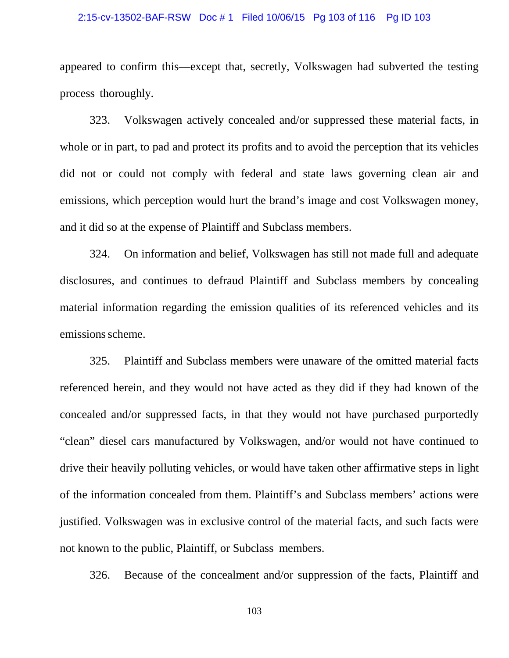#### 2:15-cv-13502-BAF-RSW Doc # 1 Filed 10/06/15 Pg 103 of 116 Pg ID 103

appeared to confirm this—except that, secretly, Volkswagen had subverted the testing process thoroughly.

323. Volkswagen actively concealed and/or suppressed these material facts, in whole or in part, to pad and protect its profits and to avoid the perception that its vehicles did not or could not comply with federal and state laws governing clean air and emissions, which perception would hurt the brand's image and cost Volkswagen money, and it did so at the expense of Plaintiff and Subclass members.

324. On information and belief, Volkswagen has still not made full and adequate disclosures, and continues to defraud Plaintiff and Subclass members by concealing material information regarding the emission qualities of its referenced vehicles and its emissions scheme.

325. Plaintiff and Subclass members were unaware of the omitted material facts referenced herein, and they would not have acted as they did if they had known of the concealed and/or suppressed facts, in that they would not have purchased purportedly "clean" diesel cars manufactured by Volkswagen, and/or would not have continued to drive their heavily polluting vehicles, or would have taken other affirmative steps in light of the information concealed from them. Plaintiff's and Subclass members' actions were justified. Volkswagen was in exclusive control of the material facts, and such facts were not known to the public, Plaintiff, or Subclass members.

326. Because of the concealment and/or suppression of the facts, Plaintiff and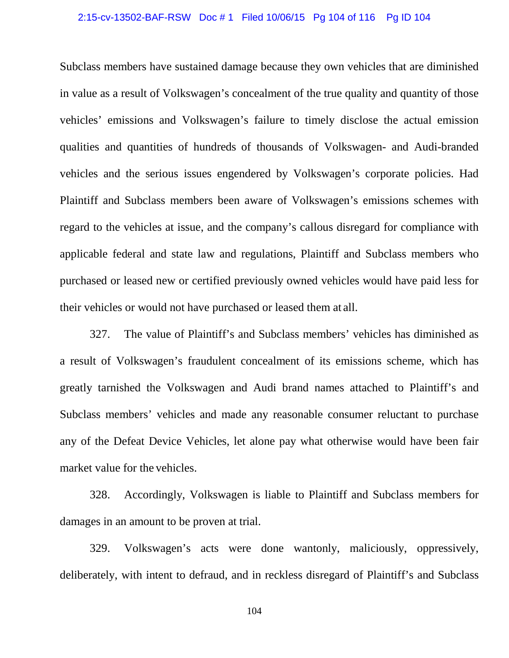#### 2:15-cv-13502-BAF-RSW Doc # 1 Filed 10/06/15 Pg 104 of 116 Pg ID 104

Subclass members have sustained damage because they own vehicles that are diminished in value as a result of Volkswagen's concealment of the true quality and quantity of those vehicles' emissions and Volkswagen's failure to timely disclose the actual emission qualities and quantities of hundreds of thousands of Volkswagen- and Audi-branded vehicles and the serious issues engendered by Volkswagen's corporate policies. Had Plaintiff and Subclass members been aware of Volkswagen's emissions schemes with regard to the vehicles at issue, and the company's callous disregard for compliance with applicable federal and state law and regulations, Plaintiff and Subclass members who purchased or leased new or certified previously owned vehicles would have paid less for their vehicles or would not have purchased or leased them at all.

327. The value of Plaintiff's and Subclass members' vehicles has diminished as a result of Volkswagen's fraudulent concealment of its emissions scheme, which has greatly tarnished the Volkswagen and Audi brand names attached to Plaintiff's and Subclass members' vehicles and made any reasonable consumer reluctant to purchase any of the Defeat Device Vehicles, let alone pay what otherwise would have been fair market value for the vehicles.

328. Accordingly, Volkswagen is liable to Plaintiff and Subclass members for damages in an amount to be proven at trial.

329. Volkswagen's acts were done wantonly, maliciously, oppressively, deliberately, with intent to defraud, and in reckless disregard of Plaintiff's and Subclass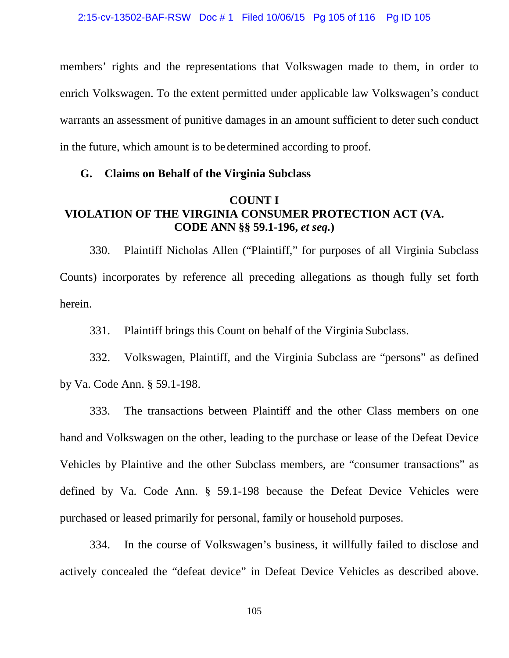members' rights and the representations that Volkswagen made to them, in order to enrich Volkswagen. To the extent permitted under applicable law Volkswagen's conduct warrants an assessment of punitive damages in an amount sufficient to deter such conduct in the future, which amount is to be determined according to proof.

### **G. Claims on Behalf of the Virginia Subclass**

### **COUNT I VIOLATION OF THE VIRGINIA CONSUMER PROTECTION ACT (VA. CODE ANN §§ 59.1-196,** *et seq.***)**

330. Plaintiff Nicholas Allen ("Plaintiff," for purposes of all Virginia Subclass Counts) incorporates by reference all preceding allegations as though fully set forth herein.

331. Plaintiff brings this Count on behalf of the Virginia Subclass.

332. Volkswagen, Plaintiff, and the Virginia Subclass are "persons" as defined by Va. Code Ann. § 59.1-198.

333. The transactions between Plaintiff and the other Class members on one hand and Volkswagen on the other, leading to the purchase or lease of the Defeat Device Vehicles by Plaintive and the other Subclass members, are "consumer transactions" as defined by Va. Code Ann. § 59.1-198 because the Defeat Device Vehicles were purchased or leased primarily for personal, family or household purposes.

334. In the course of Volkswagen's business, it willfully failed to disclose and actively concealed the "defeat device" in Defeat Device Vehicles as described above.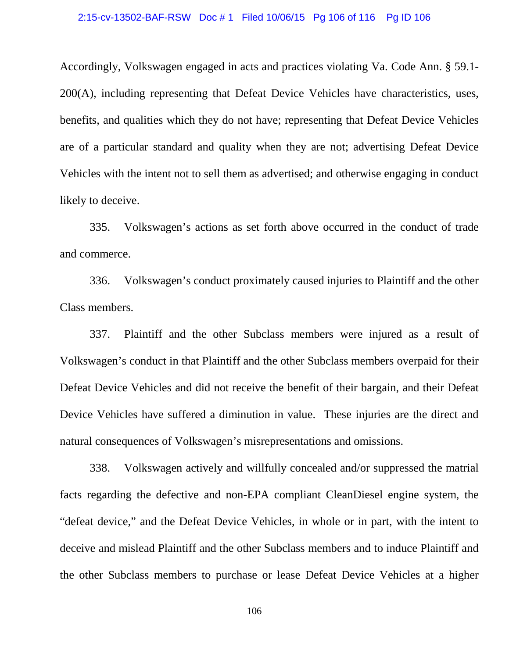#### 2:15-cv-13502-BAF-RSW Doc # 1 Filed 10/06/15 Pg 106 of 116 Pg ID 106

Accordingly, Volkswagen engaged in acts and practices violating Va. Code Ann. § 59.1- 200(A), including representing that Defeat Device Vehicles have characteristics, uses, benefits, and qualities which they do not have; representing that Defeat Device Vehicles are of a particular standard and quality when they are not; advertising Defeat Device Vehicles with the intent not to sell them as advertised; and otherwise engaging in conduct likely to deceive.

335. Volkswagen's actions as set forth above occurred in the conduct of trade and commerce.

336. Volkswagen's conduct proximately caused injuries to Plaintiff and the other Class members.

337. Plaintiff and the other Subclass members were injured as a result of Volkswagen's conduct in that Plaintiff and the other Subclass members overpaid for their Defeat Device Vehicles and did not receive the benefit of their bargain, and their Defeat Device Vehicles have suffered a diminution in value. These injuries are the direct and natural consequences of Volkswagen's misrepresentations and omissions.

338. Volkswagen actively and willfully concealed and/or suppressed the matrial facts regarding the defective and non-EPA compliant CleanDiesel engine system, the "defeat device," and the Defeat Device Vehicles, in whole or in part, with the intent to deceive and mislead Plaintiff and the other Subclass members and to induce Plaintiff and the other Subclass members to purchase or lease Defeat Device Vehicles at a higher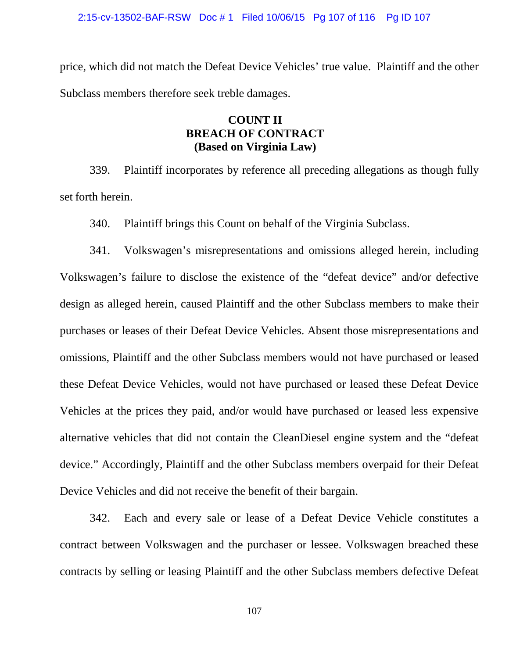#### 2:15-cv-13502-BAF-RSW Doc # 1 Filed 10/06/15 Pg 107 of 116 Pg ID 107

price, which did not match the Defeat Device Vehicles' true value. Plaintiff and the other Subclass members therefore seek treble damages.

## **COUNT II BREACH OF CONTRACT (Based on Virginia Law)**

339. Plaintiff incorporates by reference all preceding allegations as though fully set forth herein.

340. Plaintiff brings this Count on behalf of the Virginia Subclass.

341. Volkswagen's misrepresentations and omissions alleged herein, including Volkswagen's failure to disclose the existence of the "defeat device" and/or defective design as alleged herein, caused Plaintiff and the other Subclass members to make their purchases or leases of their Defeat Device Vehicles. Absent those misrepresentations and omissions, Plaintiff and the other Subclass members would not have purchased or leased these Defeat Device Vehicles, would not have purchased or leased these Defeat Device Vehicles at the prices they paid, and/or would have purchased or leased less expensive alternative vehicles that did not contain the CleanDiesel engine system and the "defeat device." Accordingly, Plaintiff and the other Subclass members overpaid for their Defeat Device Vehicles and did not receive the benefit of their bargain.

342. Each and every sale or lease of a Defeat Device Vehicle constitutes a contract between Volkswagen and the purchaser or lessee. Volkswagen breached these contracts by selling or leasing Plaintiff and the other Subclass members defective Defeat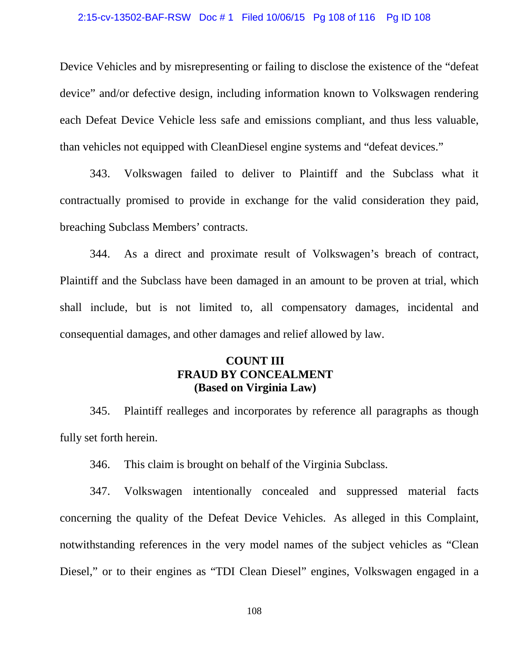#### 2:15-cv-13502-BAF-RSW Doc # 1 Filed 10/06/15 Pg 108 of 116 Pg ID 108

Device Vehicles and by misrepresenting or failing to disclose the existence of the "defeat device" and/or defective design, including information known to Volkswagen rendering each Defeat Device Vehicle less safe and emissions compliant, and thus less valuable, than vehicles not equipped with CleanDiesel engine systems and "defeat devices."

343. Volkswagen failed to deliver to Plaintiff and the Subclass what it contractually promised to provide in exchange for the valid consideration they paid, breaching Subclass Members' contracts.

344. As a direct and proximate result of Volkswagen's breach of contract, Plaintiff and the Subclass have been damaged in an amount to be proven at trial, which shall include, but is not limited to, all compensatory damages, incidental and consequential damages, and other damages and relief allowed by law.

# **COUNT III FRAUD BY CONCEALMENT (Based on Virginia Law)**

345. Plaintiff realleges and incorporates by reference all paragraphs as though fully set forth herein.

346. This claim is brought on behalf of the Virginia Subclass.

347. Volkswagen intentionally concealed and suppressed material facts concerning the quality of the Defeat Device Vehicles. As alleged in this Complaint, notwithstanding references in the very model names of the subject vehicles as "Clean Diesel," or to their engines as "TDI Clean Diesel" engines, Volkswagen engaged in a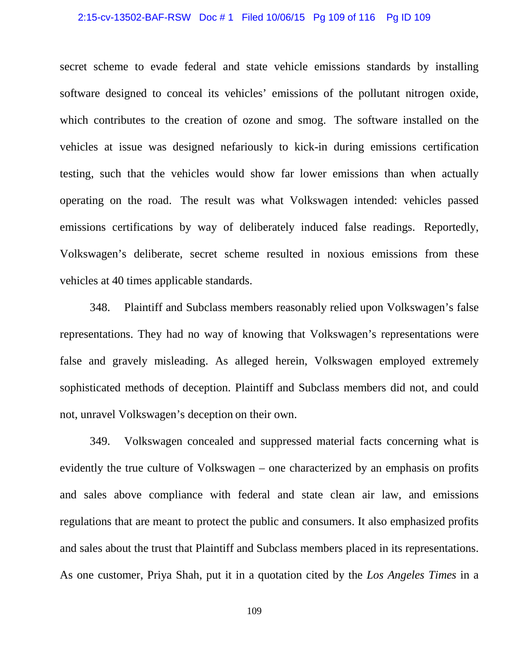#### 2:15-cv-13502-BAF-RSW Doc # 1 Filed 10/06/15 Pg 109 of 116 Pg ID 109

secret scheme to evade federal and state vehicle emissions standards by installing software designed to conceal its vehicles' emissions of the pollutant nitrogen oxide, which contributes to the creation of ozone and smog. The software installed on the vehicles at issue was designed nefariously to kick-in during emissions certification testing, such that the vehicles would show far lower emissions than when actually operating on the road. The result was what Volkswagen intended: vehicles passed emissions certifications by way of deliberately induced false readings. Reportedly, Volkswagen's deliberate, secret scheme resulted in noxious emissions from these vehicles at 40 times applicable standards.

348. Plaintiff and Subclass members reasonably relied upon Volkswagen's false representations. They had no way of knowing that Volkswagen's representations were false and gravely misleading. As alleged herein, Volkswagen employed extremely sophisticated methods of deception. Plaintiff and Subclass members did not, and could not, unravel Volkswagen's deception on their own.

349. Volkswagen concealed and suppressed material facts concerning what is evidently the true culture of Volkswagen – one characterized by an emphasis on profits and sales above compliance with federal and state clean air law, and emissions regulations that are meant to protect the public and consumers. It also emphasized profits and sales about the trust that Plaintiff and Subclass members placed in its representations. As one customer, Priya Shah, put it in a quotation cited by the *Los Angeles Times* in a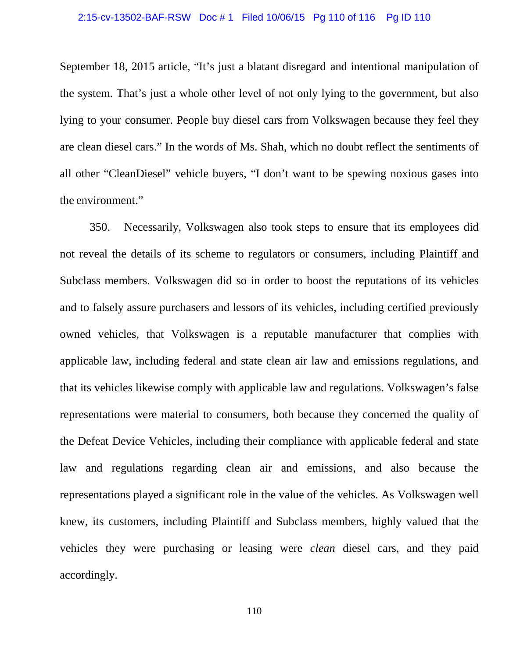#### 2:15-cv-13502-BAF-RSW Doc # 1 Filed 10/06/15 Pg 110 of 116 Pg ID 110

September 18, 2015 article, "It's just a blatant disregard and intentional manipulation of the system. That's just a whole other level of not only lying to the government, but also lying to your consumer. People buy diesel cars from Volkswagen because they feel they are clean diesel cars." In the words of Ms. Shah, which no doubt reflect the sentiments of all other "CleanDiesel" vehicle buyers, "I don't want to be spewing noxious gases into the environment."

350. Necessarily, Volkswagen also took steps to ensure that its employees did not reveal the details of its scheme to regulators or consumers, including Plaintiff and Subclass members. Volkswagen did so in order to boost the reputations of its vehicles and to falsely assure purchasers and lessors of its vehicles, including certified previously owned vehicles, that Volkswagen is a reputable manufacturer that complies with applicable law, including federal and state clean air law and emissions regulations, and that its vehicles likewise comply with applicable law and regulations. Volkswagen's false representations were material to consumers, both because they concerned the quality of the Defeat Device Vehicles, including their compliance with applicable federal and state law and regulations regarding clean air and emissions, and also because the representations played a significant role in the value of the vehicles. As Volkswagen well knew, its customers, including Plaintiff and Subclass members, highly valued that the vehicles they were purchasing or leasing were *clean* diesel cars, and they paid accordingly.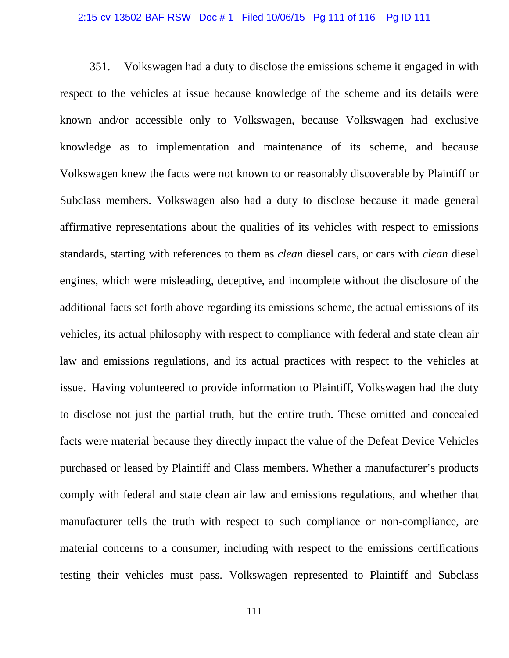# 2:15-cv-13502-BAF-RSW Doc # 1 Filed 10/06/15 Pg 111 of 116 Pg ID 111

351. Volkswagen had a duty to disclose the emissions scheme it engaged in with respect to the vehicles at issue because knowledge of the scheme and its details were known and/or accessible only to Volkswagen, because Volkswagen had exclusive knowledge as to implementation and maintenance of its scheme, and because Volkswagen knew the facts were not known to or reasonably discoverable by Plaintiff or Subclass members. Volkswagen also had a duty to disclose because it made general affirmative representations about the qualities of its vehicles with respect to emissions standards, starting with references to them as *clean* diesel cars, or cars with *clean* diesel engines, which were misleading, deceptive, and incomplete without the disclosure of the additional facts set forth above regarding its emissions scheme, the actual emissions of its vehicles, its actual philosophy with respect to compliance with federal and state clean air law and emissions regulations, and its actual practices with respect to the vehicles at issue. Having volunteered to provide information to Plaintiff, Volkswagen had the duty to disclose not just the partial truth, but the entire truth. These omitted and concealed facts were material because they directly impact the value of the Defeat Device Vehicles purchased or leased by Plaintiff and Class members. Whether a manufacturer's products comply with federal and state clean air law and emissions regulations, and whether that manufacturer tells the truth with respect to such compliance or non-compliance, are material concerns to a consumer, including with respect to the emissions certifications testing their vehicles must pass. Volkswagen represented to Plaintiff and Subclass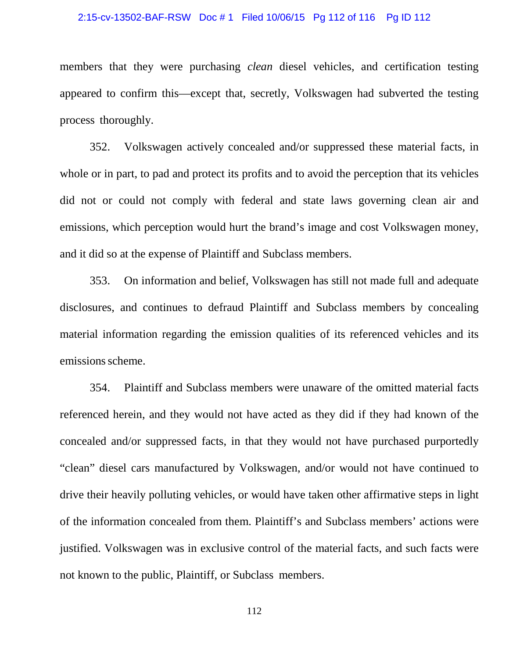#### 2:15-cv-13502-BAF-RSW Doc # 1 Filed 10/06/15 Pg 112 of 116 Pg ID 112

members that they were purchasing *clean* diesel vehicles, and certification testing appeared to confirm this—except that, secretly, Volkswagen had subverted the testing process thoroughly.

352. Volkswagen actively concealed and/or suppressed these material facts, in whole or in part, to pad and protect its profits and to avoid the perception that its vehicles did not or could not comply with federal and state laws governing clean air and emissions, which perception would hurt the brand's image and cost Volkswagen money, and it did so at the expense of Plaintiff and Subclass members.

353. On information and belief, Volkswagen has still not made full and adequate disclosures, and continues to defraud Plaintiff and Subclass members by concealing material information regarding the emission qualities of its referenced vehicles and its emissions scheme.

354. Plaintiff and Subclass members were unaware of the omitted material facts referenced herein, and they would not have acted as they did if they had known of the concealed and/or suppressed facts, in that they would not have purchased purportedly "clean" diesel cars manufactured by Volkswagen, and/or would not have continued to drive their heavily polluting vehicles, or would have taken other affirmative steps in light of the information concealed from them. Plaintiff's and Subclass members' actions were justified. Volkswagen was in exclusive control of the material facts, and such facts were not known to the public, Plaintiff, or Subclass members.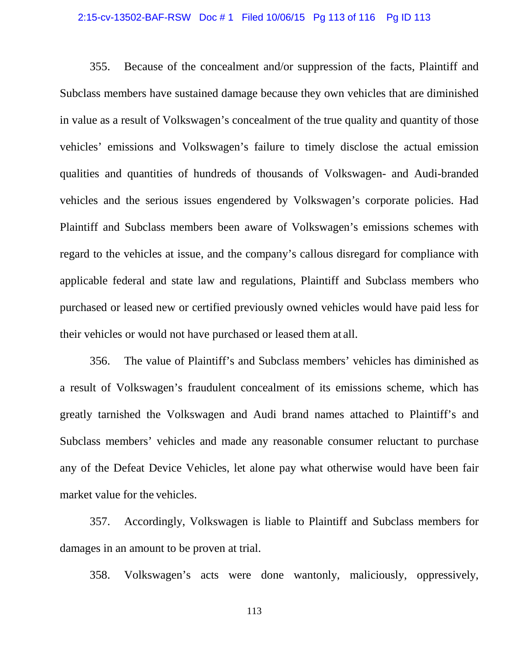# 2:15-cv-13502-BAF-RSW Doc # 1 Filed 10/06/15 Pg 113 of 116 Pg ID 113

355. Because of the concealment and/or suppression of the facts, Plaintiff and Subclass members have sustained damage because they own vehicles that are diminished in value as a result of Volkswagen's concealment of the true quality and quantity of those vehicles' emissions and Volkswagen's failure to timely disclose the actual emission qualities and quantities of hundreds of thousands of Volkswagen- and Audi-branded vehicles and the serious issues engendered by Volkswagen's corporate policies. Had Plaintiff and Subclass members been aware of Volkswagen's emissions schemes with regard to the vehicles at issue, and the company's callous disregard for compliance with applicable federal and state law and regulations, Plaintiff and Subclass members who purchased or leased new or certified previously owned vehicles would have paid less for their vehicles or would not have purchased or leased them at all.

356. The value of Plaintiff's and Subclass members' vehicles has diminished as a result of Volkswagen's fraudulent concealment of its emissions scheme, which has greatly tarnished the Volkswagen and Audi brand names attached to Plaintiff's and Subclass members' vehicles and made any reasonable consumer reluctant to purchase any of the Defeat Device Vehicles, let alone pay what otherwise would have been fair market value for the vehicles.

357. Accordingly, Volkswagen is liable to Plaintiff and Subclass members for damages in an amount to be proven at trial.

358. Volkswagen's acts were done wantonly, maliciously, oppressively,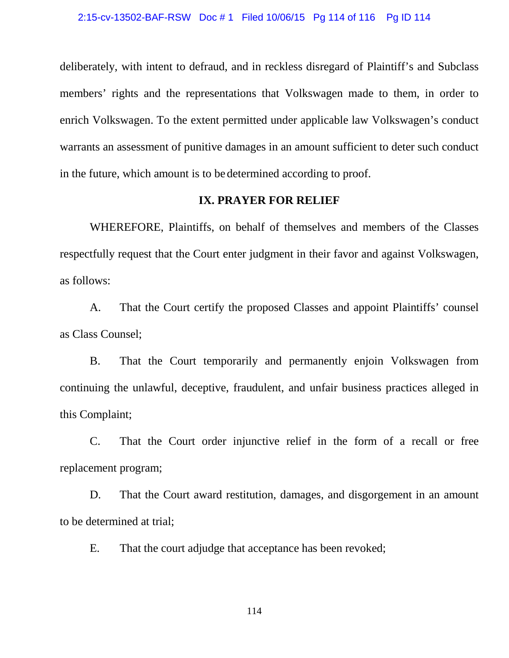deliberately, with intent to defraud, and in reckless disregard of Plaintiff's and Subclass members' rights and the representations that Volkswagen made to them, in order to enrich Volkswagen. To the extent permitted under applicable law Volkswagen's conduct warrants an assessment of punitive damages in an amount sufficient to deter such conduct in the future, which amount is to be determined according to proof.

# **IX. PRAYER FOR RELIEF**

WHEREFORE, Plaintiffs, on behalf of themselves and members of the Classes respectfully request that the Court enter judgment in their favor and against Volkswagen, as follows:

A. That the Court certify the proposed Classes and appoint Plaintiffs' counsel as Class Counsel;

B. That the Court temporarily and permanently enjoin Volkswagen from continuing the unlawful, deceptive, fraudulent, and unfair business practices alleged in this Complaint;

C. That the Court order injunctive relief in the form of a recall or free replacement program;

D. That the Court award restitution, damages, and disgorgement in an amount to be determined at trial;

E. That the court adjudge that acceptance has been revoked;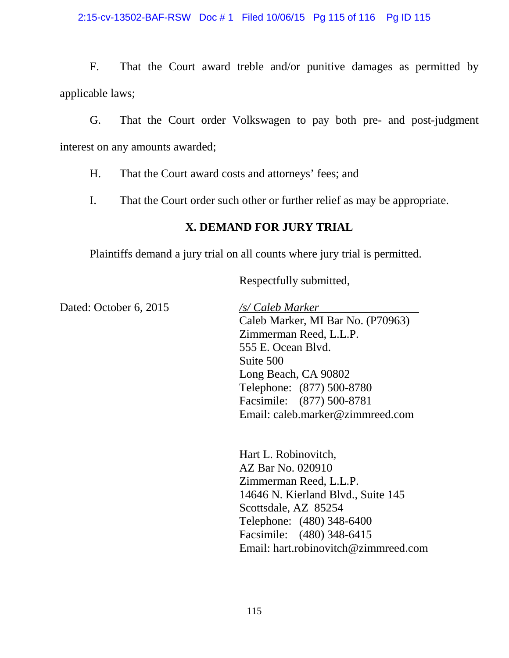# 2:15-cv-13502-BAF-RSW Doc # 1 Filed 10/06/15 Pg 115 of 116 Pg ID 115

F. That the Court award treble and/or punitive damages as permitted by applicable laws;

G. That the Court order Volkswagen to pay both pre- and post-judgment interest on any amounts awarded;

H. That the Court award costs and attorneys' fees; and

I. That the Court order such other or further relief as may be appropriate.

# **X. DEMAND FOR JURY TRIAL**

Plaintiffs demand a jury trial on all counts where jury trial is permitted.

Respectfully submitted,

Dated: October 6, 2015 */s/ Caleb Marker*

Caleb Marker, MI Bar No. (P70963) Zimmerman Reed, L.L.P. 555 E. Ocean Blvd. Suite 500 Long Beach, CA 90802 Telephone: (877) 500-8780 Facsimile: (877) 500-8781 Email: caleb.marker@zimmreed.com

Hart L. Robinovitch, AZ Bar No. 020910 Zimmerman Reed, L.L.P. 14646 N. Kierland Blvd., Suite 145 Scottsdale, AZ 85254 Telephone: (480) 348-6400 Facsimile: (480) 348-6415 Email: hart.robinovitch@zimmreed.com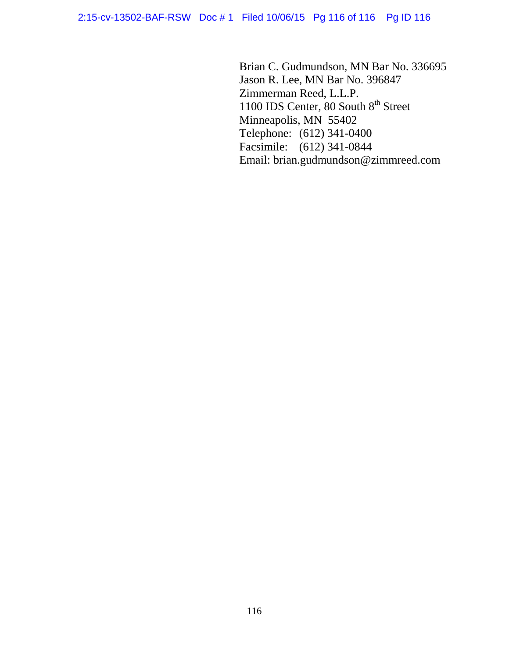Brian C. Gudmundson, MN Bar No. 336695 Jason R. Lee, MN Bar No. 396847 Zimmerman Reed, L.L.P. 1100 IDS Center, 80 South  $8<sup>th</sup>$  Street Minneapolis, MN 55402 Telephone: (612) 341-0400 Facsimile: (612) 341-0844 Email: brian.gudmundson@zimmreed.com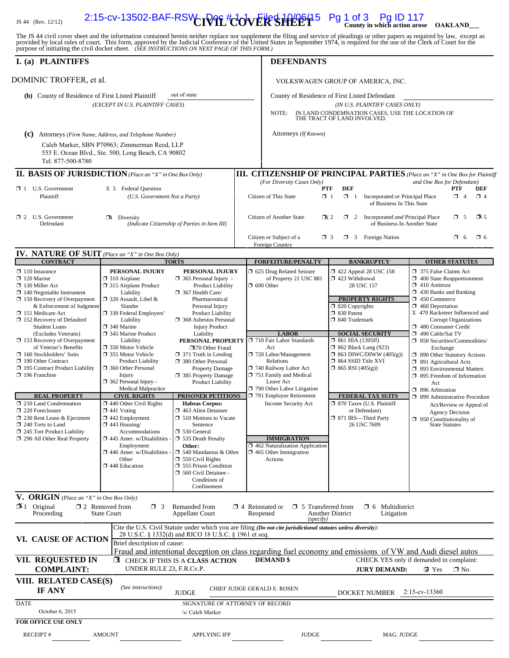# JS 44 (Rev. 12/12) **CIVIL COVER SHEET County in which action arose OAKLAND\_\_\_** 2:15-cv-13502-BAF-RSW Doc # 1-1 Filed 10/06/15 Pg 1 of 3 Pg ID 117

The JS 44 civil cover sheet and the information contained herein neither replace nor supplement the filing and service of pleadings or other papers as required by law, except as provided by local rules of court. This form,

| I. (a) PLAINTIFFS                                                                                                                                                                                                                      |                                                                                                                                                                                                  |                                                                                                                                                                                                        | <b>DEFENDANTS</b>                                                                                                                                                                                                           |                                                                                                                                                                        |                                                                                                                                                                                                                                              |  |
|----------------------------------------------------------------------------------------------------------------------------------------------------------------------------------------------------------------------------------------|--------------------------------------------------------------------------------------------------------------------------------------------------------------------------------------------------|--------------------------------------------------------------------------------------------------------------------------------------------------------------------------------------------------------|-----------------------------------------------------------------------------------------------------------------------------------------------------------------------------------------------------------------------------|------------------------------------------------------------------------------------------------------------------------------------------------------------------------|----------------------------------------------------------------------------------------------------------------------------------------------------------------------------------------------------------------------------------------------|--|
| DOMINIC TROFFER, et al.                                                                                                                                                                                                                |                                                                                                                                                                                                  |                                                                                                                                                                                                        | VOLKSWAGEN GROUP OF AMERICA, INC.                                                                                                                                                                                           |                                                                                                                                                                        |                                                                                                                                                                                                                                              |  |
| out of state<br>(b) County of Residence of First Listed Plaintiff<br>(EXCEPT IN U.S. PLAINTIFF CASES)                                                                                                                                  |                                                                                                                                                                                                  |                                                                                                                                                                                                        | NOTE:                                                                                                                                                                                                                       | County of Residence of First Listed Defendant<br>(IN U.S. PLAINTIFF CASES ONLY)<br>IN LAND CONDEMNATION CASES, USE THE LOCATION OF<br>THE TRACT OF LAND INVOLVED.      |                                                                                                                                                                                                                                              |  |
| (C) Attorneys (Firm Name, Address, and Telephone Number)<br>Tel. 877-500-8780                                                                                                                                                          | Caleb Marker, SBN P70963; Zimmerman Reed, LLP<br>555 E. Ocean Blvd., Ste. 500; Long Beach, CA 90802                                                                                              |                                                                                                                                                                                                        | Attorneys (If Known)                                                                                                                                                                                                        |                                                                                                                                                                        |                                                                                                                                                                                                                                              |  |
| <b>II. BASIS OF JURISDICTION</b> (Place an "X" in One Box Only)                                                                                                                                                                        |                                                                                                                                                                                                  |                                                                                                                                                                                                        |                                                                                                                                                                                                                             |                                                                                                                                                                        | <b>III. CITIZENSHIP OF PRINCIPAL PARTIES</b> (Place an "X" in One Box for Plaintiff                                                                                                                                                          |  |
| $\Box$ 1 U.S. Government<br>Plaintiff                                                                                                                                                                                                  | X 3 Federal Question<br>(U.S. Government Not a Party)                                                                                                                                            |                                                                                                                                                                                                        | (For Diversity Cases Only)<br>Citizen of This State                                                                                                                                                                         | <b>DEF</b><br><b>PTF</b><br>$\Box$ 1<br>$\Box$ 1 Incorporated or Principal Place<br>of Business In This State                                                          | and One Box for Defendant)<br><b>PTF</b><br>DEF<br>$\Box$ 4<br>$\Box$ 4                                                                                                                                                                      |  |
| $\Box$ 2 U.S. Government<br>Defendant                                                                                                                                                                                                  | $\Box$ 4 Diversity                                                                                                                                                                               | (Indicate Citizenship of Parties in Item III)                                                                                                                                                          | Citizen of Another State                                                                                                                                                                                                    | 1 2 Incorporated and Principal Place<br>$\mathbb{R}^2$<br>of Business In Another State                                                                                 | $\mathbb{Z}$ 5<br>$\Box$ 5                                                                                                                                                                                                                   |  |
| <b>IV. NATURE OF SUIT</b> (Place an "X" in One Box Only)                                                                                                                                                                               |                                                                                                                                                                                                  |                                                                                                                                                                                                        | Citizen or Subject of a<br>Foreign Country                                                                                                                                                                                  | $\Box$ 3 Foreign Nation<br>$\Box$ 3                                                                                                                                    | $\Box$ 6<br>$\Box$ 6                                                                                                                                                                                                                         |  |
| <b>CONTRACT</b>                                                                                                                                                                                                                        |                                                                                                                                                                                                  | <b>TORTS</b>                                                                                                                                                                                           | <b>FORFEITURE/PENALTY</b>                                                                                                                                                                                                   | <b>BANKRUPTCY</b>                                                                                                                                                      | <b>OTHER STATUTES</b>                                                                                                                                                                                                                        |  |
| $\Box$ 110 Insurance<br>$\Box$ 120 Marine<br>130 Miller Act<br>$\Box$ 140 Negotiable Instrument<br>150 Recovery of Overpayment<br>& Enforcement of Judgment<br>151 Medicare Act<br>□ 152 Recovery of Defaulted<br><b>Student Loans</b> | PERSONAL INJURY<br>$\Box$ 310 Airplane<br>□ 315 Airplane Product<br>Liability<br>□ 320 Assault, Libel &<br>Slander<br>□ 330 Federal Employers'<br>Liability<br>$\Box$ 340 Marine                 | PERSONAL INJURY<br>365 Personal Injury -<br>Product Liability<br>367 Health Care/<br>Pharmaceutical<br>Personal Injury<br><b>Product Liability</b><br>□ 368 Asbestos Personal<br><b>Injury Product</b> | 5 625 Drug Related Seizure<br>of Property 21 USC 881<br>$\Box$ 690 Other                                                                                                                                                    | 158 122 Appeal 28 USC 158<br>1 423 Withdrawal<br>28 USC 157<br><b>PROPERTY RIGHTS</b><br>$\Box$ 820 Copyrights<br>30 Patent<br>□ 840 Trademark                         | 375 False Claims Act<br>400 State Reapportionment<br>$\Box$ 410 Antitrust<br>$\Box$ 430 Banks and Banking<br>$\Box$ 450 Commerce<br>$\Box$ 460 Deportation<br>X 470 Racketeer Influenced and<br>Corrupt Organizations<br>480 Consumer Credit |  |
| (Excludes Veterans)<br>$\Box$ 153 Recovery of Overpayment<br>of Veteran's Benefits<br>□ 160 Stockholders' Suits<br>190 Other Contract<br>195 Contract Product Liability<br>196 Franchise                                               | 345 Marine Product<br>Liability<br>□ 350 Motor Vehicle<br>□ 355 Motor Vehicle<br><b>Product Liability</b><br>360 Other Personal<br>Injury<br>$\Box$ 362 Personal Injury -<br>Medical Malpractice | Liability<br>PERSONAL PROPERTY<br><b>B</b> 70 Other Fraud<br>$\Box$ 371 Truth in Lending<br>380 Other Personal<br>Property Damage<br>□ 385 Property Damage<br>Product Liability                        | <b>LABOR</b><br>710 Fair Labor Standards<br>Act<br>720 Labor/Management<br>Relations<br>740 Railway Labor Act<br>751 Family and Medical<br>Leave Act<br>790 Other Labor Litigation                                          | <b>SOCIAL SECURITY</b><br>$\Box$ 861 HIA (1395ff)<br><b>1 862 Black Lung (923)</b><br>$\Box$ 863 DIWC/DIWW (405(g))<br>□ 864 SSID Title XVI<br>$\Box$ 865 RSI (405(g)) | 490 Cable/Sat TV<br>□ 850 Securities/Commodities/<br>Exchange<br>1 890 Other Statutory Actions<br>□ 891 Agricultural Acts<br>□ 893 Environmental Matters<br>$\Box$ 895 Freedom of Information<br>Act<br>$\Box$ 896 Arbitration               |  |
| <b>REAL PROPERTY</b>                                                                                                                                                                                                                   | <b>CIVIL RIGHTS</b>                                                                                                                                                                              | <b>PRISONER PETITIONS</b>                                                                                                                                                                              | 791 Employee Retirement                                                                                                                                                                                                     | <b>FEDERAL TAX SUITS</b>                                                                                                                                               | □ 899 Administrative Procedure                                                                                                                                                                                                               |  |
| $\Box$ 210 Land Condemnation<br>$\Box$ 220 Foreclosure<br>$\Box$ 230 Rent Lease & Ejectment<br>$\Box$ 240 Torts to Land<br>245 Tort Product Liability                                                                                  | $\Box$ 440 Other Civil Rights<br>$\Box$ 441 Voting<br>$\square$ 442 Employment<br>$\Box$ 443 Housing/<br>Accommodations                                                                          | <b>Habeas Corpus:</b><br>1 463 Alien Detainee<br>$\Box$ 510 Motions to Vacate<br>Sentence<br>□ 530 General                                                                                             | Income Security Act                                                                                                                                                                                                         | □ 870 Taxes (U.S. Plaintiff<br>or Defendant)<br>□ 871 IRS-Third Party<br>26 USC 7609                                                                                   | Act/Review or Appeal of<br><b>Agency Decision</b><br>$\Box$ 950 Constitutionality of<br><b>State Statutes</b>                                                                                                                                |  |
| 290 All Other Real Property                                                                                                                                                                                                            | $\Box$ 445 Amer. w/Disabilities<br>Employment<br>$\Box$ 446 Amer. w/Disabilities<br>Other<br>1 448 Education                                                                                     | 535 Death Penalty<br>Other:<br>$\Box$ 540 Mandamus & Other<br>$\Box$ 550 Civil Rights<br>555 Prison Condition<br>560 Civil Detainee -<br>Conditions of<br>Confinement                                  | <b>IMMIGRATION</b><br>$\Box$ 462 Naturalization Application<br>$\Box$ 465 Other Immigration<br><b>Actions</b>                                                                                                               |                                                                                                                                                                        |                                                                                                                                                                                                                                              |  |
| V. ORIGIN (Place an "X" in One Box Only)<br>$\mathbb{I}$ 1 Original<br>Proceeding                                                                                                                                                      | $\Box$ 2 Removed from<br>$\Box$ 3<br><b>State Court</b>                                                                                                                                          | Remanded from<br><b>Appellate Court</b>                                                                                                                                                                | $\Box$ 5 Transferred from<br>$\Box$ 4 Reinstated or<br>Reopened<br>(specify)                                                                                                                                                | $\Box$ 6 Multidistrict<br>Another District<br>Litigation                                                                                                               |                                                                                                                                                                                                                                              |  |
| VI. CAUSE OF ACTION                                                                                                                                                                                                                    | Brief description of cause:                                                                                                                                                                      | 28 U.S.C. § 1332(d) and RICO 18 U.S.C. § 1961 et seq.                                                                                                                                                  | Cite the U.S. Civil Statute under which you are filing (Do not cite jurisdictional statutes unless diversity):<br>Fraud and intentional deception on class regarding fuel economy and emissions of VW and Audi diesel autos |                                                                                                                                                                        |                                                                                                                                                                                                                                              |  |
| VII. REQUESTED IN<br><b>COMPLAINT:</b>                                                                                                                                                                                                 | UNDER RULE 23, F.R.Cv.P.                                                                                                                                                                         | <b>EX</b> CHECK IF THIS IS A CLASS ACTION                                                                                                                                                              | <b>DEMAND \$</b>                                                                                                                                                                                                            | <b>JURY DEMAND:</b>                                                                                                                                                    | CHECK YES only if demanded in complaint:<br>$\square$ No<br>$\mathbf{\nabla}$ Yes                                                                                                                                                            |  |
| VIII. RELATED CASE(S)<br>IF ANY                                                                                                                                                                                                        | (See instructions):                                                                                                                                                                              | <b>JUDGE</b>                                                                                                                                                                                           | CHIEF JUDGE GERALD E. ROSEN                                                                                                                                                                                                 | DOCKET NUMBER 2:15-cv-13360                                                                                                                                            |                                                                                                                                                                                                                                              |  |
| <b>DATE</b><br>October 6, 2015                                                                                                                                                                                                         |                                                                                                                                                                                                  | SIGNATURE OF ATTORNEY OF RECORD<br>/s/ Caleb Marker                                                                                                                                                    |                                                                                                                                                                                                                             |                                                                                                                                                                        |                                                                                                                                                                                                                                              |  |
| <b>FOR OFFICE USE ONLY</b>                                                                                                                                                                                                             |                                                                                                                                                                                                  |                                                                                                                                                                                                        |                                                                                                                                                                                                                             |                                                                                                                                                                        |                                                                                                                                                                                                                                              |  |
| RECEIPT#                                                                                                                                                                                                                               | <b>AMOUNT</b>                                                                                                                                                                                    | <b>APPLYING IFP</b>                                                                                                                                                                                    | <b>JUDGE</b>                                                                                                                                                                                                                | MAG. JUDGE                                                                                                                                                             |                                                                                                                                                                                                                                              |  |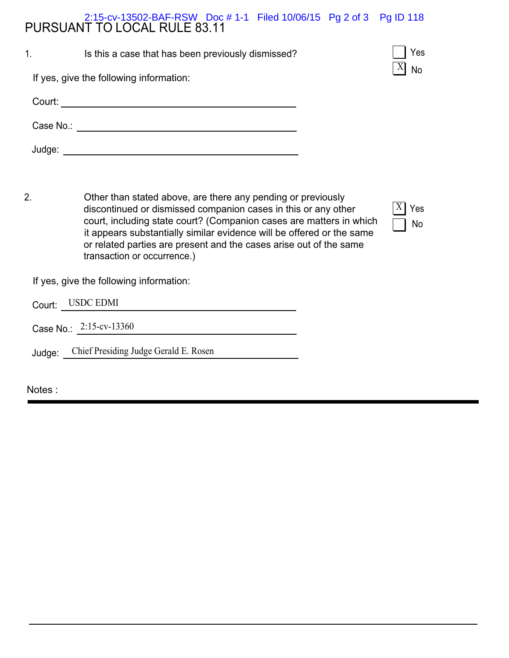# PURSUANT TO LOCAL RULE 83.11 2:15-cv-13502-BAF-RSW Doc # 1-1 Filed 10/06/15 Pg 2 of 3 Pg ID 118

| 1.        | Is this a case that has been previously dismissed? | Yes       |
|-----------|----------------------------------------------------|-----------|
|           | If yes, give the following information:            | <b>No</b> |
| Court:    |                                                    |           |
| Case No.: |                                                    |           |
| Judge:    |                                                    |           |

2. Other than stated above, are there any pending or previously discontinued or dismissed companion cases in this or any other court, including state court? (Companion cases are matters in which it appears substantially similar evidence will be offered or the same or related parties are present and the cases arise out of the same transaction or occurrence.)

 $X$ | Yes No

If yes, give the following information:

Court: USDC EDMI

Case No.: 2:15-cv-13360

Judge: Chief Presiding Judge Gerald E. Rosen

Notes :